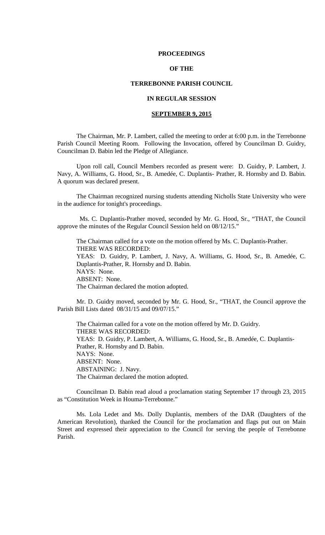#### **PROCEEDINGS**

# **OF THE**

### **TERREBONNE PARISH COUNCIL**

# **IN REGULAR SESSION**

## **SEPTEMBER 9, 2015**

The Chairman, Mr. P. Lambert, called the meeting to order at 6:00 p.m. in the Terrebonne Parish Council Meeting Room. Following the Invocation, offered by Councilman D. Guidry, Councilman D. Babin led the Pledge of Allegiance.

Upon roll call, Council Members recorded as present were: D. Guidry, P. Lambert, J. Navy, A. Williams, G. Hood, Sr., B. Amedée, C. Duplantis- Prather, R. Hornsby and D. Babin. A quorum was declared present.

The Chairman recognized nursing students attending Nicholls State University who were in the audience for tonight's proceedings.

 Ms. C. Duplantis-Prather moved, seconded by Mr. G. Hood, Sr., "THAT, the Council approve the minutes of the Regular Council Session held on 08/12/15."

The Chairman called for a vote on the motion offered by Ms. C. Duplantis-Prather. THERE WAS RECORDED: YEAS: D. Guidry, P. Lambert, J. Navy, A. Williams, G. Hood, Sr., B. Amedée, C. Duplantis-Prather, R. Hornsby and D. Babin. NAYS: None. ABSENT: None. The Chairman declared the motion adopted.

Mr. D. Guidry moved, seconded by Mr. G. Hood, Sr., "THAT, the Council approve the Parish Bill Lists dated 08/31/15 and 09/07/15."

The Chairman called for a vote on the motion offered by Mr. D. Guidry. THERE WAS RECORDED: YEAS: D. Guidry, P. Lambert, A. Williams, G. Hood, Sr., B. Amedée, C. Duplantis-Prather, R. Hornsby and D. Babin. NAYS: None. ABSENT: None. ABSTAINING: J. Navy. The Chairman declared the motion adopted.

Councilman D. Babin read aloud a proclamation stating September 17 through 23, 2015 as "Constitution Week in Houma-Terrebonne."

Ms. Lola Ledet and Ms. Dolly Duplantis, members of the DAR (Daughters of the American Revolution), thanked the Council for the proclamation and flags put out on Main Street and expressed their appreciation to the Council for serving the people of Terrebonne Parish.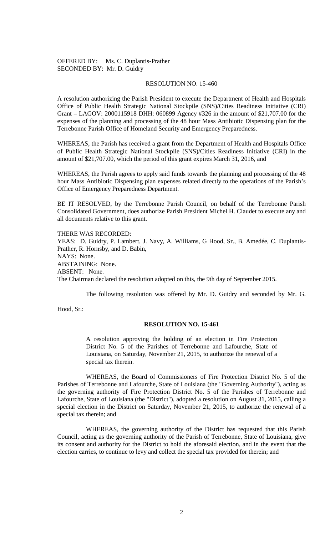# OFFERED BY: Ms. C. Duplantis-Prather SECONDED BY: Mr. D. Guidry

## RESOLUTION NO. 15-460

A resolution authorizing the Parish President to execute the Department of Health and Hospitals Office of Public Health Strategic National Stockpile (SNS)/Cities Readiness Initiative (CRI) Grant – LAGOV: 2000115918 DHH: 060899 Agency #326 in the amount of \$21,707.00 for the expenses of the planning and processing of the 48 hour Mass Antibiotic Dispensing plan for the Terrebonne Parish Office of Homeland Security and Emergency Preparedness.

WHEREAS, the Parish has received a grant from the Department of Health and Hospitals Office of Public Health Strategic National Stockpile (SNS)/Cities Readiness Initiative (CRI) in the amount of \$21,707.00, which the period of this grant expires March 31, 2016, and

WHEREAS, the Parish agrees to apply said funds towards the planning and processing of the 48 hour Mass Antibiotic Dispensing plan expenses related directly to the operations of the Parish's Office of Emergency Preparedness Department.

BE IT RESOLVED, by the Terrebonne Parish Council, on behalf of the Terrebonne Parish Consolidated Government, does authorize Parish President Michel H. Claudet to execute any and all documents relative to this grant.

THERE WAS RECORDED: YEAS: D. Guidry, P. Lambert, J. Navy, A. Williams, G Hood, Sr., B. Amedée, C. Duplantis-Prather, R. Hornsby, and D. Babin, NAYS: None. ABSTAINING: None. ABSENT: None. The Chairman declared the resolution adopted on this, the 9th day of September 2015.

The following resolution was offered by Mr. D. Guidry and seconded by Mr. G.

Hood, Sr.:

## **RESOLUTION NO. 15-461**

A resolution approving the holding of an election in Fire Protection District No. 5 of the Parishes of Terrebonne and Lafourche, State of Louisiana, on Saturday, November 21, 2015, to authorize the renewal of a special tax therein.

WHEREAS, the Board of Commissioners of Fire Protection District No. 5 of the Parishes of Terrebonne and Lafourche, State of Louisiana (the "Governing Authority"), acting as the governing authority of Fire Protection District No. 5 of the Parishes of Terrebonne and Lafourche, State of Louisiana (the "District"), adopted a resolution on August 31, 2015, calling a special election in the District on Saturday, November 21, 2015, to authorize the renewal of a special tax therein; and

WHEREAS, the governing authority of the District has requested that this Parish Council, acting as the governing authority of the Parish of Terrebonne, State of Louisiana, give its consent and authority for the District to hold the aforesaid election, and in the event that the election carries, to continue to levy and collect the special tax provided for therein; and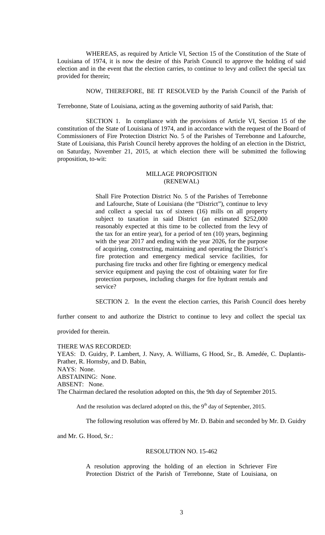WHEREAS, as required by Article VI, Section 15 of the Constitution of the State of Louisiana of 1974, it is now the desire of this Parish Council to approve the holding of said election and in the event that the election carries, to continue to levy and collect the special tax provided for therein;

NOW, THEREFORE, BE IT RESOLVED by the Parish Council of the Parish of

Terrebonne, State of Louisiana, acting as the governing authority of said Parish, that:

SECTION 1. In compliance with the provisions of Article VI, Section 15 of the constitution of the State of Louisiana of 1974, and in accordance with the request of the Board of Commissioners of Fire Protection District No. 5 of the Parishes of Terrebonne and Lafourche, State of Louisiana, this Parish Council hereby approves the holding of an election in the District, on Saturday, November 21, 2015, at which election there will be submitted the following proposition, to-wit:

# MILLAGE PROPOSITION (RENEWAL)

Shall Fire Protection District No. 5 of the Parishes of Terrebonne and Lafourche, State of Louisiana (the "District"), continue to levy and collect a special tax of sixteen (16) mills on all property subject to taxation in said District (an estimated \$252,000 reasonably expected at this time to be collected from the levy of the tax for an entire year), for a period of ten (10) years, beginning with the year 2017 and ending with the year 2026, for the purpose of acquiring, constructing, maintaining and operating the District's fire protection and emergency medical service facilities, for purchasing fire trucks and other fire fighting or emergency medical service equipment and paying the cost of obtaining water for fire protection purposes, including charges for fire hydrant rentals and service?

SECTION 2. In the event the election carries, this Parish Council does hereby

further consent to and authorize the District to continue to levy and collect the special tax

provided for therein.

THERE WAS RECORDED: YEAS: D. Guidry, P. Lambert, J. Navy, A. Williams, G Hood, Sr., B. Amedée, C. Duplantis-Prather, R. Hornsby, and D. Babin, NAYS: None. ABSTAINING: None. ABSENT: None. The Chairman declared the resolution adopted on this, the 9th day of September 2015.

And the resolution was declared adopted on this, the  $9<sup>th</sup>$  day of September, 2015.

The following resolution was offered by Mr. D. Babin and seconded by Mr. D. Guidry

and Mr. G. Hood, Sr.:

#### RESOLUTION NO. 15-462

A resolution approving the holding of an election in Schriever Fire Protection District of the Parish of Terrebonne, State of Louisiana, on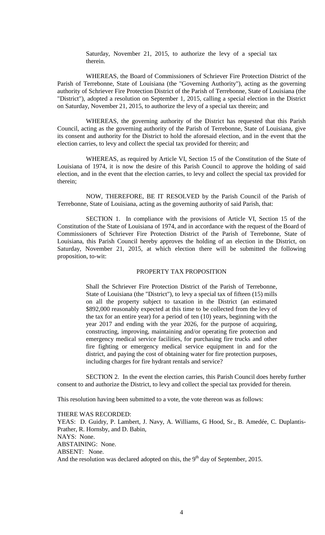Saturday, November 21, 2015, to authorize the levy of a special tax therein.

WHEREAS, the Board of Commissioners of Schriever Fire Protection District of the Parish of Terrebonne, State of Louisiana (the "Governing Authority"), acting as the governing authority of Schriever Fire Protection District of the Parish of Terrebonne, State of Louisiana (the "District"), adopted a resolution on September 1, 2015, calling a special election in the District on Saturday, November 21, 2015, to authorize the levy of a special tax therein; and

WHEREAS, the governing authority of the District has requested that this Parish Council, acting as the governing authority of the Parish of Terrebonne, State of Louisiana, give its consent and authority for the District to hold the aforesaid election, and in the event that the election carries, to levy and collect the special tax provided for therein; and

WHEREAS, as required by Article VI, Section 15 of the Constitution of the State of Louisiana of 1974, it is now the desire of this Parish Council to approve the holding of said election, and in the event that the election carries, to levy and collect the special tax provided for therein;

NOW, THEREFORE, BE IT RESOLVED by the Parish Council of the Parish of Terrebonne, State of Louisiana, acting as the governing authority of said Parish, that:

SECTION 1. In compliance with the provisions of Article VI, Section 15 of the Constitution of the State of Louisiana of 1974, and in accordance with the request of the Board of Commissioners of Schriever Fire Protection District of the Parish of Terrebonne, State of Louisiana, this Parish Council hereby approves the holding of an election in the District, on Saturday, November 21, 2015, at which election there will be submitted the following proposition, to-wit:

## PROPERTY TAX PROPOSITION

Shall the Schriever Fire Protection District of the Parish of Terrebonne, State of Louisiana (the "District"), to levy a special tax of fifteen (15) mills on all the property subject to taxation in the District (an estimated \$892,000 reasonably expected at this time to be collected from the levy of the tax for an entire year) for a period of ten (10) years, beginning with the year 2017 and ending with the year 2026, for the purpose of acquiring, constructing, improving, maintaining and/or operating fire protection and emergency medical service facilities, for purchasing fire trucks and other fire fighting or emergency medical service equipment in and for the district, and paying the cost of obtaining water for fire protection purposes, including charges for fire hydrant rentals and service?

SECTION 2. In the event the election carries, this Parish Council does hereby further consent to and authorize the District, to levy and collect the special tax provided for therein.

This resolution having been submitted to a vote, the vote thereon was as follows:

THERE WAS RECORDED: YEAS: D. Guidry, P. Lambert, J. Navy, A. Williams, G Hood, Sr., B. Amedée, C. Duplantis-Prather, R. Hornsby, and D. Babin, NAYS: None. ABSTAINING: None. ABSENT: None. And the resolution was declared adopted on this, the  $9<sup>th</sup>$  day of September, 2015.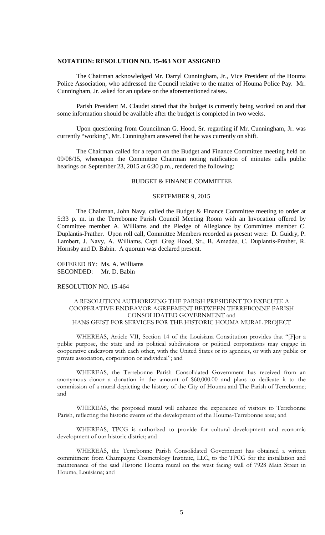# **NOTATION: RESOLUTION NO. 15-463 NOT ASSIGNED**

The Chairman acknowledged Mr. Darryl Cunningham, Jr., Vice President of the Houma Police Association, who addressed the Council relative to the matter of Houma Police Pay. Mr. Cunningham, Jr. asked for an update on the aforementioned raises.

Parish President M. Claudet stated that the budget is currently being worked on and that some information should be available after the budget is completed in two weeks.

Upon questioning from Councilman G. Hood, Sr. regarding if Mr. Cunningham, Jr. was currently "working", Mr. Cunningham answered that he was currently on shift.

The Chairman called for a report on the Budget and Finance Committee meeting held on 09/08/15, whereupon the Committee Chairman noting ratification of minutes calls public hearings on September 23, 2015 at 6:30 p.m., rendered the following:

#### BUDGET & FINANCE COMMITTEE

#### SEPTEMBER 9, 2015

The Chairman, John Navy, called the Budget & Finance Committee meeting to order at 5:33 p. m. in the Terrebonne Parish Council Meeting Room with an Invocation offered by Committee member A. Williams and the Pledge of Allegiance by Committee member C. Duplantis-Prather. Upon roll call, Committee Members recorded as present were: D. Guidry, P. Lambert, J. Navy, A. Williams, Capt. Greg Hood, Sr., B. Amedèe, C. Duplantis-Prather, R. Hornsby and D. Babin. A quorum was declared present.

OFFERED BY: Ms. A. Williams SECONDED: Mr. D. Babin

## RESOLUTION NO. 15-464

## A RESOLUTION AUTHORIZING THE PARISH PRESIDENT TO EXECUTE A COOPERATIVE ENDEAVOR AGREEMENT BETWEEN TERREBONNE PARISH CONSOLIDATED GOVERNMENT and HANS GEIST FOR SERVICES FOR THE HISTORIC HOUMA MURAL PROJECT

WHEREAS, Article VII, Section 14 of the Louisiana Constitution provides that "[F]or a public purpose, the state and its political subdivisions or political corporations may engage in cooperative endeavors with each other, with the United States or its agencies, or with any public or private association, corporation or individual"; and

WHEREAS, the Terrebonne Parish Consolidated Government has received from an anonymous donor a donation in the amount of \$60,000.00 and plans to dedicate it to the commission of a mural depicting the history of the City of Houma and The Parish of Terrebonne; and

WHEREAS, the proposed mural will enhance the experience of visitors to Terrebonne Parish, reflecting the historic events of the development of the Houma-Terrebonne area; and

WHEREAS, TPCG is authorized to provide for cultural development and economic development of our historic district; and

WHEREAS, the Terrebonne Parish Consolidated Government has obtained a written commitment from Champagne Cosmetology Institute, LLC, to the TPCG for the installation and maintenance of the said Historic Houma mural on the west facing wall of 7928 Main Street in Houma, Louisiana; and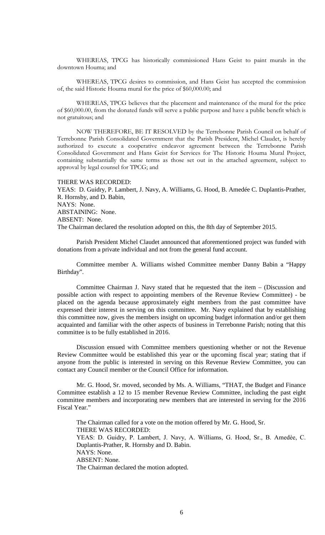WHEREAS, TPCG has historically commissioned Hans Geist to paint murals in the downtown Houma; and

WHEREAS, TPCG desires to commission, and Hans Geist has accepted the commission of, the said Historic Houma mural for the price of \$60,000.00; and

WHEREAS, TPCG believes that the placement and maintenance of the mural for the price of \$60,000.00, from the donated funds will serve a public purpose and have a public benefit which is not gratuitous; and

NOW THEREFORE, BE IT RESOLVED by the Terrebonne Parish Council on behalf of Terrebonne Parish Consolidated Government that the Parish President, Michel Claudet, is hereby authorized to execute a cooperative endeavor agreement between the Terrebonne Parish Consolidated Government and Hans Geist for Services for The Historic Houma Mural Project, containing substantially the same terms as those set out in the attached agreement, subject to approval by legal counsel for TPCG; and

#### THERE WAS RECORDED:

YEAS: D. Guidry, P. Lambert, J. Navy, A. Williams, G. Hood, B. Amedée C. Duplantis-Prather, R. Hornsby, and D. Babin, NAYS: None. ABSTAINING: None. ABSENT: None. The Chairman declared the resolution adopted on this, the 8th day of September 2015.

Parish President Michel Claudet announced that aforementioned project was funded with donations from a private individual and not from the general fund account.

Committee member A. Williams wished Committee member Danny Babin a "Happy Birthday".

Committee Chairman J. Navy stated that he requested that the item – (Discussion and possible action with respect to appointing members of the Revenue Review Committee) - be placed on the agenda because approximately eight members from the past committee have expressed their interest in serving on this committee. Mr. Navy explained that by establishing this committee now, gives the members insight on upcoming budget information and/or get them acquainted and familiar with the other aspects of business in Terrebonne Parish; noting that this committee is to be fully established in 2016.

Discussion ensued with Committee members questioning whether or not the Revenue Review Committee would be established this year or the upcoming fiscal year; stating that if anyone from the public is interested in serving on this Revenue Review Committee, you can contact any Council member or the Council Office for information.

Mr. G. Hood, Sr. moved, seconded by Ms. A. Williams, "THAT, the Budget and Finance Committee establish a 12 to 15 member Revenue Review Committee, including the past eight committee members and incorporating new members that are interested in serving for the 2016 Fiscal Year."

The Chairman called for a vote on the motion offered by Mr. G. Hood, Sr. THERE WAS RECORDED: YEAS: D. Guidry, P. Lambert, J. Navy, A. Williams, G. Hood, Sr., B. Amedèe, C. Duplantis-Prather, R. Hornsby and D. Babin. NAYS: None. ABSENT: None. The Chairman declared the motion adopted.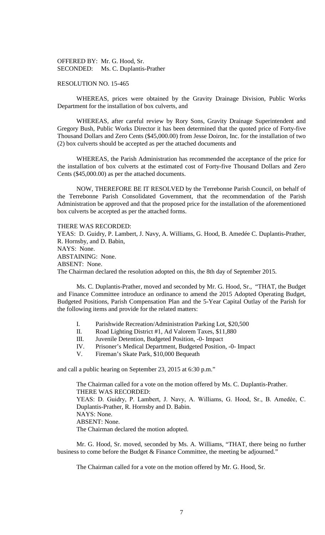OFFERED BY: Mr. G. Hood, Sr. SECONDED: Ms. C. Duplantis-Prather

#### RESOLUTION NO. 15-465

WHEREAS, prices were obtained by the Gravity Drainage Division, Public Works Department for the installation of box culverts, and

WHEREAS, after careful review by Rory Sons, Gravity Drainage Superintendent and Gregory Bush, Public Works Director it has been determined that the quoted price of Forty-five Thousand Dollars and Zero Cents (\$45,000.00) from Jesse Doiron, Inc. for the installation of two (2) box culverts should be accepted as per the attached documents and

WHEREAS, the Parish Administration has recommended the acceptance of the price for the installation of box culverts at the estimated cost of Forty-five Thousand Dollars and Zero Cents (\$45,000.00) as per the attached documents.

NOW, THEREFORE BE IT RESOLVED by the Terrebonne Parish Council, on behalf of the Terrebonne Parish Consolidated Government, that the recommendation of the Parish Administration be approved and that the proposed price for the installation of the aforementioned box culverts be accepted as per the attached forms.

#### THERE WAS RECORDED:

YEAS: D. Guidry, P. Lambert, J. Navy, A. Williams, G. Hood, B. Amedée C. Duplantis-Prather, R. Hornsby, and D. Babin, NAYS: None. ABSTAINING: None. ABSENT: None. The Chairman declared the resolution adopted on this, the 8th day of September 2015.

Ms. C. Duplantis-Prather, moved and seconded by Mr. G. Hood, Sr., "THAT, the Budget and Finance Committee introduce an ordinance to amend the 2015 Adopted Operating Budget, Budgeted Positions, Parish Compensation Plan and the 5-Year Capital Outlay of the Parish for the following items and provide for the related matters:

- I. Parishwide Recreation/Administration Parking Lot, \$20,500
- II. Road Lighting District #1, Ad Valorem Taxes, \$11,880
- III. Juvenile Detention, Budgeted Position, -0- Impact
- IV. Prisoner's Medical Department, Budgeted Position, -0- Impact
- V. Fireman's Skate Park, \$10,000 Bequeath

and call a public hearing on September 23, 2015 at 6:30 p.m."

The Chairman called for a vote on the motion offered by Ms. C. Duplantis-Prather. THERE WAS RECORDED: YEAS: D. Guidry, P. Lambert, J. Navy, A. Williams, G. Hood, Sr., B. Amedèe, C. Duplantis-Prather, R. Hornsby and D. Babin. NAYS: None. ABSENT: None. The Chairman declared the motion adopted.

Mr. G. Hood, Sr. moved, seconded by Ms. A. Williams, "THAT, there being no further business to come before the Budget & Finance Committee, the meeting be adjourned."

The Chairman called for a vote on the motion offered by Mr. G. Hood, Sr.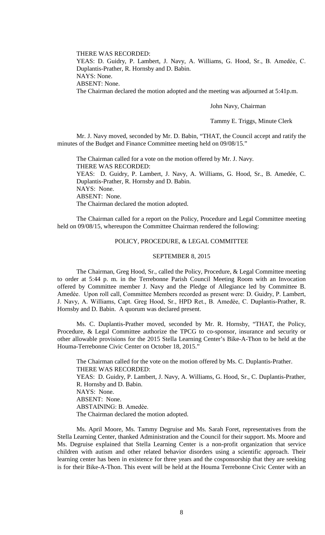THERE WAS RECORDED: YEAS: D. Guidry, P. Lambert, J. Navy, A. Williams, G. Hood, Sr., B. Amedèe, C. Duplantis-Prather, R. Hornsby and D. Babin. NAYS: None. ABSENT: None. The Chairman declared the motion adopted and the meeting was adjourned at 5:41p.m.

John Navy, Chairman

Tammy E. Triggs, Minute Clerk

Mr. J. Navy moved, seconded by Mr. D. Babin, "THAT, the Council accept and ratify the minutes of the Budget and Finance Committee meeting held on 09/08/15."

The Chairman called for a vote on the motion offered by Mr. J. Navy. THERE WAS RECORDED: YEAS: D. Guidry, P. Lambert, J. Navy, A. Williams, G. Hood, Sr., B. Amedée, C. Duplantis-Prather, R. Hornsby and D. Babin. NAYS: None. ABSENT: None. The Chairman declared the motion adopted.

The Chairman called for a report on the Policy, Procedure and Legal Committee meeting held on 09/08/15, whereupon the Committee Chairman rendered the following:

### POLICY, PROCEDURE, & LEGAL COMMITTEE

#### SEPTEMBER 8, 2015

The Chairman, Greg Hood, Sr., called the Policy, Procedure, & Legal Committee meeting to order at 5:44 p. m. in the Terrebonne Parish Council Meeting Room with an Invocation offered by Committee member J. Navy and the Pledge of Allegiance led by Committee B. Amedèe. Upon roll call, Committee Members recorded as present were: D. Guidry, P. Lambert, J. Navy, A. Williams, Capt. Greg Hood, Sr., HPD Ret., B. Amedѐe, C. Duplantis-Prather, R. Hornsby and D. Babin. A quorum was declared present.

Ms. C. Duplantis-Prather moved, seconded by Mr. R. Hornsby, "THAT, the Policy, Procedure, & Legal Committee authorize the TPCG to co-sponsor, insurance and security or other allowable provisions for the 2015 Stella Learning Center's Bike-A-Thon to be held at the Houma-Terrebonne Civic Center on October 18, 2015."

The Chairman called for the vote on the motion offered by Ms. C. Duplantis-Prather. THERE WAS RECORDED: YEAS: D. Guidry, P. Lambert, J. Navy, A. Williams, G. Hood, Sr., C. Duplantis-Prather, R. Hornsby and D. Babin. NAYS: None. ABSENT: None. ABSTAINING: B. Amedèe. The Chairman declared the motion adopted.

Ms. April Moore, Ms. Tammy Degruise and Ms. Sarah Foret, representatives from the Stella Learning Center, thanked Administration and the Council for their support. Ms. Moore and Ms. Degruise explained that Stella Learning Center is a non-profit organization that service children with autism and other related behavior disorders using a scientific approach. Their learning center has been in existence for three years and the cosponsorship that they are seeking is for their Bike-A-Thon. This event will be held at the Houma Terrebonne Civic Center with an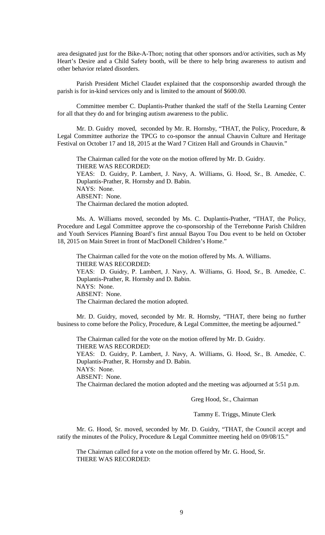area designated just for the Bike-A-Thon; noting that other sponsors and/or activities, such as My Heart's Desire and a Child Safety booth, will be there to help bring awareness to autism and other behavior related disorders.

Parish President Michel Claudet explained that the cosponsorship awarded through the parish is for in-kind services only and is limited to the amount of \$600.00.

Committee member C. Duplantis-Prather thanked the staff of the Stella Learning Center for all that they do and for bringing autism awareness to the public.

 Mr. D. Guidry moved, seconded by Mr. R. Hornsby, "THAT, the Policy, Procedure, & Legal Committee authorize the TPCG to co-sponsor the annual Chauvin Culture and Heritage Festival on October 17 and 18, 2015 at the Ward 7 Citizen Hall and Grounds in Chauvin."

The Chairman called for the vote on the motion offered by Mr. D. Guidry. THERE WAS RECORDED: YEAS: D. Guidry, P. Lambert, J. Navy, A. Williams, G. Hood, Sr., B. Amedẻe, C. Duplantis-Prather, R. Hornsby and D. Babin. NAYS: None. ABSENT: None. The Chairman declared the motion adopted.

Ms. A. Williams moved, seconded by Ms. C. Duplantis-Prather, "THAT, the Policy, Procedure and Legal Committee approve the co-sponsorship of the Terrebonne Parish Children and Youth Services Planning Board's first annual Bayou Tou Dou event to be held on October 18, 2015 on Main Street in front of MacDonell Children's Home."

The Chairman called for the vote on the motion offered by Ms. A. Williams. THERE WAS RECORDED: YEAS: D. Guidry, P. Lambert, J. Navy, A. Williams, G. Hood, Sr., B. Amedẻe, C. Duplantis-Prather, R. Hornsby and D. Babin. NAYS: None. ABSENT: None. The Chairman declared the motion adopted.

Mr. D. Guidry, moved, seconded by Mr. R. Hornsby, "THAT, there being no further business to come before the Policy, Procedure, & Legal Committee, the meeting be adjourned."

The Chairman called for the vote on the motion offered by Mr. D. Guidry. THERE WAS RECORDED:

YEAS: D. Guidry, P. Lambert, J. Navy, A. Williams, G. Hood, Sr., B. Amedée, C. Duplantis-Prather, R. Hornsby and D. Babin.

NAYS: None.

ABSENT: None.

The Chairman declared the motion adopted and the meeting was adjourned at 5:51 p.m.

Greg Hood, Sr., Chairman

Tammy E. Triggs, Minute Clerk

Mr. G. Hood, Sr. moved, seconded by Mr. D. Guidry, "THAT, the Council accept and ratify the minutes of the Policy, Procedure & Legal Committee meeting held on 09/08/15."

The Chairman called for a vote on the motion offered by Mr. G. Hood, Sr. THERE WAS RECORDED: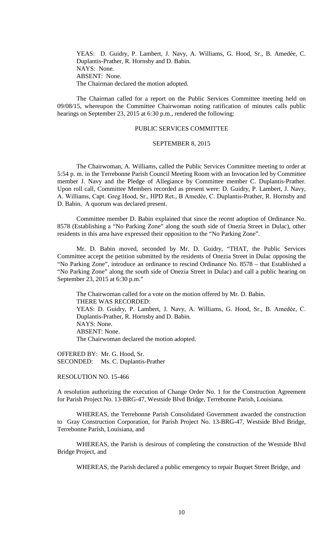YEAS: D. Guidry, P. Lambert, J. Navy, A. Williams, G. Hood, Sr., B. Amedée, C. Duplantis-Prather, R. Hornsby and D. Babin. NAYS: None. ABSENT: None. The Chairman declared the motion adopted.

The Chairman called for a report on the Public Services Committee meeting held on 09/08/15, whereupon the Committee Chairwoman noting ratification of minutes calls public hearings on September 23, 2015 at 6:30 p.m., rendered the following:

## PUBLIC SERVICES COMMITTEE

#### SEPTEMBER 8, 2015

The Chairwoman, A. Williams, called the Public Services Committee meeting to order at 5:54 p. m. in the Terrebonne Parish Council Meeting Room with an Invocation led by Committee member J. Navy and the Pledge of Allegiance by Committee member C. Duplantis-Prather. Upon roll call, Committee Members recorded as present were: D. Guidry, P. Lambert, J. Navy, A. Williams, Capt. Greg Hood, Sr., HPD Ret., B Amedѐe, C. Duplantis-Prather, R. Hornsby and D. Babin. A quorum was declared present.

Committee member D. Babin explained that since the recent adoption of Ordinance No. 8578 (Establishing a "No Parking Zone" along the south side of Onezia Street in Dulac), other residents in this area have expressed their opposition to the "No Parking Zone".

Mr. D. Babin moved, seconded by Mr. D. Guidry, "THAT, the Public Services Committee accept the petition submitted by the residents of Onezia Street in Dulac opposing the "No Parking Zone", introduce an ordinance to rescind Ordinance No. 8578 – that Established a "No Parking Zone" along the south side of Onezia Street in Dulac) and call a public hearing on September 23, 2015 at 6:30 p.m."

The Chairwoman called for a vote on the motion offered by Mr. D. Babin. THERE WAS RECORDED: YEAS: D. Guidry, P. Lambert, J. Navy, A. Williams, G. Hood, Sr., B. Amedèe, C. Duplantis-Prather, R. Hornsby and D. Babin. NAYS: None. ABSENT: None. The Chairwoman declared the motion adopted.

OFFERED BY: Mr. G. Hood, Sr. SECONDED: Ms. C. Duplantis-Prather

RESOLUTION NO. 15-466

A resolution authorizing the execution of Change Order No. 1 for the Construction Agreement for Parish Project No. 13-BRG-47, Westside Blvd Bridge, Terrebonne Parish, Louisiana.

WHEREAS, the Terrebonne Parish Consolidated Government awarded the construction to Gray Construction Corporation, for Parish Project No. 13-BRG-47, Westside Blvd Bridge, Terrebonne Parish, Louisiana, and

WHEREAS, the Parish is desirous of completing the construction of the Westside Blvd Bridge Project, and

WHEREAS, the Parish declared a public emergency to repair Buquet Street Bridge, and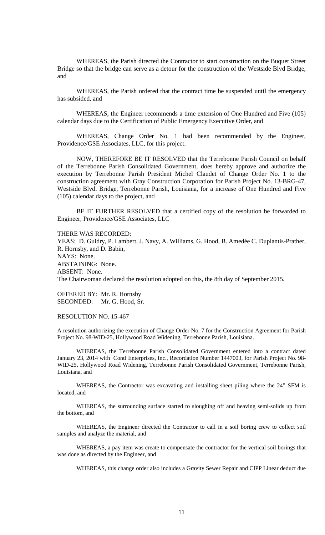WHEREAS, the Parish directed the Contractor to start construction on the Buquet Street Bridge so that the bridge can serve as a detour for the construction of the Westside Blvd Bridge, and

WHEREAS, the Parish ordered that the contract time be suspended until the emergency has subsided, and

WHEREAS, the Engineer recommends a time extension of One Hundred and Five (105) calendar days due to the Certification of Public Emergency Executive Order, and

WHEREAS, Change Order No. 1 had been recommended by the Engineer, Providence/GSE Associates, LLC, for this project.

NOW, THEREFORE BE IT RESOLVED that the Terrebonne Parish Council on behalf of the Terrebonne Parish Consolidated Government, does hereby approve and authorize the execution by Terrebonne Parish President Michel Claudet of Change Order No. 1 to the construction agreement with Gray Construction Corporation for Parish Project No. 13-BRG-47, Westside Blvd. Bridge, Terrebonne Parish, Louisiana, for a increase of One Hundred and Five (105) calendar days to the project, and

BE IT FURTHER RESOLVED that a certified copy of the resolution be forwarded to Engineer, Providence/GSE Associates, LLC

THERE WAS RECORDED:

YEAS: D. Guidry, P. Lambert, J. Navy, A. Williams, G. Hood, B. Amedée C. Duplantis-Prather, R. Hornsby, and D. Babin, NAYS: None. ABSTAINING: None. ABSENT: None. The Chairwoman declared the resolution adopted on this, the 8th day of September 2015.

OFFERED BY: Mr. R. Hornsby SECONDED: Mr. G. Hood, Sr.

RESOLUTION NO. 15-467

A resolution authorizing the execution of Change Order No. 7 for the Construction Agreement for Parish Project No. 98-WID-25, Hollywood Road Widening, Terrebonne Parish, Louisiana.

WHEREAS, the Terrebonne Parish Consolidated Government entered into a contract dated January 23, 2014 with Conti Enterprises, Inc., Recordation Number 1447003, for Parish Project No. 98- WID-25, Hollywood Road Widening, Terrebonne Parish Consolidated Government, Terrebonne Parish, Louisiana, and

WHEREAS, the Contractor was excavating and installing sheet piling where the 24" SFM is located, and

WHEREAS, the surrounding surface started to sloughing off and heaving semi-solids up from the bottom, and

WHEREAS, the Engineer directed the Contractor to call in a soil boring crew to collect soil samples and analyze the material, and

WHEREAS, a pay item was create to compensate the contractor for the vertical soil borings that was done as directed by the Engineer, and

WHEREAS, this change order also includes a Gravity Sewer Repair and CIPP Linear deduct due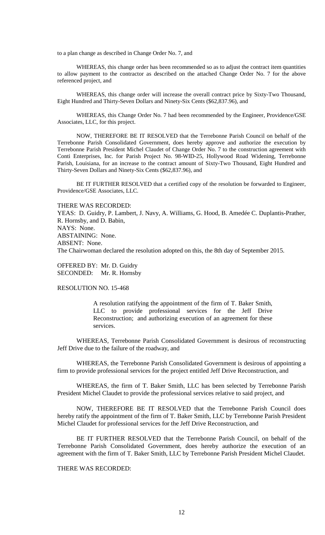to a plan change as described in Change Order No. 7, and

WHEREAS, this change order has been recommended so as to adjust the contract item quantities to allow payment to the contractor as described on the attached Change Order No. 7 for the above referenced project, and

WHEREAS, this change order will increase the overall contract price by Sixty-Two Thousand, Eight Hundred and Thirty-Seven Dollars and Ninety-Six Cents (\$62,837.96), and

WHEREAS, this Change Order No. 7 had been recommended by the Engineer, Providence/GSE Associates, LLC, for this project.

NOW, THEREFORE BE IT RESOLVED that the Terrebonne Parish Council on behalf of the Terrebonne Parish Consolidated Government, does hereby approve and authorize the execution by Terrebonne Parish President Michel Claudet of Change Order No. 7 to the construction agreement with Conti Enterprises, Inc. for Parish Project No. 98-WID-25, Hollywood Road Widening, Terrebonne Parish, Louisiana, for an increase to the contract amount of Sixty-Two Thousand, Eight Hundred and Thirty-Seven Dollars and Ninety-Six Cents (\$62,837.96), and

BE IT FURTHER RESOLVED that a certified copy of the resolution be forwarded to Engineer, Providence/GSE Associates, LLC.

THERE WAS RECORDED:

YEAS: D. Guidry, P. Lambert, J. Navy, A. Williams, G. Hood, B. Amedée C. Duplantis-Prather, R. Hornsby, and D. Babin, NAYS: None. ABSTAINING: None. ABSENT: None. The Chairwoman declared the resolution adopted on this, the 8th day of September 2015.

OFFERED BY: Mr. D. Guidry SECONDED: Mr. R. Hornsby

RESOLUTION NO. 15-468

A resolution ratifying the appointment of the firm of T. Baker Smith, LLC to provide professional services for the Jeff Drive Reconstruction; and authorizing execution of an agreement for these services.

WHEREAS, Terrebonne Parish Consolidated Government is desirous of reconstructing Jeff Drive due to the failure of the roadway, and

WHEREAS, the Terrebonne Parish Consolidated Government is desirous of appointing a firm to provide professional services for the project entitled Jeff Drive Reconstruction, and

WHEREAS, the firm of T. Baker Smith, LLC has been selected by Terrebonne Parish President Michel Claudet to provide the professional services relative to said project, and

NOW, THEREFORE BE IT RESOLVED that the Terrebonne Parish Council does hereby ratify the appointment of the firm of T. Baker Smith, LLC by Terrebonne Parish President Michel Claudet for professional services for the Jeff Drive Reconstruction, and

BE IT FURTHER RESOLVED that the Terrebonne Parish Council, on behalf of the Terrebonne Parish Consolidated Government, does hereby authorize the execution of an agreement with the firm of T. Baker Smith, LLC by Terrebonne Parish President Michel Claudet.

THERE WAS RECORDED: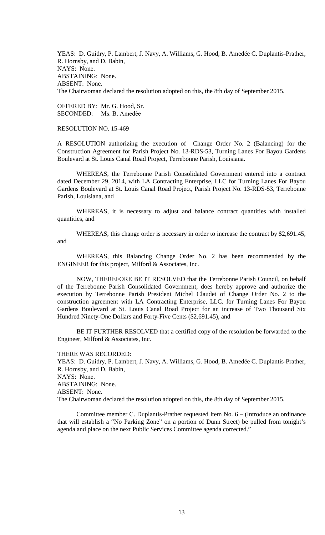YEAS: D. Guidry, P. Lambert, J. Navy, A. Williams, G. Hood, B. Amedée C. Duplantis-Prather, R. Hornsby, and D. Babin, NAYS: None. ABSTAINING: None. ABSENT: None. The Chairwoman declared the resolution adopted on this, the 8th day of September 2015.

OFFERED BY: Mr. G. Hood, Sr. SECONDED: Ms. B. Amedẻe

# RESOLUTION NO. 15-469

A RESOLUTION authorizing the execution of Change Order No. 2 (Balancing) for the Construction Agreement for Parish Project No. 13-RDS-53, Turning Lanes For Bayou Gardens Boulevard at St. Louis Canal Road Project, Terrebonne Parish, Louisiana.

WHEREAS, the Terrebonne Parish Consolidated Government entered into a contract dated December 29, 2014, with LA Contracting Enterprise, LLC for Turning Lanes For Bayou Gardens Boulevard at St. Louis Canal Road Project, Parish Project No. 13-RDS-53, Terrebonne Parish, Louisiana, and

WHEREAS, it is necessary to adjust and balance contract quantities with installed quantities, and

WHEREAS, this change order is necessary in order to increase the contract by \$2,691.45, and

WHEREAS, this Balancing Change Order No. 2 has been recommended by the ENGINEER for this project, Milford & Associates, Inc.

NOW, THEREFORE BE IT RESOLVED that the Terrebonne Parish Council, on behalf of the Terrebonne Parish Consolidated Government, does hereby approve and authorize the execution by Terrebonne Parish President Michel Claudet of Change Order No. 2 to the construction agreement with LA Contracting Enterprise, LLC. for Turning Lanes For Bayou Gardens Boulevard at St. Louis Canal Road Project for an increase of Two Thousand Six Hundred Ninety-One Dollars and Forty-Five Cents (\$2,691.45), and

BE IT FURTHER RESOLVED that a certified copy of the resolution be forwarded to the Engineer, Milford & Associates, Inc.

THERE WAS RECORDED:

YEAS: D. Guidry, P. Lambert, J. Navy, A. Williams, G. Hood, B. Amedée C. Duplantis-Prather, R. Hornsby, and D. Babin, NAYS: None. ABSTAINING: None.

ABSENT: None.

The Chairwoman declared the resolution adopted on this, the 8th day of September 2015.

Committee member C. Duplantis-Prather requested Item No. 6 – (Introduce an ordinance that will establish a "No Parking Zone" on a portion of Dunn Street) be pulled from tonight's agenda and place on the next Public Services Committee agenda corrected."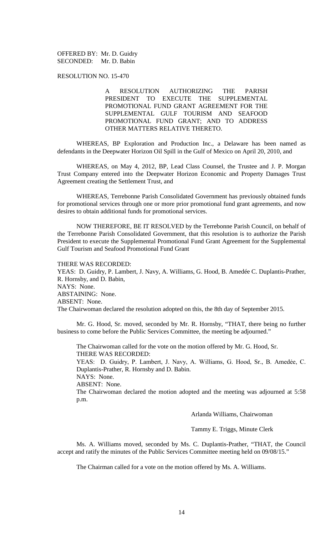OFFERED BY: Mr. D. Guidry SECONDED: Mr. D. Babin

RESOLUTION NO. 15-470

A RESOLUTION AUTHORIZING THE PARISH PRESIDENT TO EXECUTE THE SUPPLEMENTAL PROMOTIONAL FUND GRANT AGREEMENT FOR THE SUPPLEMENTAL GULF TOURISM AND SEAFOOD PROMOTIONAL FUND GRANT; AND TO ADDRESS OTHER MATTERS RELATIVE THERETO.

WHEREAS, BP Exploration and Production Inc., a Delaware has been named as defendants in the Deepwater Horizon Oil Spill in the Gulf of Mexico on April 20, 2010, and

WHEREAS, on May 4, 2012, BP, Lead Class Counsel, the Trustee and J. P. Morgan Trust Company entered into the Deepwater Horizon Economic and Property Damages Trust Agreement creating the Settlement Trust, and

WHEREAS, Terrebonne Parish Consolidated Government has previously obtained funds for promotional services through one or more prior promotional fund grant agreements, and now desires to obtain additional funds for promotional services.

NOW THEREFORE, BE IT RESOLVED by the Terrebonne Parish Council, on behalf of the Terrebonne Parish Consolidated Government, that this resolution is to authorize the Parish President to execute the Supplemental Promotional Fund Grant Agreement for the Supplemental Gulf Tourism and Seafood Promotional Fund Grant

#### THERE WAS RECORDED:

YEAS: D. Guidry, P. Lambert, J. Navy, A. Williams, G. Hood, B. Amedée C. Duplantis-Prather, R. Hornsby, and D. Babin, NAYS: None. ABSTAINING: None. ABSENT: None. The Chairwoman declared the resolution adopted on this, the 8th day of September 2015.

Mr. G. Hood, Sr. moved, seconded by Mr. R. Hornsby, "THAT, there being no further business to come before the Public Services Committee, the meeting be adjourned."

The Chairwoman called for the vote on the motion offered by Mr. G. Hood, Sr. THERE WAS RECORDED: YEAS: D. Guidry, P. Lambert, J. Navy, A. Williams, G. Hood, Sr., B. Amedée, C. Duplantis-Prather, R. Hornsby and D. Babin. NAYS: None.

ABSENT: None.

The Chairwoman declared the motion adopted and the meeting was adjourned at 5:58 p.m.

Arlanda Williams, Chairwoman

Tammy E. Triggs, Minute Clerk

Ms. A. Williams moved, seconded by Ms. C. Duplantis-Prather, "THAT, the Council accept and ratify the minutes of the Public Services Committee meeting held on 09/08/15."

The Chairman called for a vote on the motion offered by Ms. A. Williams.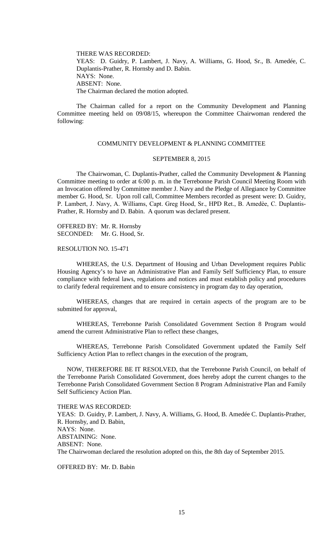THERE WAS RECORDED: YEAS: D. Guidry, P. Lambert, J. Navy, A. Williams, G. Hood, Sr., B. Amedée, C. Duplantis-Prather, R. Hornsby and D. Babin. NAYS: None. ABSENT: None. The Chairman declared the motion adopted.

The Chairman called for a report on the Community Development and Planning Committee meeting held on 09/08/15, whereupon the Committee Chairwoman rendered the following:

# COMMUNITY DEVELOPMENT & PLANNING COMMITTEE

#### SEPTEMBER 8, 2015

The Chairwoman, C. Duplantis-Prather, called the Community Development & Planning Committee meeting to order at 6:00 p. m. in the Terrebonne Parish Council Meeting Room with an Invocation offered by Committee member J. Navy and the Pledge of Allegiance by Committee member G. Hood, Sr. Upon roll call, Committee Members recorded as present were: D. Guidry, P. Lambert, J. Navy, A. Williams, Capt. Greg Hood, Sr., HPD Ret., B. Amedèe, C. Duplantis-Prather, R. Hornsby and D. Babin. A quorum was declared present.

OFFERED BY: Mr. R. Hornsby SECONDED: Mr. G. Hood, Sr.

RESOLUTION NO. 15-471

WHEREAS, the U.S. Department of Housing and Urban Development requires Public Housing Agency's to have an Administrative Plan and Family Self Sufficiency Plan, to ensure compliance with federal laws, regulations and notices and must establish policy and procedures to clarify federal requirement and to ensure consistency in program day to day operation,

WHEREAS, changes that are required in certain aspects of the program are to be submitted for approval,

WHEREAS, Terrebonne Parish Consolidated Government Section 8 Program would amend the current Administrative Plan to reflect these changes,

WHEREAS, Terrebonne Parish Consolidated Government updated the Family Self Sufficiency Action Plan to reflect changes in the execution of the program,

NOW, THEREFORE BE IT RESOLVED, that the Terrebonne Parish Council, on behalf of the Terrebonne Parish Consolidated Government, does hereby adopt the current changes to the Terrebonne Parish Consolidated Government Section 8 Program Administrative Plan and Family Self Sufficiency Action Plan.

THERE WAS RECORDED:

YEAS: D. Guidry, P. Lambert, J. Navy, A. Williams, G. Hood, B. Amedée C. Duplantis-Prather, R. Hornsby, and D. Babin, NAYS: None. ABSTAINING: None. ABSENT: None. The Chairwoman declared the resolution adopted on this, the 8th day of September 2015.

OFFERED BY: Mr. D. Babin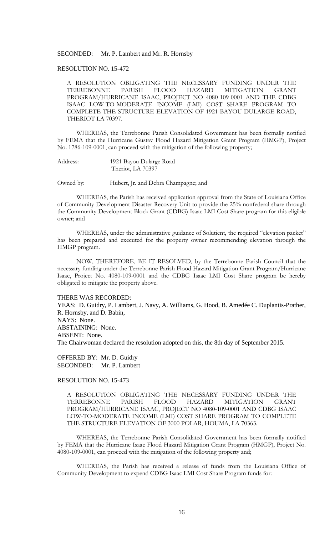### SECONDED: Mr. P. Lambert and Mr. R. Hornsby

## RESOLUTION NO. 15-472

A RESOLUTION OBLIGATING THE NECESSARY FUNDING UNDER THE TERREBONNE PARISH FLOOD HAZARD MITIGATION GRANT PROGRAM/HURRICANE ISAAC, PROJECT NO 4080-109-0001 AND THE CDBG ISAAC LOW-TO-MODERATE INCOME (LMI) COST SHARE PROGRAM TO COMPLETE THE STRUCTURE ELEVATION OF 1921 BAYOU DULARGE ROAD, THERIOT LA 70397.

WHEREAS, the Terrebonne Parish Consolidated Government has been formally notified by FEMA that the Hurricane Gustav Flood Hazard Mitigation Grant Program (HMGP), Project No. 1786-109-0001, can proceed with the mitigation of the following property;

Address: 1921 Bayou Dularge Road Theriot, LA 70397

Owned by: Hubert, Jr. and Debra Champagne; and

WHEREAS, the Parish has received application approval from the State of Louisiana Office of Community Development Disaster Recovery Unit to provide the 25% nonfederal share through the Community Development Block Grant (CDBG) Isaac LMI Cost Share program for this eligible owner; and

WHEREAS, under the administrative guidance of Solutient, the required "elevation packet" has been prepared and executed for the property owner recommending elevation through the HMGP program.

NOW, THEREFORE, BE IT RESOLVED, by the Terrebonne Parish Council that the necessary funding under the Terrebonne Parish Flood Hazard Mitigation Grant Program/Hurricane Isaac, Project No. 4080-109-0001 and the CDBG Isaac LMI Cost Share program be hereby obligated to mitigate the property above.

#### THERE WAS RECORDED:

YEAS: D. Guidry, P. Lambert, J. Navy, A. Williams, G. Hood, B. Amedée C. Duplantis-Prather, R. Hornsby, and D. Babin, NAYS: None. ABSTAINING: None. ABSENT: None. The Chairwoman declared the resolution adopted on this, the 8th day of September 2015.

OFFERED BY: Mr. D. Guidry SECONDED: Mr. P. Lambert

## RESOLUTION NO. 15-473

A RESOLUTION OBLIGATING THE NECESSARY FUNDING UNDER THE TERREBONNE PARISH FLOOD HAZARD MITIGATION GRANT PROGRAM/HURRICANE ISAAC, PROJECT NO 4080-109-0001 AND CDBG ISAAC LOW-TO-MODERATE INCOME (LMI) COST SHARE PROGRAM TO COMPLETE THE STRUCTURE ELEVATION OF 3000 POLAR, HOUMA, LA 70363.

WHEREAS, the Terrebonne Parish Consolidated Government has been formally notified by FEMA that the Hurricane Isaac Flood Hazard Mitigation Grant Program (HMGP), Project No. 4080-109-0001, can proceed with the mitigation of the following property and;

WHEREAS, the Parish has received a release of funds from the Louisiana Office of Community Development to expend CDBG Isaac LMI Cost Share Program funds for: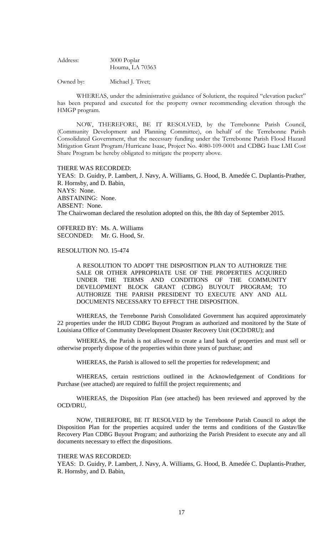Address: 3000 Poplar Houma, LA 70363

Owned by: Michael J. Tivet;

WHEREAS, under the administrative guidance of Solutient, the required "elevation packet" has been prepared and executed for the property owner recommending elevation through the HMGP program.

NOW, THEREFORE, BE IT RESOLVED, by the Terrebonne Parish Council, (Community Development and Planning Committee), on behalf of the Terrebonne Parish Consolidated Government, that the necessary funding under the Terrebonne Parish Flood Hazard Mitigation Grant Program/Hurricane Isaac, Project No. 4080-109-0001 and CDBG Isaac LMI Cost Share Program be hereby obligated to mitigate the property above.

#### THERE WAS RECORDED:

YEAS: D. Guidry, P. Lambert, J. Navy, A. Williams, G. Hood, B. Amedée C. Duplantis-Prather, R. Hornsby, and D. Babin, NAYS: None. ABSTAINING: None. ABSENT: None. The Chairwoman declared the resolution adopted on this, the 8th day of September 2015.

OFFERED BY: Ms. A. Williams SECONDED: Mr. G. Hood, Sr.

## RESOLUTION NO. 15-474

A RESOLUTION TO ADOPT THE DISPOSITION PLAN TO AUTHORIZE THE SALE OR OTHER APPROPRIATE USE OF THE PROPERTIES ACQUIRED UNDER THE TERMS AND CONDITIONS OF THE COMMUNITY DEVELOPMENT BLOCK GRANT (CDBG) BUYOUT PROGRAM; TO AUTHORIZE THE PARISH PRESIDENT TO EXECUTE ANY AND ALL DOCUMENTS NECESSARY TO EFFECT THE DISPOSITION.

WHEREAS, the Terrebonne Parish Consolidated Government has acquired approximately 22 properties under the HUD CDBG Buyout Program as authorized and monitored by the State of Louisiana Office of Community Development Disaster Recovery Unit (OCD/DRU); and

WHEREAS, the Parish is not allowed to create a land bank of properties and must sell or otherwise properly dispose of the properties within three years of purchase; and

WHEREAS, the Parish is allowed to sell the properties for redevelopment; and

WHEREAS, certain restrictions outlined in the Acknowledgement of Conditions for Purchase (see attached) are required to fulfill the project requirements; and

WHEREAS, the Disposition Plan (see attached) has been reviewed and approved by the OCD/DRU,

NOW, THEREFORE, BE IT RESOLVED by the Terrebonne Parish Council to adopt the Disposition Plan for the properties acquired under the terms and conditions of the Gustav/Ike Recovery Plan CDBG Buyout Program; and authorizing the Parish President to execute any and all documents necessary to effect the dispositions.

#### THERE WAS RECORDED:

YEAS: D. Guidry, P. Lambert, J. Navy, A. Williams, G. Hood, B. Amedée C. Duplantis-Prather, R. Hornsby, and D. Babin,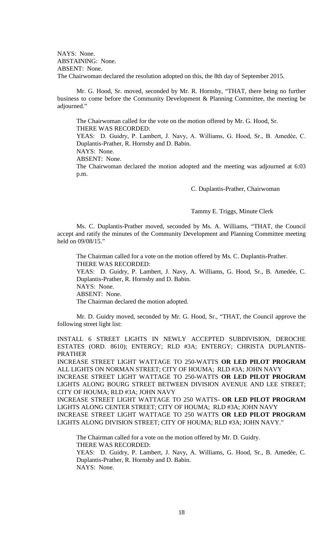NAYS: None. ABSTAINING: None. ABSENT: None. The Chairwoman declared the resolution adopted on this, the 8th day of September 2015.

Mr. G. Hood, Sr. moved, seconded by Mr. R. Hornsby, "THAT, there being no further business to come before the Community Development & Planning Committee, the meeting be adjourned."

The Chairwoman called for the vote on the motion offered by Mr. G. Hood, Sr. THERE WAS RECORDED:

YEAS: D. Guidry, P. Lambert, J. Navy, A. Williams, G. Hood, Sr., B. Amedèe, C. Duplantis-Prather, R. Hornsby and D. Babin.

NAYS: None.

ABSENT: None.

The Chairwoman declared the motion adopted and the meeting was adjourned at 6:03 p.m.

C. Duplantis-Prather, Chairwoman

Tammy E. Triggs, Minute Clerk

Ms. C. Duplantis-Prather moved, seconded by Ms. A. Williams, "THAT, the Council accept and ratify the minutes of the Community Development and Planning Committee meeting held on 09/08/15."

The Chairman called for a vote on the motion offered by Ms. C. Duplantis-Prather. THERE WAS RECORDED: YEAS: D. Guidry, P. Lambert, J. Navy, A. Williams, G. Hood, Sr., B. Amedée, C. Duplantis-Prather, R. Hornsby and D. Babin. NAYS: None. ABSENT: None. The Chairman declared the motion adopted.

Mr. D. Guidry moved, seconded by Mr. G. Hood, Sr., "THAT, the Council approve the following street light list:

INSTALL 6 STREET LIGHTS IN NEWLY ACCEPTED SUBDIVISION, DEROCHE ESTATES (ORD. 8610); ENTERGY; RLD #3A; ENTERGY; CHRISTA DUPLANTIS-PRATHER

INCREASE STREET LIGHT WATTAGE TO 250-WATTS **OR LED PILOT PROGRAM**  ALL LIGHTS ON NORMAN STREET; CITY OF HOUMA; RLD #3A; JOHN NAVY INCREASE STREET LIGHT WATTAGE TO 250-WATTS **OR LED PILOT PROGRAM**  LIGHTS ALONG BOURG STREET BETWEEN DIVISION AVENUE AND LEE STREET; CITY OF HOUMA; RLD #3A; JOHN NAVY

INCREASE STREET LIGHT WATTAGE TO 250 WATTS- **OR LED PILOT PROGRAM** LIGHTS ALONG CENTER STREET; CITY OF HOUMA; RLD #3A; JOHN NAVY INCREASE STREET LIGHT WATTAGE TO 250 WATTS **OR LED PILOT PROGRAM** LIGHTS ALONG DIVISION STREET; CITY OF HOUMA; RLD #3A; JOHN NAVY."

The Chairman called for a vote on the motion offered by Mr. D. Guidry. THERE WAS RECORDED:

YEAS: D. Guidry, P. Lambert, J. Navy, A. Williams, G. Hood, Sr., B. Amedée, C. Duplantis-Prather, R. Hornsby and D. Babin. NAYS: None.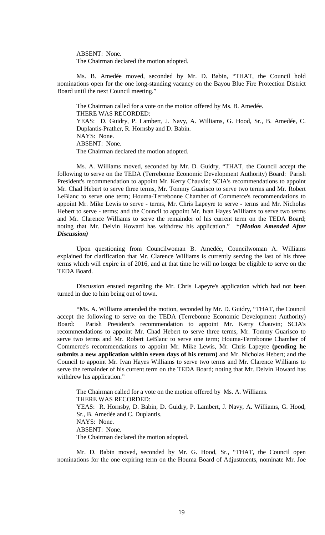ABSENT: None. The Chairman declared the motion adopted.

Ms. B. Amedée moved, seconded by Mr. D. Babin, "THAT, the Council hold nominations open for the one long-standing vacancy on the Bayou Blue Fire Protection District Board until the next Council meeting."

The Chairman called for a vote on the motion offered by Ms. B. Amedée. THERE WAS RECORDED: YEAS: D. Guidry, P. Lambert, J. Navy, A. Williams, G. Hood, Sr., B. Amedée, C. Duplantis-Prather, R. Hornsby and D. Babin. NAYS: None. ABSENT: None. The Chairman declared the motion adopted.

Ms. A. Williams moved, seconded by Mr. D. Guidry, "THAT, the Council accept the following to serve on the TEDA (Terrebonne Economic Development Authority) Board: Parish President's recommendation to appoint Mr. Kerry Chauvin; SCIA's recommendations to appoint Mr. Chad Hebert to serve three terms, Mr. Tommy Guarisco to serve two terms and Mr. Robert LeBlanc to serve one term; Houma-Terrebonne Chamber of Commerce's recommendations to appoint Mr. Mike Lewis to serve - terms, Mr. Chris Lapeyre to serve - terms and Mr. Nicholas Hebert to serve - terms; and the Council to appoint Mr. Ivan Hayes Williams to serve two terms and Mr. Clarence Williams to serve the remainder of his current term on the TEDA Board; noting that Mr. Delvin Howard has withdrew his application." \**(Motion Amended After Discussion)*

Upon questioning from Councilwoman B. Amedée, Councilwoman A. Williams explained for clarification that Mr. Clarence Williams is currently serving the last of his three terms which will expire in of 2016, and at that time he will no longer be eligible to serve on the TEDA Board.

Discussion ensued regarding the Mr. Chris Lapeyre's application which had not been turned in due to him being out of town.

\*Ms. A. Williams amended the motion, seconded by Mr. D. Guidry, "THAT, the Council accept the following to serve on the TEDA (Terrebonne Economic Development Authority) Board: Parish President's recommendation to appoint Mr. Kerry Chauvin; SCIA's recommendations to appoint Mr. Chad Hebert to serve three terms, Mr. Tommy Guarisco to serve two terms and Mr. Robert LeBlanc to serve one term; Houma-Terrebonne Chamber of Commerce's recommendations to appoint Mr. Mike Lewis, Mr. Chris Lapeyre **(pending he submits a new application within seven days of his return)** and Mr. Nicholas Hebert; and the Council to appoint Mr. Ivan Hayes Williams to serve two terms and Mr. Clarence Williams to serve the remainder of his current term on the TEDA Board; noting that Mr. Delvin Howard has withdrew his application."

The Chairman called for a vote on the motion offered by Ms. A. Williams. THERE WAS RECORDED: YEAS: R. Hornsby, D. Babin, D. Guidry, P. Lambert, J. Navy, A. Williams, G. Hood, Sr., B. Amedée and C. Duplantis. NAYS: None. ABSENT: None. The Chairman declared the motion adopted.

Mr. D. Babin moved, seconded by Mr. G. Hood, Sr., "THAT, the Council open nominations for the one expiring term on the Houma Board of Adjustments, nominate Mr. Joe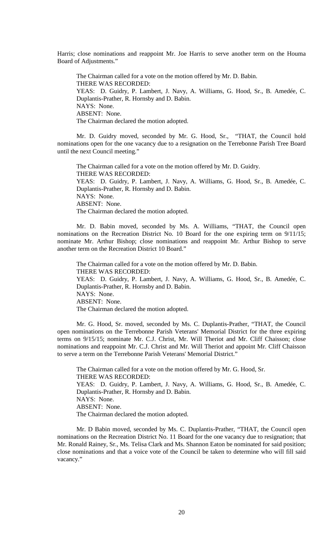Harris; close nominations and reappoint Mr. Joe Harris to serve another term on the Houma Board of Adjustments."

The Chairman called for a vote on the motion offered by Mr. D. Babin. THERE WAS RECORDED: YEAS: D. Guidry, P. Lambert, J. Navy, A. Williams, G. Hood, Sr., B. Amedée, C. Duplantis-Prather, R. Hornsby and D. Babin. NAYS: None. ABSENT: None. The Chairman declared the motion adopted.

Mr. D. Guidry moved, seconded by Mr. G. Hood, Sr., "THAT, the Council hold nominations open for the one vacancy due to a resignation on the Terrebonne Parish Tree Board until the next Council meeting."

The Chairman called for a vote on the motion offered by Mr. D. Guidry. THERE WAS RECORDED: YEAS: D. Guidry, P. Lambert, J. Navy, A. Williams, G. Hood, Sr., B. Amedée, C. Duplantis-Prather, R. Hornsby and D. Babin. NAYS: None. ABSENT: None. The Chairman declared the motion adopted.

Mr. D. Babin moved, seconded by Ms. A. Williams, "THAT, the Council open nominations on the Recreation District No. 10 Board for the one expiring term on 9/11/15; nominate Mr. Arthur Bishop; close nominations and reappoint Mr. Arthur Bishop to serve another term on the Recreation District 10 Board."

The Chairman called for a vote on the motion offered by Mr. D. Babin. THERE WAS RECORDED: YEAS: D. Guidry, P. Lambert, J. Navy, A. Williams, G. Hood, Sr., B. Amedée, C. Duplantis-Prather, R. Hornsby and D. Babin. NAYS: None. ABSENT: None. The Chairman declared the motion adopted.

Mr. G. Hood, Sr. moved, seconded by Ms. C. Duplantis-Prather, "THAT, the Council open nominations on the Terrebonne Parish Veterans' Memorial District for the three expiring terms on 9/15/15; nominate Mr. C.J. Christ, Mr. Will Theriot and Mr. Cliff Chaisson; close nominations and reappoint Mr. C.J. Christ and Mr. Will Theriot and appoint Mr. Cliff Chaisson to serve a term on the Terrebonne Parish Veterans' Memorial District."

The Chairman called for a vote on the motion offered by Mr. G. Hood, Sr. THERE WAS RECORDED: YEAS: D. Guidry, P. Lambert, J. Navy, A. Williams, G. Hood, Sr., B. Amedée, C. Duplantis-Prather, R. Hornsby and D. Babin. NAYS: None. ABSENT: None. The Chairman declared the motion adopted.

Mr. D Babin moved, seconded by Ms. C. Duplantis-Prather, "THAT, the Council open nominations on the Recreation District No. 11 Board for the one vacancy due to resignation; that Mr. Ronald Rainey, Sr., Ms. Telisa Clark and Ms. Shannon Eaton be nominated for said position; close nominations and that a voice vote of the Council be taken to determine who will fill said vacancy."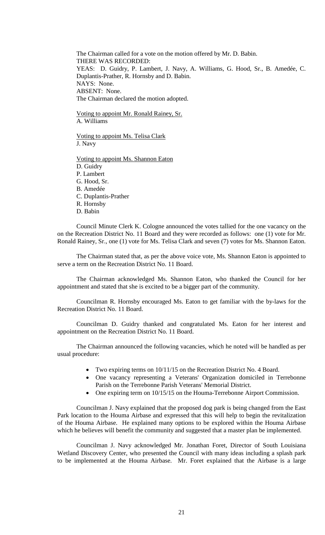The Chairman called for a vote on the motion offered by Mr. D. Babin. THERE WAS RECORDED: YEAS: D. Guidry, P. Lambert, J. Navy, A. Williams, G. Hood, Sr., B. Amedée, C. Duplantis-Prather, R. Hornsby and D. Babin. NAYS: None. ABSENT: None. The Chairman declared the motion adopted.

Voting to appoint Mr. Ronald Rainey, Sr. A. Williams

Voting to appoint Ms. Telisa Clark J. Navy

Voting to appoint Ms. Shannon Eaton D. Guidry P. Lambert G. Hood, Sr. B. Amedée C. Duplantis-Prather R. Hornsby D. Babin

Council Minute Clerk K. Cologne announced the votes tallied for the one vacancy on the on the Recreation District No. 11 Board and they were recorded as follows: one (1) vote for Mr. Ronald Rainey, Sr., one (1) vote for Ms. Telisa Clark and seven (7) votes for Ms. Shannon Eaton.

The Chairman stated that, as per the above voice vote, Ms. Shannon Eaton is appointed to serve a term on the Recreation District No. 11 Board.

The Chairman acknowledged Ms. Shannon Eaton, who thanked the Council for her appointment and stated that she is excited to be a bigger part of the community.

Councilman R. Hornsby encouraged Ms. Eaton to get familiar with the by-laws for the Recreation District No. 11 Board.

Councilman D. Guidry thanked and congratulated Ms. Eaton for her interest and appointment on the Recreation District No. 11 Board.

The Chairman announced the following vacancies, which he noted will be handled as per usual procedure:

- Two expiring terms on 10/11/15 on the Recreation District No. 4 Board.
- One vacancy representing a Veterans' Organization domiciled in Terrebonne Parish on the Terrebonne Parish Veterans' Memorial District.
- One expiring term on 10/15/15 on the Houma-Terrebonne Airport Commission.

Councilman J. Navy explained that the proposed dog park is being changed from the East Park location to the Houma Airbase and expressed that this will help to begin the revitalization of the Houma Airbase. He explained many options to be explored within the Houma Airbase which he believes will benefit the community and suggested that a master plan be implemented.

Councilman J. Navy acknowledged Mr. Jonathan Foret, Director of South Louisiana Wetland Discovery Center, who presented the Council with many ideas including a splash park to be implemented at the Houma Airbase. Mr. Foret explained that the Airbase is a large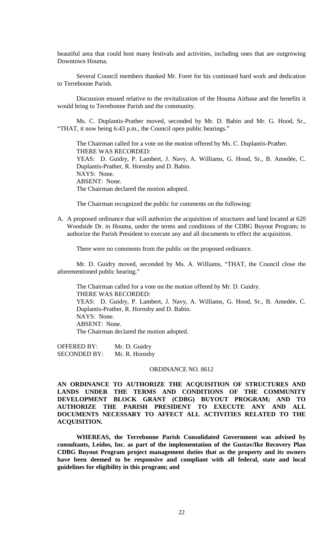beautiful area that could host many festivals and activities, including ones that are outgrowing Downtown Houma.

Several Council members thanked Mr. Foret for his continued hard work and dedication to Terrebonne Parish.

Discussion ensued relative to the revitalization of the Houma Airbase and the benefits it would bring to Terrebonne Parish and the community.

Ms. C. Duplantis-Prather moved, seconded by Mr. D. Babin and Mr. G. Hood, Sr., "THAT, it now being 6:43 p.m., the Council open public hearings."

The Chairman called for a vote on the motion offered by Ms. C. Duplantis-Prather. THERE WAS RECORDED: YEAS: D. Guidry, P. Lambert, J. Navy, A. Williams, G. Hood, Sr., B. Amedée, C. Duplantis-Prather, R. Hornsby and D. Babin. NAYS: None. ABSENT: None. The Chairman declared the motion adopted.

The Chairman recognized the public for comments on the following:

A. A proposed ordinance that will authorize the acquisition of structures and land located at 620 Woodside Dr. in Houma, under the terms and conditions of the CDBG Buyout Program; to authorize the Parish President to execute any and all documents to effect the acquisition.

There were no comments from the public on the proposed ordinance.

Mr. D. Guidry moved, seconded by Ms. A. Williams, "THAT, the Council close the aforementioned public hearing."

The Chairman called for a vote on the motion offered by Mr. D. Guidry. THERE WAS RECORDED: YEAS: D. Guidry, P. Lambert, J. Navy, A. Williams, G. Hood, Sr., B. Amedée, C. Duplantis-Prather, R. Hornsby and D. Babin. NAYS: None. ABSENT: None. The Chairman declared the motion adopted.

OFFERED BY: Mr. D. Guidry SECONDED BY: Mr. R. Hornsby

#### ORDINANCE NO. 8612

**AN ORDINANCE TO AUTHORIZE THE ACQUISITION OF STRUCTURES AND LANDS UNDER THE TERMS AND CONDITIONS OF THE COMMUNITY DEVELOPMENT BLOCK GRANT (CDBG) BUYOUT PROGRAM; AND TO AUTHORIZE THE PARISH PRESIDENT TO EXECUTE ANY AND ALL DOCUMENTS NECESSARY TO AFFECT ALL ACTIVITIES RELATED TO THE ACQUISITION.**

**WHEREAS, the Terrebonne Parish Consolidated Government was advised by consultants, Leidos, Inc. as part of the implementation of the Gustav/Ike Recovery Plan CDBG Buyout Program project management duties that as the property and its owners have been deemed to be responsive and compliant with all federal, state and local guidelines for eligibility in this program; and**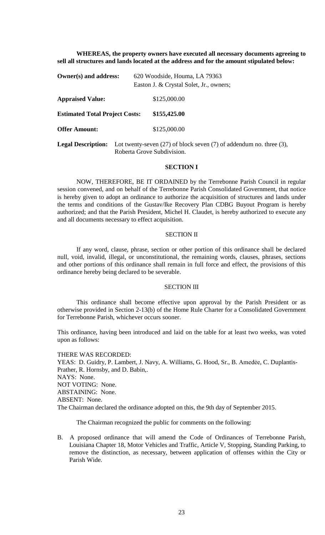**WHEREAS, the property owners have executed all necessary documents agreeing to sell all structures and lands located at the address and for the amount stipulated below:**

| Owner(s) and address:                 |                                                                                                          | 620 Woodside, Houma, LA 79363           |
|---------------------------------------|----------------------------------------------------------------------------------------------------------|-----------------------------------------|
|                                       |                                                                                                          | Easton J. & Crystal Solet, Jr., owners; |
| <b>Appraised Value:</b>               |                                                                                                          | \$125,000.00                            |
| <b>Estimated Total Project Costs:</b> |                                                                                                          | \$155,425.00                            |
| <b>Offer Amount:</b>                  |                                                                                                          | \$125,000.00                            |
| <b>Legal Description:</b>             | Lot twenty-seven $(27)$ of block seven $(7)$ of addendum no. three $(3)$ ,<br>Roberta Grove Subdivision. |                                         |

#### **SECTION I**

NOW, THEREFORE, BE IT ORDAINED by the Terrebonne Parish Council in regular session convened, and on behalf of the Terrebonne Parish Consolidated Government, that notice is hereby given to adopt an ordinance to authorize the acquisition of structures and lands under the terms and conditions of the Gustav/Ike Recovery Plan CDBG Buyout Program is hereby authorized; and that the Parish President, Michel H. Claudet, is hereby authorized to execute any and all documents necessary to effect acquisition.

#### SECTION II

If any word, clause, phrase, section or other portion of this ordinance shall be declared null, void, invalid, illegal, or unconstitutional, the remaining words, clauses, phrases, sections and other portions of this ordinance shall remain in full force and effect, the provisions of this ordinance hereby being declared to be severable.

## SECTION III

This ordinance shall become effective upon approval by the Parish President or as otherwise provided in Section 2-13(b) of the Home Rule Charter for a Consolidated Government for Terrebonne Parish, whichever occurs sooner.

This ordinance, having been introduced and laid on the table for at least two weeks, was voted upon as follows:

THERE WAS RECORDED: YEAS: D. Guidry, P. Lambert, J. Navy, A. Williams, G. Hood, Sr., B. Amedée, C. Duplantis-Prather, R. Hornsby, and D. Babin,. NAYS: None. NOT VOTING: None. ABSTAINING: None. ABSENT: None. The Chairman declared the ordinance adopted on this, the 9th day of September 2015.

The Chairman recognized the public for comments on the following:

B. A proposed ordinance that will amend the Code of Ordinances of Terrebonne Parish, Louisiana Chapter 18, Motor Vehicles and Traffic, Article V, Stopping, Standing Parking, to remove the distinction, as necessary, between application of offenses within the City or Parish Wide.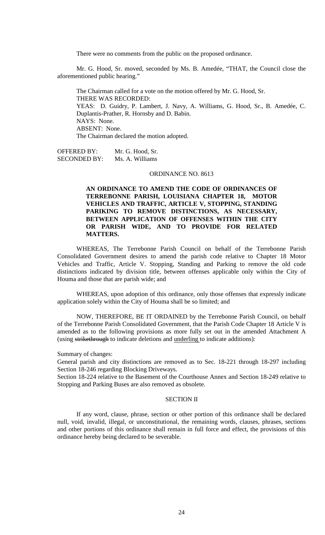There were no comments from the public on the proposed ordinance.

Mr. G. Hood, Sr. moved, seconded by Ms. B. Amedée, "THAT, the Council close the aforementioned public hearing."

The Chairman called for a vote on the motion offered by Mr. G. Hood, Sr. THERE WAS RECORDED: YEAS: D. Guidry, P. Lambert, J. Navy, A. Williams, G. Hood, Sr., B. Amedée, C. Duplantis-Prather, R. Hornsby and D. Babin. NAYS: None. ABSENT: None. The Chairman declared the motion adopted.

OFFERED BY: Mr. G. Hood, Sr. SECONDED BY: Ms. A. Williams

# ORDINANCE NO. 8613

# **AN ORDINANCE TO AMEND THE CODE OF ORDINANCES OF TERREBONNE PARISH, LOUISIANA CHAPTER 18, MOTOR VEHICLES AND TRAFFIC, ARTICLE V, STOPPING, STANDING PARIKING TO REMOVE DISTINCTIONS, AS NECESSARY, BETWEEN APPLICATION OF OFFENSES WITHIN THE CITY OR PARISH WIDE, AND TO PROVIDE FOR RELATED MATTERS.**

WHEREAS, The Terrebonne Parish Council on behalf of the Terrebonne Parish Consolidated Government desires to amend the parish code relative to Chapter 18 Motor Vehicles and Traffic, Article V. Stopping, Standing and Parking to remove the old code distinctions indicated by division title, between offenses applicable only within the City of Houma and those that are parish wide; and

WHEREAS, upon adoption of this ordinance, only those offenses that expressly indicate application solely within the City of Houma shall be so limited; and

NOW, THEREFORE, BE IT ORDAINED by the Terrebonne Parish Council, on behalf of the Terrebonne Parish Consolidated Government, that the Parish Code Chapter 18 Article V is amended as to the following provisions as more fully set out in the amended Attachment A (using strikethrough to indicate deletions and underling to indicate additions):

Summary of changes:

General parish and city distinctions are removed as to Sec. 18-221 through 18-297 including Section 18-246 regarding Blocking Driveways.

Section 18-224 relative to the Basement of the Courthouse Annex and Section 18-249 relative to Stopping and Parking Buses are also removed as obsolete.

### SECTION II

If any word, clause, phrase, section or other portion of this ordinance shall be declared null, void, invalid, illegal, or unconstitutional, the remaining words, clauses, phrases, sections and other portions of this ordinance shall remain in full force and effect, the provisions of this ordinance hereby being declared to be severable.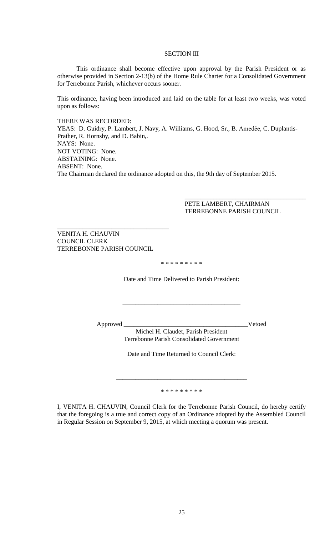#### SECTION III

This ordinance shall become effective upon approval by the Parish President or as otherwise provided in Section 2-13(b) of the Home Rule Charter for a Consolidated Government for Terrebonne Parish, whichever occurs sooner.

This ordinance, having been introduced and laid on the table for at least two weeks, was voted upon as follows:

THERE WAS RECORDED:

YEAS: D. Guidry, P. Lambert, J. Navy, A. Williams, G. Hood, Sr., B. Amedée, C. Duplantis-Prather, R. Hornsby, and D. Babin,. NAYS: None. NOT VOTING: None. ABSTAINING: None. ABSENT: None. The Chairman declared the ordinance adopted on this, the 9th day of September 2015.

> PETE LAMBERT, CHAIRMAN TERREBONNE PARISH COUNCIL

 $\overline{\phantom{a}}$  ,  $\overline{\phantom{a}}$  ,  $\overline{\phantom{a}}$  ,  $\overline{\phantom{a}}$  ,  $\overline{\phantom{a}}$  ,  $\overline{\phantom{a}}$  ,  $\overline{\phantom{a}}$  ,  $\overline{\phantom{a}}$  ,  $\overline{\phantom{a}}$  ,  $\overline{\phantom{a}}$  ,  $\overline{\phantom{a}}$  ,  $\overline{\phantom{a}}$  ,  $\overline{\phantom{a}}$  ,  $\overline{\phantom{a}}$  ,  $\overline{\phantom{a}}$  ,  $\overline{\phantom{a}}$ 

VENITA H. CHAUVIN COUNCIL CLERK TERREBONNE PARISH COUNCIL

\_\_\_\_\_\_\_\_\_\_\_\_\_\_\_\_\_\_\_\_\_\_\_\_\_\_\_\_\_\_\_\_\_\_\_

\* \* \* \* \* \* \* \* \*

Date and Time Delivered to Parish President:

\_\_\_\_\_\_\_\_\_\_\_\_\_\_\_\_\_\_\_\_\_\_\_\_\_\_\_\_\_\_\_\_\_\_\_\_\_

Approved \_\_\_\_\_\_\_\_\_\_\_\_\_\_\_\_\_\_\_\_\_\_\_\_\_\_\_\_\_\_\_\_\_\_\_\_\_\_\_Vetoed

Michel H. Claudet, Parish President Terrebonne Parish Consolidated Government

Date and Time Returned to Council Clerk:

\* \* \* \* \* \* \* \* \*

\_\_\_\_\_\_\_\_\_\_\_\_\_\_\_\_\_\_\_\_\_\_\_\_\_\_\_\_\_\_\_\_\_\_\_\_\_\_\_\_\_

I, VENITA H. CHAUVIN, Council Clerk for the Terrebonne Parish Council, do hereby certify that the foregoing is a true and correct copy of an Ordinance adopted by the Assembled Council in Regular Session on September 9, 2015, at which meeting a quorum was present.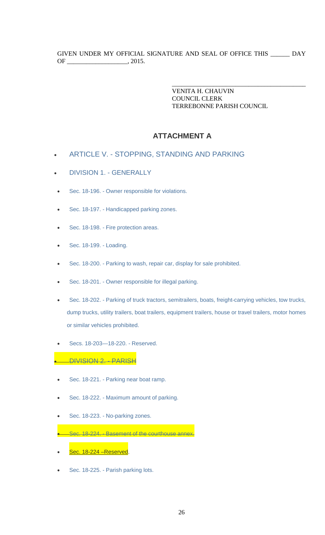VENITA H. CHAUVIN COUNCIL CLERK TERREBONNE PARISH COUNCIL

\_\_\_\_\_\_\_\_\_\_\_\_\_\_\_\_\_\_\_\_\_\_\_\_\_\_\_\_\_\_\_\_\_\_\_\_\_\_\_\_\_\_

# **ATTACHMENT A**

- ARTICLE V. [STOPPING, STANDING AND PARKING](https://www.municode.com/library/la/terrebonne_parish/codes/code_of_ordinances?nodeId=PTIIPACO_CH18MOVETR_ARTVSTSTPA)
- [DIVISION 1. -](https://www.municode.com/library/la/terrebonne_parish/codes/code_of_ordinances?nodeId=PTIIPACO_CH18MOVETR_ARTVSTSTPA_DIV1GE) GENERALLY
- Sec. 18-196. [Owner responsible for violations.](https://www.municode.com/library/la/terrebonne_parish/codes/code_of_ordinances?nodeId=PTIIPACO_CH18MOVETR_ARTVSTSTPA_DIV1GE_S18-196OWREVI)
- Sec. 18-197. [Handicapped parking zones.](https://www.municode.com/library/la/terrebonne_parish/codes/code_of_ordinances?nodeId=PTIIPACO_CH18MOVETR_ARTVSTSTPA_DIV1GE_S18-197HAPAZO)
- Sec. 18-198. [Fire protection areas.](https://www.municode.com/library/la/terrebonne_parish/codes/code_of_ordinances?nodeId=PTIIPACO_CH18MOVETR_ARTVSTSTPA_DIV1GE_S18-198FIPRAR)
- [Sec. 18-199. -](https://www.municode.com/library/la/terrebonne_parish/codes/code_of_ordinances?nodeId=PTIIPACO_CH18MOVETR_ARTVSTSTPA_DIV1GE_S18-199LO) Loading.
- Sec. 18-200. [Parking to wash, repair car, display for sale prohibited.](https://www.municode.com/library/la/terrebonne_parish/codes/code_of_ordinances?nodeId=PTIIPACO_CH18MOVETR_ARTVSTSTPA_DIV1GE_S18-200PAWARECADISAPR)
- Sec. 18-201. [Owner responsible for illegal parking.](https://www.municode.com/library/la/terrebonne_parish/codes/code_of_ordinances?nodeId=PTIIPACO_CH18MOVETR_ARTVSTSTPA_DIV1GE_S18-201OWREILPA)
- Sec. 18-202. [Parking of truck tractors, semitrailers, boats, freight-carrying vehicles, tow trucks,](https://www.municode.com/library/la/terrebonne_parish/codes/code_of_ordinances?nodeId=PTIIPACO_CH18MOVETR_ARTVSTSTPA_DIV1GE_S18-202PATRTRSEBOFRRRVETOTRDUTRUTTRBOTREQTRHOTRTRMOHOSIVEPR)  [dump trucks, utility trailers, boat trailers, equipment trailers, house or travel trailers, motor homes](https://www.municode.com/library/la/terrebonne_parish/codes/code_of_ordinances?nodeId=PTIIPACO_CH18MOVETR_ARTVSTSTPA_DIV1GE_S18-202PATRTRSEBOFRRRVETOTRDUTRUTTRBOTREQTRHOTRTRMOHOSIVEPR)  [or similar vehicles](https://www.municode.com/library/la/terrebonne_parish/codes/code_of_ordinances?nodeId=PTIIPACO_CH18MOVETR_ARTVSTSTPA_DIV1GE_S18-202PATRTRSEBOFRRRVETOTRDUTRUTTRBOTREQTRHOTRTRMOHOSIVEPR) prohibited.
- [Secs. 18-203—18-220. -](https://www.municode.com/library/la/terrebonne_parish/codes/code_of_ordinances?nodeId=PTIIPACO_CH18MOVETR_ARTVSTSTPA_DIV1GE_SS18-203--18-220RE) Reserved.

# • [DIVISION 2. -](https://www.municode.com/library/la/terrebonne_parish/codes/code_of_ordinances?nodeId=PTIIPACO_CH18MOVETR_ARTVSTSTPA_DIV2PA) PARISH

- Sec. 18-221. [Parking near boat ramp.](https://www.municode.com/library/la/terrebonne_parish/codes/code_of_ordinances?nodeId=PTIIPACO_CH18MOVETR_ARTVSTSTPA_DIV2PA_S18-221PANEBORA)
- Sec. 18-222. [Maximum amount of parking.](https://www.municode.com/library/la/terrebonne_parish/codes/code_of_ordinances?nodeId=PTIIPACO_CH18MOVETR_ARTVSTSTPA_DIV2PA_S18-222MAAMPA)
- Sec. 18-223. [No-parking zones.](https://www.municode.com/library/la/terrebonne_parish/codes/code_of_ordinances?nodeId=PTIIPACO_CH18MOVETR_ARTVSTSTPA_DIV2PA_S18-223RKZO)
- Sec. 18-224. [Basement of the courthouse annex.](https://www.municode.com/library/la/terrebonne_parish/codes/code_of_ordinances?nodeId=PTIIPACO_CH18MOVETR_ARTVSTSTPA_DIV2PA_S18-224BACOAN)
- Sec. 18-224 -Reserved.
- Sec. 18-225. [Parish parking lots.](https://www.municode.com/library/la/terrebonne_parish/codes/code_of_ordinances?nodeId=PTIIPACO_CH18MOVETR_ARTVSTSTPA_DIV2PA_S18-225PAPALO)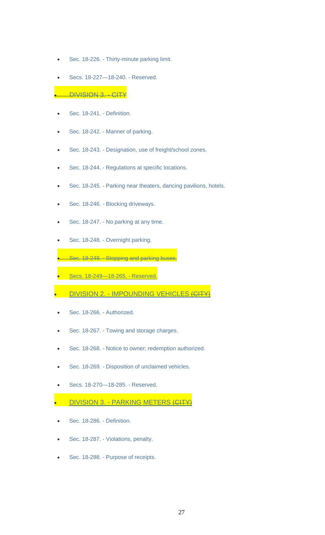- Sec. 18-226. [Thirty-minute parking limit.](https://www.municode.com/library/)
- [Secs. 18-227—18-240. -](https://www.municode.com/library/) Reserved.

### • [DIVISION 3. -](https://www.municode.com/library/la/terrebonne_parish/codes/code_of_ordinances?nodeId=PTIIPACO_CH18MOVETR_ARTVSTSTPA_DIV3CI) CITY

- [Sec. 18-241. -](https://www.municode.com/library/) Definition.
- Sec. 18-242. [Manner of parking.](https://www.municode.com/library/)
- Sec. 18-243. [Designation, use of freight/school zones.](https://www.municode.com/library/la/terrebonne_parish/codes/code_of_ordinances?nodeId=PTIIPACO_CH18MOVETR_ARTVSTSTPA_DIV3CI_S18-243DEUSFRSCZO)
- Sec. 18-244. [Regulations at specific locations.](https://www.municode.com/library/)
- Sec. 18-245. [Parking near theaters, dancing pavilions, hotels.](https://www.municode.com/library/)
- Sec. 18-246. [Blocking driveways.](https://www.municode.com/library/la/terrebonne_parish/codes/code_of_ordinances?nodeId=PTIIPACO_CH18MOVETR_ARTVSTSTPA_DIV3CI_S18-246BLDR)
- Sec. 18-247. [No parking at any time.](https://www.municode.com/library/la/terrebonne_parish/codes/code_of_ordinances?nodeId=PTIIPACO_CH18MOVETR_ARTVSTSTPA_DIV3CI_S18-247NOPAANTI)
- Sec. 18-248. [Overnight parking.](https://www.municode.com/library/)

• Sec. 18-249. - [Stopping and parking buses.](https://www.municode.com/library/)

- [Secs. 18-249—18-265. -](https://www.municode.com/library/) Reserved.
- **DIVISION 2. IMPOUNDING VEHICLES (CITY**
- [Sec. 18-266. -](https://www.municode.com/library/) Authorized.
- Sec. 18-267. [Towing and storage charges.](https://www.municode.com/library/la/terrebonne_parish/codes/code_of_ordinances?nodeId=PTIIPACO_CH18MOVETR_ARTVSTSTPA_DIV4IMVECI_S18-267TOSTCH)
- Sec. 18-268. [Notice to owner; redemption authorized.](https://www.municode.com/library/)
- Sec. 18-269. [Disposition of unclaimed vehicles.](https://www.municode.com/library/)
- [Secs. 18-270—18-285. -](https://www.municode.com/library/) Reserved.
- **DIVISION 3. PARKING METERS (CITY**
- [Sec. 18-286. -](https://www.municode.com/library/) Definition.
- Sec. 18-287. [Violations, penalty.](https://www.municode.com/library/)
- Sec. 18-288. [Purpose of receipts.](https://www.municode.com/library/la/terrebonne_parish/codes/code_of_ordinances?nodeId=PTIIPACO_CH18MOVETR_ARTVSTSTPA_DIV5PAMECI_S18-288PURE)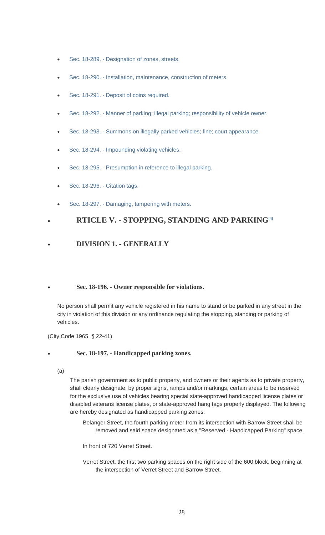- Sec. 18-289. [Designation of zones, streets.](https://www.municode.com/library/)
- Sec. 18-290. [Installation, maintenance, construction of meters.](https://www.municode.com/library/)
- Sec. 18-291. [Deposit of coins required.](https://www.municode.com/library/)
- Sec. 18-292. Manner of parking; illegal [parking; responsibility of vehicle owner.](https://www.municode.com/library/)
- Sec. 18-293. [Summons on illegally parked vehicles; fine; court appearance.](https://www.municode.com/library/)
- Sec. 18-294. [Impounding violating vehicles.](https://www.municode.com/library/)
- Sec. 18-295. [Presumption in reference to illegal parking.](https://www.municode.com/library/)
- [Sec. 18-296. -](https://www.municode.com/library/) Citation tags.
- Sec. 18-297. [Damaging, tampering with meters.](https://www.municode.com/library/)

# • **RTICLE V. - STOPPING, STANDING AND PARKIN[G\[4\]](https://www.municode.com/library/%23fn_66)**

# • **DIVISION 1. - GENERALLY**

# • **Sec. 18-196. - Owner responsible for violations.**

No person shall permit any vehicle registered in his name to stand or be parked in any street in the city in violation of this division or any ordinance regulating the stopping, standing or parking of vehicles.

(City Code 1965, § 22-41)

# • **Sec. 18-197. - Handicapped parking zones.**

(a)

The parish government as to public property, and owners or their agents as to private property, shall clearly designate, by proper signs, ramps and/or markings, certain areas to be reserved for the exclusive use of vehicles bearing special state-approved handicapped license plates or disabled veterans license plates, or state-approved hang tags properly displayed. The following are hereby designated as handicapped parking zones:

Belanger Street, the fourth parking meter from its intersection with Barrow Street shall be removed and said space designated as a "Reserved - Handicapped Parking" space.

In front of 720 Verret Street.

Verret Street, the first two parking spaces on the right side of the 600 block, beginning at the intersection of Verret Street and Barrow Street.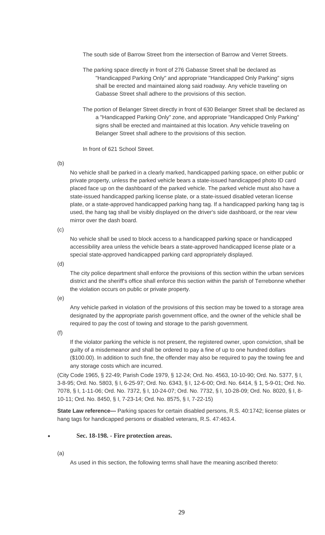The south side of Barrow Street from the intersection of Barrow and Verret Streets.

- The parking space directly in front of 276 Gabasse Street shall be declared as "Handicapped Parking Only" and appropriate "Handicapped Only Parking" signs shall be erected and maintained along said roadway. Any vehicle traveling on Gabasse Street shall adhere to the provisions of this section.
- The portion of Belanger Street directly in front of 630 Belanger Street shall be declared as a "Handicapped Parking Only" zone, and appropriate "Handicapped Only Parking" signs shall be erected and maintained at this location. Any vehicle traveling on Belanger Street shall adhere to the provisions of this section.

In front of 621 School Street.

(b)

No vehicle shall be parked in a clearly marked, handicapped parking space, on either public or private property, unless the parked vehicle bears a state-issued handicapped photo ID card placed face up on the dashboard of the parked vehicle. The parked vehicle must also have a state-issued handicapped parking license plate, or a state-issued disabled veteran license plate, or a state-approved handicapped parking hang tag. If a handicapped parking hang tag is used, the hang tag shall be visibly displayed on the driver's side dashboard, or the rear view mirror over the dash board.

(c)

No vehicle shall be used to block access to a handicapped parking space or handicapped accessibility area unless the vehicle bears a state-approved handicapped license plate or a special state-approved handicapped parking card appropriately displayed.

(d)

The city police department shall enforce the provisions of this section within the urban services district and the sheriff's office shall enforce this section within the parish of Terrebonne whether the violation occurs on public or private property.

(e)

Any vehicle parked in violation of the provisions of this section may be towed to a storage area designated by the appropriate parish government office, and the owner of the vehicle shall be required to pay the cost of towing and storage to the parish government.

(f)

If the violator parking the vehicle is not present, the registered owner, upon conviction, shall be guilty of a misdemeanor and shall be ordered to pay a fine of up to one hundred dollars (\$100.00). In addition to such fine, the offender may also be required to pay the towing fee and any storage costs which are incurred.

(City Code 1965, § 22-49; Parish Code 1979, § 12-24; Ord. No. 4563, 10-10-90; Ord. No. 5377, § I, 3-8-95; Ord. No. 5803, § I, 6-25-97; Ord. No. 6343, § I, 12-6-00; Ord. No. 6414, § 1, 5-9-01; Ord. No. 7078, § I, 1-11-06; Ord. No. 7372, § I, 10-24-07; Ord. No. 7732, § I, 10-28-09; Ord. No. 8020, § I, 8- 10-11; Ord. No. 8450, § I, 7-23-14; Ord. No. 8575, § I, 7-22-15)

**State Law reference—** Parking spaces for certain disabled persons, R.S. 40:1742; license plates or hang tags for handicapped persons or disabled veterans, R.S. 47:463.4.

# • **Sec. 18-198. - Fire protection areas.**

(a)

As used in this section, the following terms shall have the meaning ascribed thereto: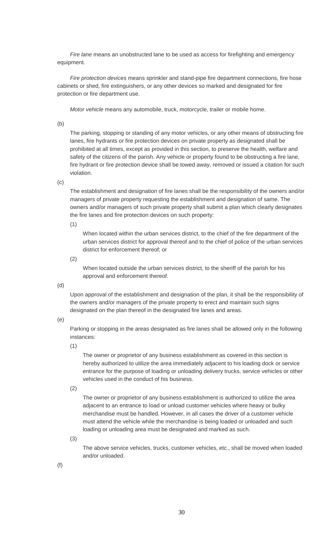*Fire lane* means an unobstructed lane to be used as access for firefighting and emergency equipment.

*Fire protection devices* means sprinkler and stand-pipe fire department connections, fire hose cabinets or shed, fire extinguishers, or any other devices so marked and designated for fire protection or fire department use.

*Motor vehicle* means any automobile, truck, motorcycle, trailer or mobile home.

(b)

The parking, stopping or standing of any motor vehicles, or any other means of obstructing fire lanes, fire hydrants or fire protection devices on private property as designated shall be prohibited at all times, except as provided in this section, to preserve the health, welfare and safety of the citizens of the parish. Any vehicle or property found to be obstructing a fire lane, fire hydrant or fire protection device shall be towed away, removed or issued a citation for such violation.

(c)

The establishment and designation of fire lanes shall be the responsibility of the owners and/or managers of private property requesting the establishment and designation of same. The owners and/or managers of such private property shall submit a plan which clearly designates the fire lanes and fire protection devices on such property:

(1)

When located within the urban services district, to the chief of the fire department of the urban services district for approval thereof and to the chief of police of the urban services district for enforcement thereof; or

(2)

When located outside the urban services district, to the sheriff of the parish for his approval and enforcement thereof.

(d)

Upon approval of the establishment and designation of the plan, it shall be the responsibility of the owners and/or managers of the private property to erect and maintain such signs designated on the plan thereof in the designated fire lanes and areas.

(e)

Parking or stopping in the areas designated as fire lanes shall be allowed only in the following instances:

(1)

The owner or proprietor of any business establishment as covered in this section is hereby authorized to utilize the area immediately adjacent to his loading dock or service entrance for the purpose of loading or unloading delivery trucks, service vehicles or other vehicles used in the conduct of his business.

(2)

The owner or proprietor of any business establishment is authorized to utilize the area adjacent to an entrance to load or unload customer vehicles where heavy or bulky merchandise must be handled. However, in all cases the driver of a customer vehicle must attend the vehicle while the merchandise is being loaded or unloaded and such loading or unloading area must be designated and marked as such.

(3)

The above service vehicles, trucks, customer vehicles, etc., shall be moved when loaded and/or unloaded.

(f)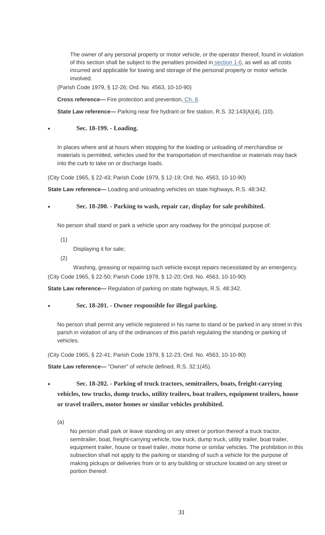The owner of any personal property or motor vehicle, or the operator thereof, found in violation of this section shall be subject to the penalties provided in [section 1-6,](https://www.municode.com/library/) as well as all costs incurred and applicable for towing and storage of the personal property or motor vehicle involved.

(Parish Code 1979, § 12-26; Ord. No. 4563, 10-10-90)

**Cross reference—** Fire protection and prevention, [Ch. 8.](https://www.municode.com/library/)

**State Law reference—** Parking near fire hydrant or fire station, R.S. 32:143(A)(4), (10).

## • **Sec. 18-199. - Loading.**

In places where and at hours when stopping for the loading or unloading of merchandise or materials is permitted, vehicles used for the transportation of merchandise or materials may back into the curb to take on or discharge loads.

(City Code 1965, § 22-43; Parish Code 1979, § 12-19; Ord. No. 4563, 10-10-90)

**State Law reference—** Loading and unloading vehicles on state highways, R.S. 48:342.

• **Sec. 18-200. - Parking to wash, repair car, display for sale prohibited.**

No person shall stand or park a vehicle upon any roadway for the principal purpose of:

(1)

Displaying it for sale;

(2)

Washing, greasing or repairing such vehicle except repairs necessitated by an emergency. (City Code 1965, § 22-50; Parish Code 1979, § 12-20; Ord. No. 4563, 10-10-90)

**State Law reference—** Regulation of parking on state highways, R.S. 48:342.

# • **Sec. 18-201. - Owner responsible for illegal parking.**

No person shall permit any vehicle registered in his name to stand or be parked in any street in this parish in violation of any of the ordinances of this parish regulating the standing or parking of vehicles.

(City Code 1965, § 22-41; Parish Code 1979, § 12-23; Ord. No. 4563, 10-10-90)

**State Law reference—** "Owner" of vehicle defined, R.S. 32:1(45).

• **Sec. 18-202. - Parking of truck tractors, semitrailers, boats, freight-carrying vehicles, tow trucks, dump trucks, utility trailers, boat trailers, equipment trailers, house or travel trailers, motor homes or similar vehicles prohibited.**

(a)

No person shall park or leave standing on any street or portion thereof a truck tractor, semitrailer, boat, freight-carrying vehicle, tow truck, dump truck, utility trailer, boat trailer, equipment trailer, house or travel trailer, motor home or similar vehicles. The prohibition in this subsection shall not apply to the parking or standing of such a vehicle for the purpose of making pickups or deliveries from or to any building or structure located on any street or portion thereof.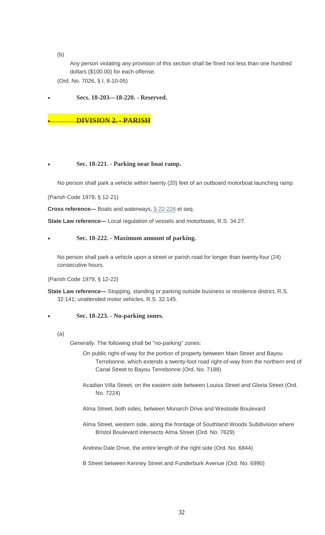(b)

Any person violating any provision of this section shall be fined not less than one hundred dollars (\$100.00) for each offense.

(Ord. No. 7026, § I, 8-10-05)

• **Secs. 18-203—18-220. - Reserved.**

# • **DIVISION 2. - PARISH**

# • **Sec. 18-221. - Parking near boat ramp.**

No person shall park a vehicle within twenty (20) feet of an outboard motorboat launching ramp.

(Parish Code 1979, § 12-21)

**Cross reference—** Boats and waterways, [§ 22-226](https://www.municode.com/library/) et seq.

**State Law reference—** Local regulation of vessels and motorboats, R.S. 34:27.

# • **Sec. 18-222. - Maximum amount of parking.**

No person shall park a vehicle upon a street or parish road for longer than twenty-four (24) consecutive hours.

(Parish Code 1979, § 12-22)

**State Law reference—** Stopping, standing or parking outside business or residence district, R.S. 32:141; unattended motor vehicles, R.S. 32:145.

# • **Sec. 18-223. - No-parking zones.**

(a)

*Generally.* The following shall be "no-parking" zones:

On public right-of-way for the portion of property between Main Street and Bayou Terrebonne, which extends a twenty-foot road right-of-way from the northern end of Canal Street to Bayou Terrebonne (Ord. No. 7188)

- Acadian Villa Street, on the eastern side between Louisa Street and Gloria Street (Ord. No. 7224)
- Alma Street, both sides, between Monarch Drive and Westside Boulevard
- Alma Street, western side, along the frontage of Southland Woods Subdivision where Bristol Boulevard intersects Alma Street (Ord. No. 7629)

Andrew Dale Drive, the entire length of the right side (Ord. No. 6844)

B Street between Kenney Street and Funderburk Avenue (Ord. No. 6990)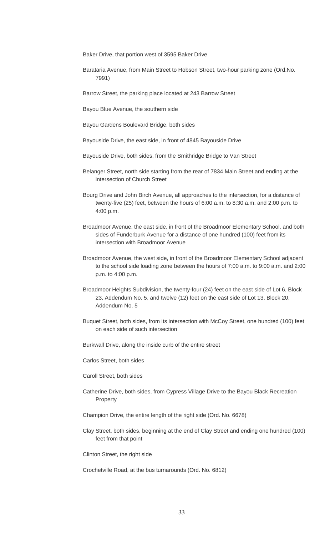Baker Drive, that portion west of 3595 Baker Drive

Barataria Avenue, from Main Street to Hobson Street, two-hour parking zone (Ord.No. 7991)

Barrow Street, the parking place located at 243 Barrow Street

Bayou Blue Avenue, the southern side

Bayou Gardens Boulevard Bridge, both sides

Bayouside Drive, the east side, in front of 4845 Bayouside Drive

- Bayouside Drive, both sides, from the Smithridge Bridge to Van Street
- Belanger Street, north side starting from the rear of 7834 Main Street and ending at the intersection of Church Street
- Bourg Drive and John Birch Avenue, all approaches to the intersection, for a distance of twenty-five (25) feet, between the hours of 6:00 a.m. to 8:30 a.m. and 2:00 p.m. to 4:00 p.m.
- Broadmoor Avenue, the east side, in front of the Broadmoor Elementary School, and both sides of Funderburk Avenue for a distance of one hundred (100) feet from its intersection with Broadmoor Avenue
- Broadmoor Avenue, the west side, in front of the Broadmoor Elementary School adjacent to the school side loading zone between the hours of 7:00 a.m. to 9:00 a.m. and 2:00 p.m. to 4:00 p.m.
- Broadmoor Heights Subdivision, the twenty-four (24) feet on the east side of Lot 6, Block 23, Addendum No. 5, and twelve (12) feet on the east side of Lot 13, Block 20, Addendum No. 5
- Buquet Street, both sides, from its intersection with McCoy Street, one hundred (100) feet on each side of such intersection
- Burkwall Drive, along the inside curb of the entire street
- Carlos Street, both sides
- Caroll Street, both sides
- Catherine Drive, both sides, from Cypress Village Drive to the Bayou Black Recreation Property
- Champion Drive, the entire length of the right side (Ord. No. 6678)
- Clay Street, both sides, beginning at the end of Clay Street and ending one hundred (100) feet from that point

Clinton Street, the right side

Crochetville Road, at the bus turnarounds (Ord. No. 6812)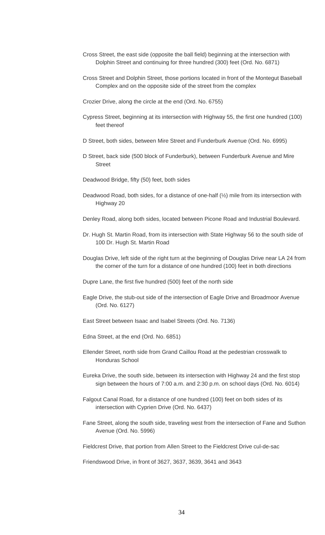- Cross Street, the east side (opposite the ball field) beginning at the intersection with Dolphin Street and continuing for three hundred (300) feet (Ord. No. 6871)
- Cross Street and Dolphin Street, those portions located in front of the Montegut Baseball Complex and on the opposite side of the street from the complex
- Crozier Drive, along the circle at the end (Ord. No. 6755)
- Cypress Street, beginning at its intersection with Highway 55, the first one hundred (100) feet thereof
- D Street, both sides, between Mire Street and Funderburk Avenue (Ord. No. 6995)
- D Street, back side (500 block of Funderburk), between Funderburk Avenue and Mire **Street**
- Deadwood Bridge, fifty (50) feet, both sides
- Deadwood Road, both sides, for a distance of one-half (½) mile from its intersection with Highway 20
- Denley Road, along both sides, located between Picone Road and Industrial Boulevard.
- Dr. Hugh St. Martin Road, from its intersection with State Highway 56 to the south side of 100 Dr. Hugh St. Martin Road
- Douglas Drive, left side of the right turn at the beginning of Douglas Drive near LA 24 from the corner of the turn for a distance of one hundred (100) feet in both directions
- Dupre Lane, the first five hundred (500) feet of the north side
- Eagle Drive, the stub-out side of the intersection of Eagle Drive and Broadmoor Avenue (Ord. No. 6127)
- East Street between Isaac and Isabel Streets (Ord. No. 7136)
- Edna Street, at the end (Ord. No. 6851)
- Ellender Street, north side from Grand Caillou Road at the pedestrian crosswalk to Honduras School
- Eureka Drive, the south side, between its intersection with Highway 24 and the first stop sign between the hours of 7:00 a.m. and 2:30 p.m. on school days (Ord. No. 6014)
- Falgout Canal Road, for a distance of one hundred (100) feet on both sides of its intersection with Cyprien Drive (Ord. No. 6437)
- Fane Street, along the south side, traveling west from the intersection of Fane and Suthon Avenue (Ord. No. 5996)

Fieldcrest Drive, that portion from Allen Street to the Fieldcrest Drive cul-de-sac

Friendswood Drive, in front of 3627, 3637, 3639, 3641 and 3643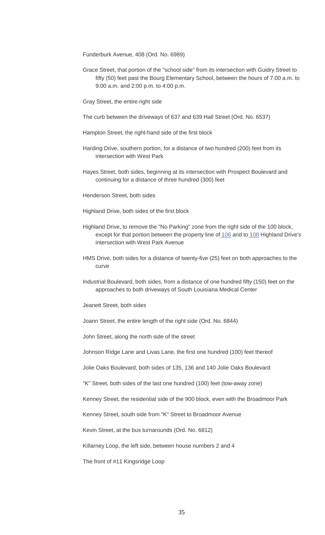Funderburk Avenue, 408 (Ord. No. 6989)

Grace Street, that portion of the "school side" from its intersection with Guidry Street to fifty (50) feet past the Bourg Elementary School, between the hours of 7:00 a.m. to 9:00 a.m. and 2:00 p.m. to 4:00 p.m.

Gray Street, the entire right side

The curb between the driveways of 637 and 639 Hall Street (Ord. No. 6537)

Hampton Street, the right-hand side of the first block

- Harding Drive, southern portion, for a distance of two hundred (200) feet from its intersection with West Park
- Hayes Street, both sides, beginning at its intersection with Prospect Boulevard and continuing for a distance of three hundred (300) feet

Henderson Street, both sides

Highland Drive, both sides of the first block

- Highland Drive, to remove the "No Parking" zone from the right side of the 100 block, except for that portion between the property line of [106](https://www.municode.com/library/) and to [108](https://www.municode.com/library/) Highland Drive's intersection with West Park Avenue
- HMS Drive, both sides for a distance of twenty-five (25) feet on both approaches to the curve
- Industrial Boulevard, both sides, from a distance of one hundred fifty (150) feet on the approaches to both driveways of South Louisiana Medical Center

Jeanett Street, both sides

Joann Street, the entire length of the right side (Ord. No. 6844)

John Street, along the north side of the street

Johnson Ridge Lane and Livas Lane, the first one hundred (100) feet thereof

Jolie Oaks Boulevard, both sides of 135, 136 and 140 Jolie Oaks Boulevard

"K" Street, both sides of the last one hundred (100) feet (tow-away zone)

Kenney Street, the residential side of the 900 block, even with the Broadmoor Park

Kenney Street, south side from "K" Street to Broadmoor Avenue

Kevin Street, at the bus turnarounds (Ord. No. 6812)

Killarney Loop, the left side, between house numbers 2 and 4

The front of #11 Kingsridge Loop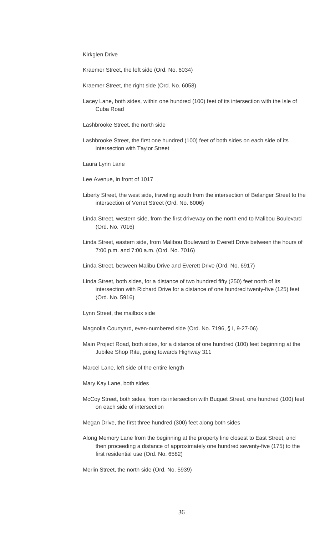Kirkglen Drive

Kraemer Street, the left side (Ord. No. 6034)

- Kraemer Street, the right side (Ord. No. 6058)
- Lacey Lane, both sides, within one hundred (100) feet of its intersection with the Isle of Cuba Road
- Lashbrooke Street, the north side
- Lashbrooke Street, the first one hundred (100) feet of both sides on each side of its intersection with Taylor Street
- Laura Lynn Lane
- Lee Avenue, in front of 1017
- Liberty Street, the west side, traveling south from the intersection of Belanger Street to the intersection of Verret Street (Ord. No. 6006)
- Linda Street, western side, from the first driveway on the north end to Malibou Boulevard (Ord. No. 7016)
- Linda Street, eastern side, from Malibou Boulevard to Everett Drive between the hours of 7:00 p.m. and 7:00 a.m. (Ord. No. 7016)
- Linda Street, between Malibu Drive and Everett Drive (Ord. No. 6917)
- Linda Street, both sides, for a distance of two hundred fifty (250) feet north of its intersection with Richard Drive for a distance of one hundred twenty-five (125) feet (Ord. No. 5916)
- Lynn Street, the mailbox side
- Magnolia Courtyard, even-numbered side (Ord. No. 7196, § I, 9-27-06)
- Main Project Road, both sides, for a distance of one hundred (100) feet beginning at the Jubilee Shop Rite, going towards Highway 311
- Marcel Lane, left side of the entire length
- Mary Kay Lane, both sides
- McCoy Street, both sides, from its intersection with Buquet Street, one hundred (100) feet on each side of intersection
- Megan Drive, the first three hundred (300) feet along both sides
- Along Memory Lane from the beginning at the property line closest to East Street, and then proceeding a distance of approximately one hundred seventy-five (175) to the first residential use (Ord. No. 6582)

Merlin Street, the north side (Ord. No. 5939)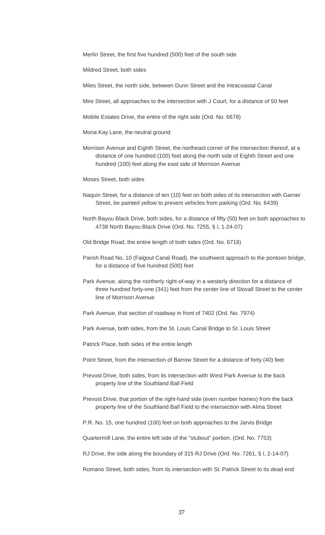Merlin Street, the first five hundred (500) feet of the south side

Mildred Street, both sides

Miles Street, the north side, between Dunn Street and the Intracoastal Canal

Mire Street, all approaches to the intersection with J Court, for a distance of 50 feet

Mobile Estates Drive, the entire of the right side (Ord. No. 6678)

Mona Kay Lane, the neutral ground

Morrison Avenue and Eighth Street, the northeast corner of the intersection thereof, at a distance of one hundred (100) feet along the north side of Eighth Street and one hundred (100) feet along the east side of Morrison Avenue

Moses Street, both sides

- Naquin Street, for a distance of ten (10) feet on both sides of its intersection with Garner Street, be painted yellow to prevent vehicles from parking (Ord. No. 6439)
- North Bayou Black Drive, both sides, for a distance of fifty (50) feet on both approaches to 4738 North Bayou Black Drive (Ord. No. 7255, § I, 1-24-07)

Old Bridge Road, the entire length of both sides (Ord. No. 6718)

- Parish Road No. 10 (Falgout Canal Road), the southwest approach to the pontoon bridge, for a distance of five hundred (500) feet
- Park Avenue, along the northerly right-of-way in a westerly direction for a distance of three hundred forty-one (341) feet from the center line of Stovall Street to the center line of Morrison Avenue
- Park Avenue, that section of roadway in front of 7402 (Ord. No. 7974)
- Park Avenue, both sides, from the St. Louis Canal Bridge to St. Louis Street

Patrick Place, both sides of the entire length

- Point Street, from the intersection of Barrow Street for a distance of forty (40) feet
- Prevost Drive, both sides, from its intersection with West Park Avenue to the back property line of the Southland Ball Field
- Prevost Drive, that portion of the right-hand side (even number homes) from the back property line of the Southland Ball Field to the intersection with Alma Street
- P.R. No. 15, one hundred (100) feet on both approaches to the Jarvis Bridge

Quartermill Lane, the entire left side of the "stubout" portion. (Ord. No. 7753)

RJ Drive, the side along the boundary of 315 RJ Drive (Ord. No. 7261, § I, 2-14-07)

Romano Street, both sides, from its intersection with St. Patrick Street to its dead end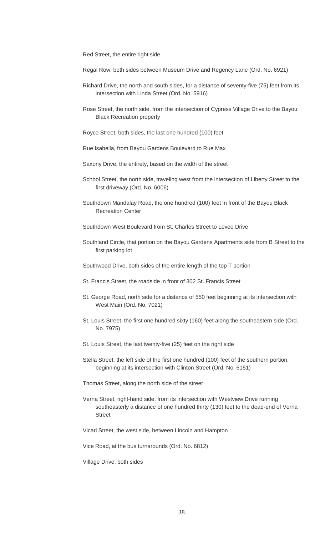Red Street, the entire right side

- Regal Row, both sides between Museum Drive and Regency Lane (Ord. No. 6921)
- Richard Drive, the north and south sides, for a distance of seventy-five (75) feet from its intersection with Linda Street (Ord. No. 5916)
- Rose Street, the north side, from the intersection of Cypress Village Drive to the Bayou Black Recreation property
- Royce Street, both sides, the last one hundred (100) feet
- Rue Isabella, from Bayou Gardens Boulevard to Rue Max
- Saxony Drive, the entirety, based on the width of the street
- School Street, the north side, traveling west from the intersection of Liberty Street to the first driveway (Ord. No. 6006)
- Southdown Mandalay Road, the one hundred (100) feet in front of the Bayou Black Recreation Center
- Southdown West Boulevard from St. Charles Street to Levee Drive
- Southland Circle, that portion on the Bayou Gardens Apartments side from B Street to the first parking lot
- Southwood Drive, both sides of the entire length of the top T portion
- St. Francis Street, the roadside in front of 302 St. Francis Street
- St. George Road, north side for a distance of 550 feet beginning at its intersection with West Main (Ord. No. 7021)
- St. Louis Street, the first one hundred sixty (160) feet along the southeastern side (Ord. No. 7975)
- St. Louis Street, the last twenty-five (25) feet on the right side
- Stella Street, the left side of the first one hundred (100) feet of the southern portion, beginning at its intersection with Clinton Street (Ord. No. 6151)
- Thomas Street, along the north side of the street
- Verna Street, right-hand side, from its intersection with Westview Drive running southeasterly a distance of one hundred thirty (130) feet to the dead-end of Verna **Street**
- Vicari Street, the west side, between Lincoln and Hampton
- Vice Road, at the bus turnarounds (Ord. No. 6812)

Village Drive, both sides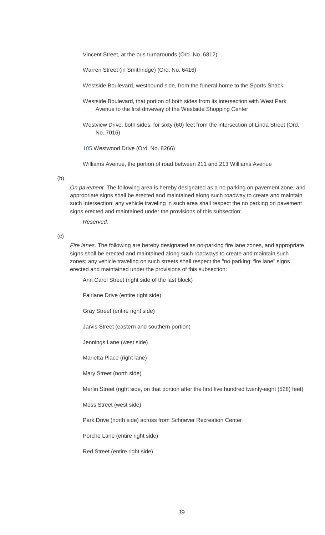Vincent Street, at the bus turnarounds (Ord. No. 6812)

Warren Street (in Smithridge) (Ord. No. 6416)

Westside Boulevard, westbound side, from the funeral home to the Sports Shack

Westside Boulevard, that portion of both sides from its intersection with West Park Avenue to the first driveway of the Westside Shopping Center

Westview Drive, both sides, for sixty (60) feet from the intersection of Linda Street (Ord. No. 7016)

[105](https://www.municode.com/library/) Westwood Drive (Ord. No. 8266)

Williams Avenue, the portion of road between 211 and 213 Williams Avenue

(b)

*On pavement.* The following area is hereby designated as a no parking on pavement zone, and appropriate signs shall be erected and maintained along such roadway to create and maintain such intersection; any vehicle traveling in such area shall respect the no parking on pavement signs erected and maintained under the provisions of this subsection:

*Reserved.*

(c)

*Fire lanes.* The following are hereby designated as no-parking fire lane zones, and appropriate signs shall be erected and maintained along such roadways to create and maintain such zones; any vehicle traveling on such streets shall respect the "no parking: fire lane" signs erected and maintained under the provisions of this subsection:

Ann Carol Street (right side of the last block)

Fairlane Drive (entire right side)

Gray Street (entire right side)

Jarvis Street (eastern and southern portion)

Jennings Lane (west side)

Marietta Place (right lane)

Mary Street (north side)

Merlin Street (right side, on that portion after the first five hundred twenty-eight (528) feet)

Moss Street (west side)

Park Drive (north side) across from Schriever Recreation Center

Porche Lane (entire right side)

Red Street (entire right side)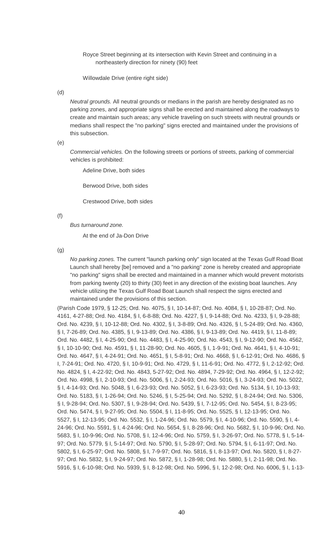Royce Street beginning at its intersection with Kevin Street and continuing in a northeasterly direction for ninety (90) feet

Willowdale Drive (entire right side)

(d)

*Neutral grounds.* All neutral grounds or medians in the parish are hereby designated as no parking zones, and appropriate signs shall be erected and maintained along the roadways to create and maintain such areas; any vehicle traveling on such streets with neutral grounds or medians shall respect the "no parking" signs erected and maintained under the provisions of this subsection.

(e)

*Commercial vehicles.* On the following streets or portions of streets, parking of commercial vehicles is prohibited:

Adeline Drive, both sides

Berwood Drive, both sides

Crestwood Drive, both sides

(f)

*Bus turnaround zone.*

At the end of Ja-Don Drive

(g)

*No parking zones.* The current "launch parking only" sign located at the Texas Gulf Road Boat Launch shall hereby [be] removed and a "no parking" zone is hereby created and appropriate "no parking" signs shall be erected and maintained in a manner which would prevent motorists from parking twenty (20) to thirty (30) feet in any direction of the existing boat launches. Any vehicle utilizing the Texas Gulf Road Boat Launch shall respect the signs erected and maintained under the provisions of this section.

(Parish Code 1979, § 12-25; Ord. No. 4075, § I, 10-14-87; Ord. No. 4084, § I, 10-28-87; Ord. No. 4161, 4-27-88; Ord. No. 4184, § I, 6-8-88; Ord. No. 4227, § I, 9-14-88; Ord. No. 4233, § I, 9-28-88; Ord. No. 4239, § I, 10-12-88; Ord. No. 4302, § I, 3-8-89; Ord. No. 4326, § I, 5-24-89; Ord. No. 4360, § I, 7-26-89; Ord. No. 4385, § I, 9-13-89; Ord. No. 4386, § I, 9-13-89; Ord. No. 4419, § I, 11-8-89; Ord. No. 4482, § I, 4-25-90; Ord. No. 4483, § I, 4-25-90; Ord. No. 4543, § I, 9-12-90; Ord. No. 4562, § I, 10-10-90; Ord. No. 4591, § I, 11-28-90; Ord. No. 4605, § I, 1-9-91; Ord. No. 4641, § I, 4-10-91; Ord. No. 4647, § I, 4-24-91; Ord. No. 4651, § I, 5-8-91; Ord. No. 4668, § I, 6-12-91; Ord. No. 4686, § I, 7-24-91; Ord. No. 4720, § I, 10-9-91; Ord. No. 4729, § I, 11-6-91; Ord. No. 4772, § I, 2-12-92; Ord. No. 4824, § I, 4-22-92; Ord. No. 4843, 5-27-92; Ord. No. 4894, 7-29-92; Ord. No. 4964, § I, 12-2-92; Ord. No. 4998, § I, 2-10-93; Ord. No. 5006, § I, 2-24-93; Ord. No. 5016, § I, 3-24-93; Ord. No. 5022, § I, 4-14-93; Ord. No. 5048, § I, 6-23-93; Ord. No. 5052, § I, 6-23-93; Ord. No. 5134, § I, 10-13-93; Ord. No. 5183, § I, 1-26-94; Ord. No. 5246, § I, 5-25-94; Ord. No. 5292, § I, 8-24-94; Ord. No. 5306, § I, 9-28-94; Ord. No. 5307, § I, 9-28-94; Ord. No. 5439, § I, 7-12-95; Ord. No. 5454, § I, 8-23-95; Ord. No. 5474, § I, 9-27-95; Ord. No. 5504, § I, 11-8-95; Ord. No. 5525, § I, 12-13-95; Ord. No. 5527, § I, 12-13-95; Ord. No. 5532, § I, 1-24-96; Ord. No. 5579, § I, 4-10-96; Ord. No. 5590, § I, 4- 24-96; Ord. No. 5591, § I, 4-24-96; Ord. No. 5654, § I, 8-28-96; Ord. No. 5682, § I, 10-9-96; Ord. No. 5683, § I, 10-9-96; Ord. No. 5708, § I, 12-4-96; Ord. No. 5759, § I, 3-26-97; Ord. No. 5778, § I, 5-14- 97; Ord. No. 5779, § I, 5-14-97; Ord. No. 5790, § I, 5-28-97; Ord. No. 5794, § I, 6-11-97; Ord. No. 5802, § I, 6-25-97; Ord. No. 5808, § I, 7-9-97; Ord. No. 5816, § I, 8-13-97; Ord. No. 5820, § I, 8-27- 97; Ord. No. 5832, § I, 9-24-97; Ord. No. 5872, § I, 1-28-98; Ord. No. 5880, § I, 2-11-98; Ord. No. 5916, § I, 6-10-98; Ord. No. 5939, § I, 8-12-98; Ord. No. 5996, § I, 12-2-98; Ord. No. 6006, § I, 1-13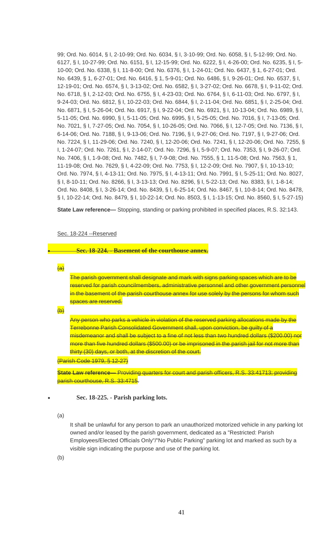99; Ord. No. 6014, § I, 2-10-99; Ord. No. 6034, § I, 3-10-99; Ord. No. 6058, § I, 5-12-99; Ord. No. 6127, § I, 10-27-99; Ord. No. 6151, § I, 12-15-99; Ord. No. 6222, § I, 4-26-00; Ord. No. 6235, § I, 5- 10-00; Ord. No. 6338, § I, 11-8-00; Ord. No. 6376, § I, 1-24-01; Ord. No. 6437, § 1, 6-27-01; Ord. No. 6439, § 1, 6-27-01; Ord. No. 6416, § 1, 5-9-01; Ord. No. 6486, § I, 9-26-01; Ord. No. 6537, § I, 12-19-01; Ord. No. 6574, § I, 3-13-02; Ord. No. 6582, § I, 3-27-02; Ord. No. 6678, § I, 9-11-02; Ord. No. 6718, § I, 2-12-03; Ord. No. 6755, § I, 4-23-03; Ord. No. 6764, § I, 6-11-03; Ord. No. 6797, § I, 9-24-03; Ord. No. 6812, § I, 10-22-03; Ord. No. 6844, § I, 2-11-04; Ord. No. 6851, § I, 2-25-04; Ord. No. 6871, § I, 5-26-04; Ord. No. 6917, § I, 9-22-04; Ord. No. 6921, § I, 10-13-04; Ord. No. 6989, § I, 5-11-05; Ord. No. 6990, § I, 5-11-05; Ord. No. 6995, § I, 5-25-05; Ord. No. 7016, § I, 7-13-05; Ord. No. 7021, § I, 7-27-05; Ord. No. 7054, § I, 10-26-05; Ord. No. 7066, § I, 12-7-05; Ord. No. 7136, § I, 6-14-06; Ord. No. 7188, § I, 9-13-06; Ord. No. 7196, § I, 9-27-06; Ord. No. 7197, § I, 9-27-06; Ord. No. 7224, § I, 11-29-06; Ord. No. 7240, § I, 12-20-06; Ord. No. 7241, § I, 12-20-06; Ord. No. 7255, § I, 1-24-07; Ord. No. 7261, § I, 2-14-07; Ord. No. 7296, § I, 5-9-07; Ord. No. 7353, § I, 9-26-07; Ord. No. 7406, § I, 1-9-08; Ord. No. 7482, § I, 7-9-08; Ord. No. 7555, § 1, 11-5-08; Ord. No. 7563, § 1, 11-19-08; Ord. No. 7629, § I, 4-22-09; Ord. No. 7753, § I, 12-2-09; Ord. No. 7907, § I, 10-13-10; Ord. No. 7974, § I, 4-13-11; Ord. No. 7975, § I, 4-13-11; Ord. No. 7991, § I, 5-25-11; Ord. No. 8027, § I, 8-10-11; Ord. No. 8266, § I, 3-13-13; Ord. No. 8296, § I, 5-22-13; Ord. No. 8383, § I, 1-8-14; Ord. No. 8408, § I, 3-26-14; Ord. No. 8439, § I, 6-25-14; Ord. No. 8467, § I, 10-8-14; Ord. No. 8478, § I, 10-22-14; Ord. No. 8479, § I, 10-22-14; Ord. No. 8503, § I, 1-13-15; Ord. No. 8560, § I, 5-27-15)

**State Law reference—** Stopping, standing or parking prohibited in specified places, R.S. 32:143.

#### Sec. 18-224 --Reserved

• **Sec. 18-224. - Basement of the courthouse annex.**

 $\overline{(a)}$ 

The parish government shall designate and mark with signs parking spaces which are to be reserved for parish councilmembers, administrative personnel and other government personnel in the basement of the parish courthouse annex for use solely by the persons for whom such spaces are reserved.

 $\overline{4}$ 

Any person who parks a vehicle in violation of the reserved parking allocations made by the Terrebonne Parish Consolidated Government shall, upon conviction, be guilty of a misdemeanor and shall be subject to a fine of not less than two hundred dollars (\$200.00) nor more than five hundred dollars (\$500.00) or be imprisoned in the parish jail for not more than thirty (30) days, or both, at the discretion of the court.

(Parish Code 1979, § 12-27)

**State Law reference—** Providing quarters for court and parish officers, R.S. 33:41713; providing parish courthouse, R.S. 33:4715.

#### • **Sec. 18-225. - Parish parking lots.**

(a)

It shall be unlawful for any person to park an unauthorized motorized vehicle in any parking lot owned and/or leased by the parish government, dedicated as a "Restricted: Parish Employees/Elected Officials Only"/"No Public Parking" parking lot and marked as such by a visible sign indicating the purpose and use of the parking lot.

(b)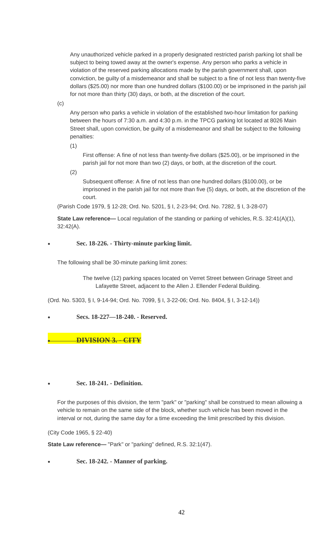Any unauthorized vehicle parked in a properly designated restricted parish parking lot shall be subject to being towed away at the owner's expense. Any person who parks a vehicle in violation of the reserved parking allocations made by the parish government shall, upon conviction, be guilty of a misdemeanor and shall be subject to a fine of not less than twenty-five dollars (\$25.00) nor more than one hundred dollars (\$100.00) or be imprisoned in the parish jail for not more than thirty (30) days, or both, at the discretion of the court.

(c)

Any person who parks a vehicle in violation of the established two-hour limitation for parking between the hours of 7:30 a.m. and 4:30 p.m. in the TPCG parking lot located at 8026 Main Street shall, upon conviction, be guilty of a misdemeanor and shall be subject to the following penalties:

(1)

First offense: A fine of not less than twenty-five dollars (\$25.00), or be imprisoned in the parish jail for not more than two (2) days, or both, at the discretion of the court.

(2)

Subsequent offense: A fine of not less than one hundred dollars (\$100.00), or be imprisoned in the parish jail for not more than five (5) days, or both, at the discretion of the court.

(Parish Code 1979, § 12-28; Ord. No. 5201, § I, 2-23-94; Ord. No. 7282, § I, 3-28-07)

**State Law reference—** Local regulation of the standing or parking of vehicles, R.S. 32:41(A)(1), 32:42(A).

# • **Sec. 18-226. - Thirty-minute parking limit.**

The following shall be 30-minute parking limit zones:

The twelve (12) parking spaces located on Verret Street between Grinage Street and Lafayette Street, adjacent to the Allen J. Ellender Federal Building.

(Ord. No. 5303, § I, 9-14-94; Ord. No. 7099, § I, 3-22-06; Ord. No. 8404, § I, 3-12-14))

• **Secs. 18-227—18-240. - Reserved.**

• **DIVISION 3. - CITY**

## • **Sec. 18-241. - Definition.**

For the purposes of this division, the term "park" or "parking" shall be construed to mean allowing a vehicle to remain on the same side of the block, whether such vehicle has been moved in the interval or not, during the same day for a time exceeding the limit prescribed by this division.

(City Code 1965, § 22-40)

**State Law reference—** "Park" or "parking" defined, R.S. 32:1(47).

• **Sec. 18-242. - Manner of parking.**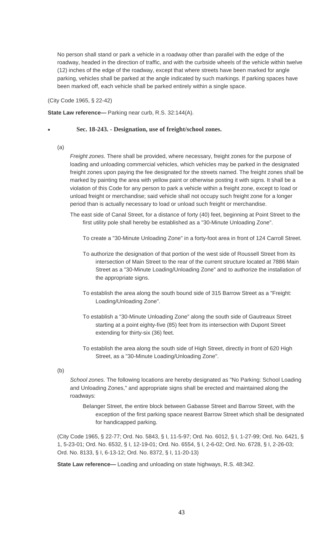No person shall stand or park a vehicle in a roadway other than parallel with the edge of the roadway, headed in the direction of traffic, and with the curbside wheels of the vehicle within twelve (12) inches of the edge of the roadway, except that where streets have been marked for angle parking, vehicles shall be parked at the angle indicated by such markings. If parking spaces have been marked off, each vehicle shall be parked entirely within a single space.

(City Code 1965, § 22-42)

**State Law reference—** Parking near curb, R.S. 32:144(A).

## • **Sec. 18-243. - Designation, use of freight/school zones.**

(a)

*Freight zones.* There shall be provided, where necessary, freight zones for the purpose of loading and unloading commercial vehicles, which vehicles may be parked in the designated freight zones upon paying the fee designated for the streets named. The freight zones shall be marked by painting the area with yellow paint or otherwise posting it with signs. It shall be a violation of this Code for any person to park a vehicle within a freight zone, except to load or unload freight or merchandise; said vehicle shall not occupy such freight zone for a longer period than is actually necessary to load or unload such freight or merchandise.

- The east side of Canal Street, for a distance of forty (40) feet, beginning at Point Street to the first utility pole shall hereby be established as a "30-Minute Unloading Zone".
	- To create a "30-Minute Unloading Zone" in a forty-foot area in front of 124 Carroll Street.
	- To authorize the designation of that portion of the west side of Roussell Street from its intersection of Main Street to the rear of the current structure located at 7886 Main Street as a "30-Minute Loading/Unloading Zone" and to authorize the installation of the appropriate signs.
	- To establish the area along the south bound side of 315 Barrow Street as a "Freight: Loading/Unloading Zone".
	- To establish a "30-Minute Unloading Zone" along the south side of Gautreaux Street starting at a point eighty-five (85) feet from its intersection with Dupont Street extending for thirty-six (36) feet.
	- To establish the area along the south side of High Street, directly in front of 620 High Street, as a "30-Minute Loading/Unloading Zone".
- (b)

*School zones.* The following locations are hereby designated as "No Parking: School Loading and Unloading Zones," and appropriate signs shall be erected and maintained along the roadways:

Belanger Street, the entire block between Gabasse Street and Barrow Street, with the exception of the first parking space nearest Barrow Street which shall be designated for handicapped parking.

(City Code 1965, § 22-77; Ord. No. 5843, § I, 11-5-97; Ord. No. 6012, § I, 1-27-99; Ord. No. 6421, § 1, 5-23-01; Ord. No. 6532, § I, 12-19-01; Ord. No. 6554, § I, 2-6-02; Ord. No. 6728, § I, 2-26-03; Ord. No. 8133, § I, 6-13-12; Ord. No. 8372, § I, 11-20-13)

**State Law reference—** Loading and unloading on state highways, R.S. 48:342.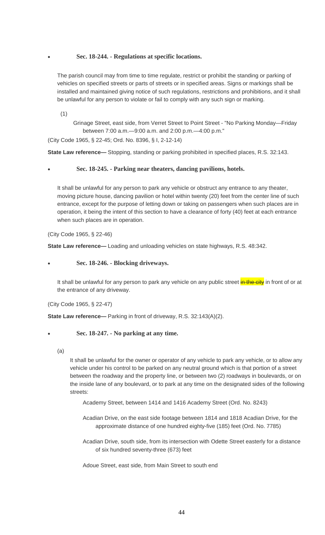# • **Sec. 18-244. - Regulations at specific locations.**

The parish council may from time to time regulate, restrict or prohibit the standing or parking of vehicles on specified streets or parts of streets or in specified areas. Signs or markings shall be installed and maintained giving notice of such regulations, restrictions and prohibitions, and it shall be unlawful for any person to violate or fail to comply with any such sign or marking.

(1)

Grinage Street, east side, from Verret Street to Point Street - "No Parking Monday—Friday between 7:00 a.m.—9:00 a.m. and 2:00 p.m.—4:00 p.m."

(City Code 1965, § 22-45; Ord. No. 8396, § I, 2-12-14)

**State Law reference—** Stopping, standing or parking prohibited in specified places, R.S. 32:143.

# • **Sec. 18-245. - Parking near theaters, dancing pavilions, hotels.**

It shall be unlawful for any person to park any vehicle or obstruct any entrance to any theater, moving picture house, dancing pavilion or hotel within twenty (20) feet from the center line of such entrance, except for the purpose of letting down or taking on passengers when such places are in operation, it being the intent of this section to have a clearance of forty (40) feet at each entrance when such places are in operation.

(City Code 1965, § 22-46)

**State Law reference—** Loading and unloading vehicles on state highways, R.S. 48:342.

## • **Sec. 18-246. - Blocking driveways.**

It shall be unlawful for any person to park any vehicle on any public street in the city in front of or at the entrance of any driveway.

(City Code 1965, § 22-47)

**State Law reference—** Parking in front of driveway, R.S. 32:143(A)(2).

## • **Sec. 18-247. - No parking at any time.**

(a)

It shall be unlawful for the owner or operator of any vehicle to park any vehicle, or to allow any vehicle under his control to be parked on any neutral ground which is that portion of a street between the roadway and the property line, or between two (2) roadways in boulevards, or on the inside lane of any boulevard, or to park at any time on the designated sides of the following streets:

Academy Street, between 1414 and 1416 Academy Street (Ord. No. 8243)

Acadian Drive, on the east side footage between 1814 and 1818 Acadian Drive, for the approximate distance of one hundred eighty-five (185) feet (Ord. No. 7785)

Acadian Drive, south side, from its intersection with Odette Street easterly for a distance of six hundred seventy-three (673) feet

Adoue Street, east side, from Main Street to south end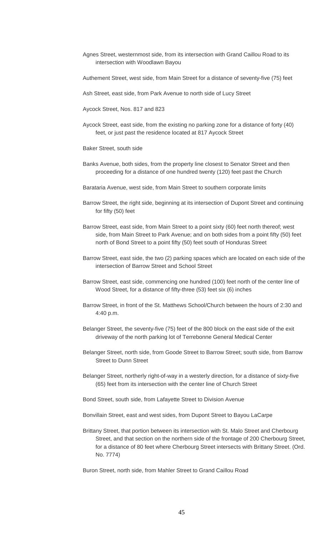- Agnes Street, westernmost side, from its intersection with Grand Caillou Road to its intersection with Woodlawn Bayou
- Authement Street, west side, from Main Street for a distance of seventy-five (75) feet

Ash Street, east side, from Park Avenue to north side of Lucy Street

- Aycock Street, Nos. 817 and 823
- Aycock Street, east side, from the existing no parking zone for a distance of forty (40) feet, or just past the residence located at 817 Aycock Street
- Baker Street, south side
- Banks Avenue, both sides, from the property line closest to Senator Street and then proceeding for a distance of one hundred twenty (120) feet past the Church
- Barataria Avenue, west side, from Main Street to southern corporate limits
- Barrow Street, the right side, beginning at its intersection of Dupont Street and continuing for fifty (50) feet
- Barrow Street, east side, from Main Street to a point sixty (60) feet north thereof; west side, from Main Street to Park Avenue; and on both sides from a point fifty (50) feet north of Bond Street to a point fifty (50) feet south of Honduras Street
- Barrow Street, east side, the two (2) parking spaces which are located on each side of the intersection of Barrow Street and School Street
- Barrow Street, east side, commencing one hundred (100) feet north of the center line of Wood Street, for a distance of fifty-three (53) feet six (6) inches
- Barrow Street, in front of the St. Matthews School/Church between the hours of 2:30 and 4:40 p.m.
- Belanger Street, the seventy-five (75) feet of the 800 block on the east side of the exit driveway of the north parking lot of Terrebonne General Medical Center
- Belanger Street, north side, from Goode Street to Barrow Street; south side, from Barrow Street to Dunn Street
- Belanger Street, northerly right-of-way in a westerly direction, for a distance of sixty-five (65) feet from its intersection with the center line of Church Street
- Bond Street, south side, from Lafayette Street to Division Avenue
- Bonvillain Street, east and west sides, from Dupont Street to Bayou LaCarpe
- Brittany Street, that portion between its intersection with St. Malo Street and Cherbourg Street, and that section on the northern side of the frontage of 200 Cherbourg Street, for a distance of 80 feet where Cherbourg Street intersects with Brittany Street. (Ord. No. 7774)
- Buron Street, north side, from Mahler Street to Grand Caillou Road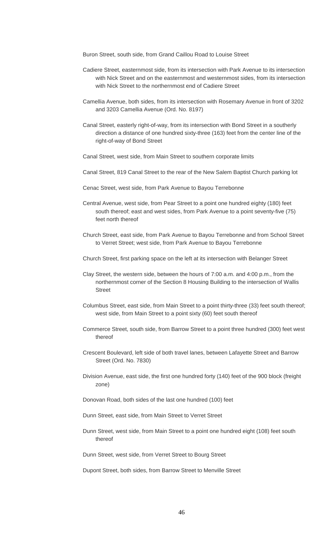- Buron Street, south side, from Grand Caillou Road to Louise Street
- Cadiere Street, easternmost side, from its intersection with Park Avenue to its intersection with Nick Street and on the easternmost and westernmost sides, from its intersection with Nick Street to the northernmost end of Cadiere Street
- Camellia Avenue, both sides, from its intersection with Rosemary Avenue in front of 3202 and 3203 Camellia Avenue (Ord. No. 8197)
- Canal Street, easterly right-of-way, from its intersection with Bond Street in a southerly direction a distance of one hundred sixty-three (163) feet from the center line of the right-of-way of Bond Street
- Canal Street, west side, from Main Street to southern corporate limits
- Canal Street, 819 Canal Street to the rear of the New Salem Baptist Church parking lot
- Cenac Street, west side, from Park Avenue to Bayou Terrebonne
- Central Avenue, west side, from Pear Street to a point one hundred eighty (180) feet south thereof; east and west sides, from Park Avenue to a point seventy-five (75) feet north thereof
- Church Street, east side, from Park Avenue to Bayou Terrebonne and from School Street to Verret Street; west side, from Park Avenue to Bayou Terrebonne
- Church Street, first parking space on the left at its intersection with Belanger Street
- Clay Street, the western side, between the hours of 7:00 a.m. and 4:00 p.m., from the northernmost corner of the Section 8 Housing Building to the intersection of Wallis Street
- Columbus Street, east side, from Main Street to a point thirty-three (33) feet south thereof; west side, from Main Street to a point sixty (60) feet south thereof
- Commerce Street, south side, from Barrow Street to a point three hundred (300) feet west thereof
- Crescent Boulevard, left side of both travel lanes, between Lafayette Street and Barrow Street (Ord. No. 7830)
- Division Avenue, east side, the first one hundred forty (140) feet of the 900 block (freight zone)
- Donovan Road, both sides of the last one hundred (100) feet
- Dunn Street, east side, from Main Street to Verret Street
- Dunn Street, west side, from Main Street to a point one hundred eight (108) feet south thereof
- Dunn Street, west side, from Verret Street to Bourg Street
- Dupont Street, both sides, from Barrow Street to Menville Street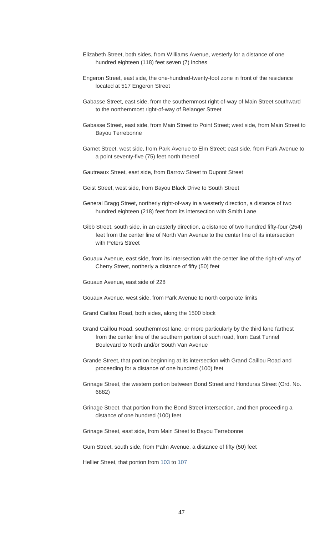- Elizabeth Street, both sides, from Williams Avenue, westerly for a distance of one hundred eighteen (118) feet seven (7) inches
- Engeron Street, east side, the one-hundred-twenty-foot zone in front of the residence located at 517 Engeron Street
- Gabasse Street, east side, from the southernmost right-of-way of Main Street southward to the northernmost right-of-way of Belanger Street
- Gabasse Street, east side, from Main Street to Point Street; west side, from Main Street to Bayou Terrebonne
- Garnet Street, west side, from Park Avenue to Elm Street; east side, from Park Avenue to a point seventy-five (75) feet north thereof
- Gautreaux Street, east side, from Barrow Street to Dupont Street
- Geist Street, west side, from Bayou Black Drive to South Street
- General Bragg Street, northerly right-of-way in a westerly direction, a distance of two hundred eighteen (218) feet from its intersection with Smith Lane
- Gibb Street, south side, in an easterly direction, a distance of two hundred fifty-four (254) feet from the center line of North Van Avenue to the center line of its intersection with Peters Street
- Gouaux Avenue, east side, from its intersection with the center line of the right-of-way of Cherry Street, northerly a distance of fifty (50) feet

Gouaux Avenue, east side of 228

Gouaux Avenue, west side, from Park Avenue to north corporate limits

Grand Caillou Road, both sides, along the 1500 block

- Grand Caillou Road, southernmost lane, or more particularly by the third lane farthest from the center line of the southern portion of such road, from East Tunnel Boulevard to North and/or South Van Avenue
- Grande Street, that portion beginning at its intersection with Grand Caillou Road and proceeding for a distance of one hundred (100) feet
- Grinage Street, the western portion between Bond Street and Honduras Street (Ord. No. 6882)
- Grinage Street, that portion from the Bond Street intersection, and then proceeding a distance of one hundred (100) feet
- Grinage Street, east side, from Main Street to Bayou Terrebonne

Gum Street, south side, from Palm Avenue, a distance of fifty (50) feet

Hellier Street, that portion from [103](https://www.municode.com/library/) to [107](https://www.municode.com/library/)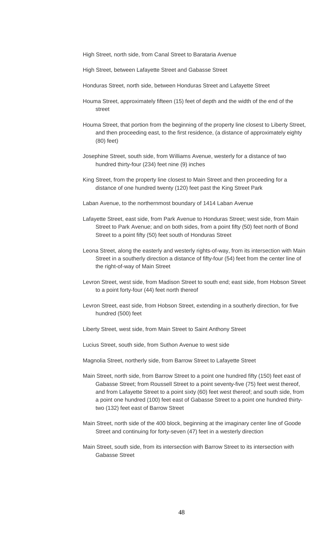- High Street, north side, from Canal Street to Barataria Avenue
- High Street, between Lafayette Street and Gabasse Street
- Honduras Street, north side, between Honduras Street and Lafayette Street
- Houma Street, approximately fifteen (15) feet of depth and the width of the end of the street
- Houma Street, that portion from the beginning of the property line closest to Liberty Street, and then proceeding east, to the first residence, (a distance of approximately eighty (80) feet)
- Josephine Street, south side, from Williams Avenue, westerly for a distance of two hundred thirty-four (234) feet nine (9) inches
- King Street, from the property line closest to Main Street and then proceeding for a distance of one hundred twenty (120) feet past the King Street Park
- Laban Avenue, to the northernmost boundary of 1414 Laban Avenue
- Lafayette Street, east side, from Park Avenue to Honduras Street; west side, from Main Street to Park Avenue; and on both sides, from a point fifty (50) feet north of Bond Street to a point fifty (50) feet south of Honduras Street
- Leona Street, along the easterly and westerly rights-of-way, from its intersection with Main Street in a southerly direction a distance of fifty-four (54) feet from the center line of the right-of-way of Main Street
- Levron Street, west side, from Madison Street to south end; east side, from Hobson Street to a point forty-four (44) feet north thereof
- Levron Street, east side, from Hobson Street, extending in a southerly direction, for five hundred (500) feet
- Liberty Street, west side, from Main Street to Saint Anthony Street
- Lucius Street, south side, from Suthon Avenue to west side
- Magnolia Street, northerly side, from Barrow Street to Lafayette Street
- Main Street, north side, from Barrow Street to a point one hundred fifty (150) feet east of Gabasse Street; from Roussell Street to a point seventy-five (75) feet west thereof, and from Lafayette Street to a point sixty (60) feet west thereof; and south side, from a point one hundred (100) feet east of Gabasse Street to a point one hundred thirtytwo (132) feet east of Barrow Street
- Main Street, north side of the 400 block, beginning at the imaginary center line of Goode Street and continuing for forty-seven (47) feet in a westerly direction
- Main Street, south side, from its intersection with Barrow Street to its intersection with Gabasse Street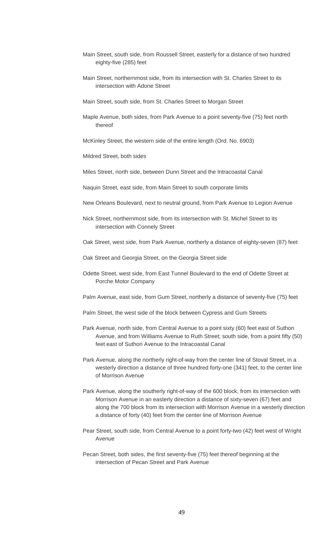- Main Street, south side, from Roussell Street, easterly for a distance of two hundred eighty-five (285) feet
- Main Street, northernmost side, from its intersection with St. Charles Street to its intersection with Adone Street
- Main Street, south side, from St. Charles Street to Morgan Street
- Maple Avenue, both sides, from Park Avenue to a point seventy-five (75) feet north thereof

McKinley Street, the western side of the entire length (Ord. No. 6903)

Mildred Street, both sides

Miles Street, north side, between Dunn Street and the Intracoastal Canal

Naquin Street, east side, from Main Street to south corporate limits

New Orleans Boulevard, next to neutral ground, from Park Avenue to Legion Avenue

- Nick Street, northernmost side, from its intersection with St. Michel Street to its intersection with Connely Street
- Oak Street, west side, from Park Avenue, northerly a distance of eighty-seven (87) feet
- Oak Street and Georgia Street, on the Georgia Street side
- Odette Street, west side, from East Tunnel Boulevard to the end of Odette Street at Porche Motor Company
- Palm Avenue, east side, from Gum Street, northerly a distance of seventy-five (75) feet
- Palm Street, the west side of the block between Cypress and Gum Streets
- Park Avenue, north side, from Central Avenue to a point sixty (60) feet east of Suthon Avenue, and from Williams Avenue to Ruth Street; south side, from a point fifty (50) feet east of Suthon Avenue to the Intracoastal Canal
- Park Avenue, along the northerly right-of-way from the center line of Stoval Street, in a westerly direction a distance of three hundred forty-one (341) feet, to the center line of Morrison Avenue
- Park Avenue, along the southerly right-of-way of the 600 block, from its intersection with Morrison Avenue in an easterly direction a distance of sixty-seven (67) feet and along the 700 block from its intersection with Morrison Avenue in a westerly direction a distance of forty (40) feet from the center line of Morrison Avenue
- Pear Street, south side, from Central Avenue to a point forty-two (42) feet west of Wright Avenue
- Pecan Street, both sides, the first seventy-five (75) feet thereof beginning at the intersection of Pecan Street and Park Avenue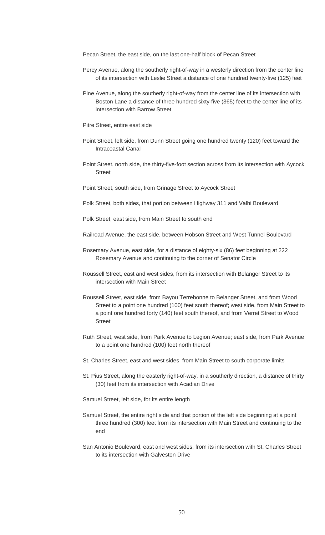Pecan Street, the east side, on the last one-half block of Pecan Street

- Percy Avenue, along the southerly right-of-way in a westerly direction from the center line of its intersection with Leslie Street a distance of one hundred twenty-five (125) feet
- Pine Avenue, along the southerly right-of-way from the center line of its intersection with Boston Lane a distance of three hundred sixty-five (365) feet to the center line of its intersection with Barrow Street
- Pitre Street, entire east side
- Point Street, left side, from Dunn Street going one hundred twenty (120) feet toward the Intracoastal Canal
- Point Street, north side, the thirty-five-foot section across from its intersection with Aycock Street
- Point Street, south side, from Grinage Street to Aycock Street
- Polk Street, both sides, that portion between Highway 311 and Valhi Boulevard

Polk Street, east side, from Main Street to south end

- Railroad Avenue, the east side, between Hobson Street and West Tunnel Boulevard
- Rosemary Avenue, east side, for a distance of eighty-six (86) feet beginning at 222 Rosemary Avenue and continuing to the corner of Senator Circle
- Roussell Street, east and west sides, from its intersection with Belanger Street to its intersection with Main Street
- Roussell Street, east side, from Bayou Terrebonne to Belanger Street, and from Wood Street to a point one hundred (100) feet south thereof; west side, from Main Street to a point one hundred forty (140) feet south thereof, and from Verret Street to Wood Street
- Ruth Street, west side, from Park Avenue to Legion Avenue; east side, from Park Avenue to a point one hundred (100) feet north thereof
- St. Charles Street, east and west sides, from Main Street to south corporate limits
- St. Pius Street, along the easterly right-of-way, in a southerly direction, a distance of thirty (30) feet from its intersection with Acadian Drive
- Samuel Street, left side, for its entire length
- Samuel Street, the entire right side and that portion of the left side beginning at a point three hundred (300) feet from its intersection with Main Street and continuing to the end
- San Antonio Boulevard, east and west sides, from its intersection with St. Charles Street to its intersection with Galveston Drive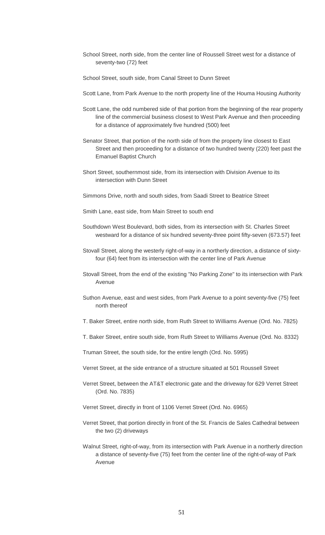- School Street, north side, from the center line of Roussell Street west for a distance of seventy-two (72) feet
- School Street, south side, from Canal Street to Dunn Street
- Scott Lane, from Park Avenue to the north property line of the Houma Housing Authority
- Scott Lane, the odd numbered side of that portion from the beginning of the rear property line of the commercial business closest to West Park Avenue and then proceeding for a distance of approximately five hundred (500) feet
- Senator Street, that portion of the north side of from the property line closest to East Street and then proceeding for a distance of two hundred twenty (220) feet past the Emanuel Baptist Church
- Short Street, southernmost side, from its intersection with Division Avenue to its intersection with Dunn Street
- Simmons Drive, north and south sides, from Saadi Street to Beatrice Street
- Smith Lane, east side, from Main Street to south end
- Southdown West Boulevard, both sides, from its intersection with St. Charles Street westward for a distance of six hundred seventy-three point fifty-seven (673.57) feet
- Stovall Street, along the westerly right-of-way in a northerly direction, a distance of sixtyfour (64) feet from its intersection with the center line of Park Avenue
- Stovall Street, from the end of the existing "No Parking Zone" to its intersection with Park Avenue
- Suthon Avenue, east and west sides, from Park Avenue to a point seventy-five (75) feet north thereof
- T. Baker Street, entire north side, from Ruth Street to Williams Avenue (Ord. No. 7825)
- T. Baker Street, entire south side, from Ruth Street to Williams Avenue (Ord. No. 8332)
- Truman Street, the south side, for the entire length (Ord. No. 5995)
- Verret Street, at the side entrance of a structure situated at 501 Roussell Street
- Verret Street, between the AT&T electronic gate and the driveway for 629 Verret Street (Ord. No. 7835)
- Verret Street, directly in front of 1106 Verret Street (Ord. No. 6965)
- Verret Street, that portion directly in front of the St. Francis de Sales Cathedral between the two (2) driveways
- Walnut Street, right-of-way, from its intersection with Park Avenue in a northerly direction a distance of seventy-five (75) feet from the center line of the right-of-way of Park Avenue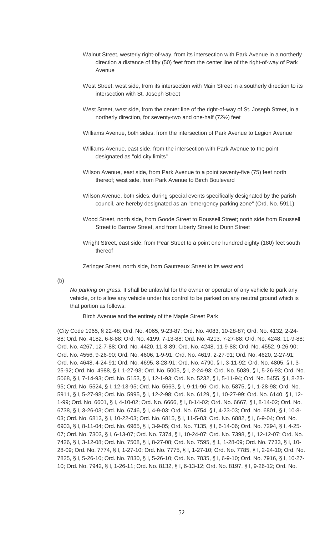- Walnut Street, westerly right-of-way, from its intersection with Park Avenue in a northerly direction a distance of fifty (50) feet from the center line of the right-of-way of Park Avenue
- West Street, west side, from its intersection with Main Street in a southerly direction to its intersection with St. Joseph Street
- West Street, west side, from the center line of the right-of-way of St. Joseph Street, in a northerly direction, for seventy-two and one-half (72½) feet
- Williams Avenue, both sides, from the intersection of Park Avenue to Legion Avenue
- Williams Avenue, east side, from the intersection with Park Avenue to the point designated as "old city limits"
- Wilson Avenue, east side, from Park Avenue to a point seventy-five (75) feet north thereof; west side, from Park Avenue to Birch Boulevard
- Wilson Avenue, both sides, during special events specifically designated by the parish council, are hereby designated as an "emergency parking zone" (Ord. No. 5911)
- Wood Street, north side, from Goode Street to Roussell Street; north side from Roussell Street to Barrow Street, and from Liberty Street to Dunn Street
- Wright Street, east side, from Pear Street to a point one hundred eighty (180) feet south thereof

Zeringer Street, north side, from Gautreaux Street to its west end

(b)

*No parking on grass.* It shall be unlawful for the owner or operator of any vehicle to park any vehicle, or to allow any vehicle under his control to be parked on any neutral ground which is that portion as follows:

Birch Avenue and the entirety of the Maple Street Park

(City Code 1965, § 22-48; Ord. No. 4065, 9-23-87; Ord. No. 4083, 10-28-87; Ord. No. 4132, 2-24- 88; Ord. No. 4182, 6-8-88; Ord. No. 4199, 7-13-88; Ord. No. 4213, 7-27-88; Ord. No. 4248, 11-9-88; Ord. No. 4267, 12-7-88; Ord. No. 4420, 11-8-89; Ord. No. 4248, 11-9-88; Ord. No. 4552, 9-26-90; Ord. No. 4556, 9-26-90; Ord. No. 4606, 1-9-91; Ord. No. 4619, 2-27-91; Ord. No. 4620, 2-27-91; Ord. No. 4648, 4-24-91; Ord. No. 4695, 8-28-91; Ord. No. 4790, § I, 3-11-92; Ord. No. 4805, § I, 3- 25-92; Ord. No. 4988, § I, 1-27-93; Ord. No. 5005, § I, 2-24-93; Ord. No. 5039, § I, 5-26-93; Ord. No. 5068, § I, 7-14-93; Ord. No. 5153, § I, 12-1-93; Ord. No. 5232, § I, 5-11-94; Ord. No. 5455, § I, 8-23- 95; Ord. No. 5524, § I, 12-13-95; Ord. No. 5663, § I, 9-11-96; Ord. No. 5875, § I, 1-28-98; Ord. No. 5911, § I, 5-27-98; Ord. No. 5995, § I, 12-2-98; Ord. No. 6129, § I, 10-27-99; Ord. No. 6140, § I, 12- 1-99; Ord. No. 6601, § I, 4-10-02; Ord. No. 6666, § I, 8-14-02; Ord. No. 6667, § I, 8-14-02; Ord. No. 6738, § I, 3-26-03; Ord. No. 6746, § I, 4-9-03; Ord. No. 6754, § I, 4-23-03; Ord. No. 6801, § I, 10-8- 03; Ord. No. 6813, § I, 10-22-03; Ord. No. 6815, § I, 11-5-03; Ord. No. 6882, § I, 6-9-04; Ord. No. 6903, § I, 8-11-04; Ord. No. 6965, § I, 3-9-05; Ord. No. 7135, § I, 6-14-06; Ord. No. 7294, § I, 4-25- 07; Ord. No. 7303, § I, 6-13-07; Ord. No. 7374, § I, 10-24-07; Ord. No. 7398, § I, 12-12-07; Ord. No. 7426, § I, 3-12-08; Ord. No. 7508, § I, 8-27-08; Ord. No. 7595, § 1, 1-28-09; Ord. No. 7733, § I, 10- 28-09; Ord. No. 7774, § I, 1-27-10; Ord. No. 7775, § I, 1-27-10; Ord. No. 7785, § I, 2-24-10; Ord. No. 7825, § I, 5-26-10; Ord. No. 7830, § I, 5-26-10; Ord. No. 7835, § I, 6-9-10; Ord. No. 7916, § I, 10-27- 10; Ord. No. 7942, § I, 1-26-11; Ord. No. 8132, § I, 6-13-12; Ord. No. 8197, § I, 9-26-12; Ord. No.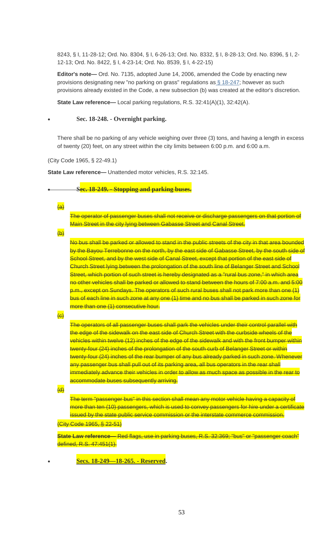8243, § I, 11-28-12; Ord. No. 8304, § I, 6-26-13; Ord. No. 8332, § I, 8-28-13; Ord. No. 8396, § I, 2- 12-13; Ord. No. 8422, § I, 4-23-14; Ord. No. 8539, § I, 4-22-15)

**Editor's note—** Ord. No. 7135, adopted June 14, 2006, amended the Code by enacting new provisions designating new "no parking on grass" regulations as [§ 18-247;](https://www.municode.com/library/) however as such provisions already existed in the Code, a new subsection (b) was created at the editor's discretion.

**State Law reference—** Local parking regulations, R.S. 32:41(A)(1), 32:42(A).

#### • **Sec. 18-248. - Overnight parking.**

There shall be no parking of any vehicle weighing over three (3) tons, and having a length in excess of twenty (20) feet, on any street within the city limits between 6:00 p.m. and 6:00 a.m.

(City Code 1965, § 22-49.1)

**State Law reference—** Unattended motor vehicles, R.S. 32:145.

|  | See 18.240 Stanning and parking buses                                             |  |  |
|--|-----------------------------------------------------------------------------------|--|--|
|  | $\frac{1}{2}$ bit to $\frac{1}{4}$ , $\frac{1}{2}$ bit plants and partning busts. |  |  |

 $\overline{a}$ 

The operator of passenger buses shall not receive or discharge passengers on that portion of Main Street in the city lying between Gabasse Street and Canal Street.

 $\overline{(b)}$ 

No bus shall be parked or allowed to stand in the public streets of the city in that area bounded by the Bayou Terrebonne on the north, by the east side of Gabasse Street, by the south side of School Street, and by the west side of Canal Street, except that portion of the east side of Church Street lying between the prolongation of the south line of Belanger Street and School Street, which portion of such street is hereby designated as a "rural bus zone," in which area no other vehicles shall be parked or allowed to stand between the hours of 7:00 a.m. and 5:00 p.m., except on Sundays. The operators of such rural buses shall not park more than one (1) bus of each line in such zone at any one (1) time and no bus shall be parked in such zone for more than one (1) consecutive hour.

 $\left(\mathrm{e}\right)$ 

The operators of all passenger buses shall park the vehicles under their control parallel with the edge of the sidewalk on the east side of Church Street with the curbside wheels of the vehicles within twelve (12) inches of the edge of the sidewalk and with the front bumper within twenty-four (24) inches of the prolongation of the south curb of Belanger Street or within twenty-four (24) inches of the rear bumper of any bus already parked in such zone. Whenever any passenger bus shall pull out of its parking area, all bus operators in the rear shall immediately advance their vehicles in order to allow as much space as possible in the rear to accommodate buses subsequently arriving.

 $\overline{(d)}$ 

The term "passenger bus" in this section shall mean any motor vehicle having a capacity of more than ten (10) passengers, which is used to convey passengers for hire under a certificate issued by the state public service commission or the interstate commerce commission.

(City Code 1965, § 22-51)

**State Law reference—** Red flags, use in parking buses, R.S. 32:369; "bus" or "passenger coach" defined, R.S. 47:451(1).

• **Secs. 18-249—18-265. - Reserved.**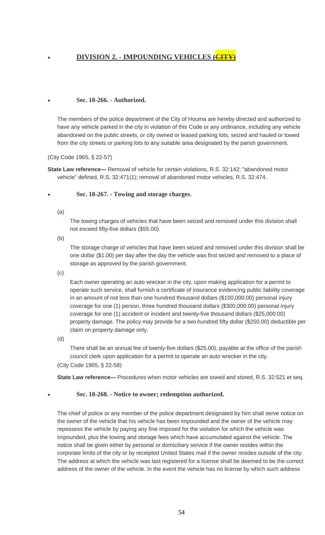# • **DIVISION 2. - IMPOUNDING VEHICLES (CITY)**

# • **Sec. 18-266. - Authorized.**

The members of the police department of the City of Houma are hereby directed and authorized to have any vehicle parked in the city in violation of this Code or any ordinance, including any vehicle abandoned on the public streets, or city owned or leased parking lots, seized and hauled or towed from the city streets or parking lots to any suitable area designated by the parish government.

(City Code 1965, § 22-57)

**State Law reference—** Removal of vehicle for certain violations, R.S. 32:142; "abandoned motor vehicle" defined, R.S. 32:471(1); removal of abandoned motor vehicles, R.S. 32:474.

## • **Sec. 18-267. - Towing and storage charges.**

(a)

The towing charges of vehicles that have been seized and removed under this division shall not exceed fifty-five dollars (\$55.00).

(b)

The storage charge of vehicles that have been seized and removed under this division shall be one dollar (\$1.00) per day after the day the vehicle was first seized and removed to a place of storage as approved by the parish government.

(c)

Each owner operating an auto wrecker in the city, upon making application for a permit to operate such service, shall furnish a certificate of insurance evidencing public liability coverage in an amount of not less than one hundred thousand dollars (\$100,000.00) personal injury coverage for one (1) person, three hundred thousand dollars (\$300,000.00) personal injury coverage for one (1) accident or incident and twenty-five thousand dollars (\$25,000.00) property damage. The policy may provide for a two hundred fifty dollar (\$250.00) deductible per claim on property damage only.

(d)

There shall be an annual fee of twenty-five dollars (\$25.00), payable at the office of the parish council clerk upon application for a permit to operate an auto wrecker in the city.

## (City Code 1965, § 22-58)

**State Law reference—** Procedures when motor vehicles are towed and stored, R.S. 32:521 et seq.

## • **Sec. 18-268. - Notice to owner; redemption authorized.**

The chief of police or any member of the police department designated by him shall serve notice on the owner of the vehicle that his vehicle has been impounded and the owner of the vehicle may repossess the vehicle by paying any fine imposed for the violation for which the vehicle was impounded, plus the towing and storage fees which have accumulated against the vehicle. The notice shall be given either by personal or domiciliary service if the owner resides within the corporate limits of the city or by receipted United States mail if the owner resides outside of the city. The address at which the vehicle was last registered for a license shall be deemed to be the correct address of the owner of the vehicle. In the event the vehicle has no license by which such address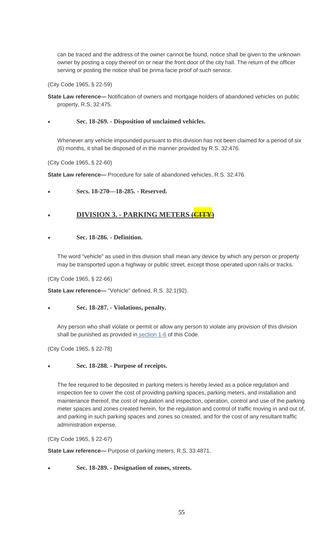can be traced and the address of the owner cannot be found, notice shall be given to the unknown owner by posting a copy thereof on or near the front door of the city hall. The return of the officer serving or posting the notice shall be prima facie proof of such service.

(City Code 1965, § 22-59)

**State Law reference—** Notification of owners and mortgage holders of abandoned vehicles on public property, R.S. 32:475.

## • **Sec. 18-269. - Disposition of unclaimed vehicles.**

Whenever any vehicle impounded pursuant to this division has not been claimed for a period of six (6) months, it shall be disposed of in the manner provided by R.S. 32:476.

(City Code 1965, § 22-60)

**State Law reference—** Procedure for sale of abandoned vehicles, R.S. 32:476.

• **Secs. 18-270—18-285. - Reserved.**

# • **DIVISION 3. - PARKING METERS (CITY)**

## • **Sec. 18-286. - Definition.**

The word "vehicle" as used in this division shall mean any device by which any person or property may be transported upon a highway or public street, except those operated upon rails or tracks.

(City Code 1965, § 22-66)

**State Law reference—** "Vehicle" defined, R.S. 32:1(92).

## • **Sec. 18-287. - Violations, penalty.**

Any person who shall violate or permit or allow any person to violate any provision of this division shall be punished as provided in [section 1-6](https://www.municode.com/library/) of this Code.

(City Code 1965, § 22-78)

# • **Sec. 18-288. - Purpose of receipts.**

The fee required to be deposited in parking meters is hereby levied as a police regulation and inspection fee to cover the cost of providing parking spaces, parking meters, and installation and maintenance thereof, the cost of regulation and inspection, operation, control and use of the parking meter spaces and zones created herein, for the regulation and control of traffic moving in and out of, and parking in such parking spaces and zones so created, and for the cost of any resultant traffic administration expense.

(City Code 1965, § 22-67)

**State Law reference—** Purpose of parking meters, R.S. 33:4871.

• **Sec. 18-289. - Designation of zones, streets.**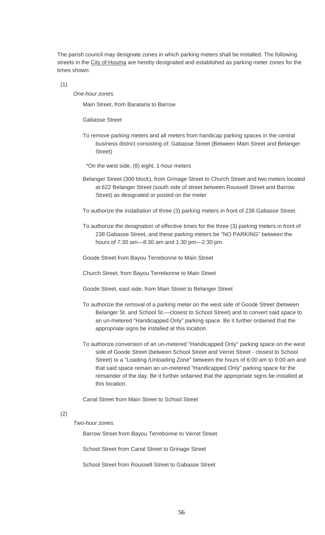The parish council may designate zones in which parking meters shall be installed. The following streets in the City of Houma are hereby designated and established as parking meter zones for the times shown:

(1)

*One-hour zones.*

Main Street, from Barataria to Barrow

Gabasse Street

- To remove parking meters and all meters from handicap parking spaces in the central business district consisting of: Gabasse Street (Between Main Street and Belanger Street)
- \*On the west side, (8) eight, 1-hour meters
- Belanger Street (300 block), from Grinage Street to Church Street and two meters located at 622 Belanger Street (south side of street between Roussell Street and Barrow Street) as designated or posted on the meter
- To authorize the installation of three (3) parking meters in front of 238 Gabasse Street.
- To authorize the designation of effective times for the three (3) parking meters in front of 238 Gabasse Street, and these parking meters be "NO PARKING" between the hours of 7:30 am—8:30 am and 1:30 pm—2:30 pm.
- Goode Street from Bayou Terrebonne to Main Street
- Church Street, from Bayou Terrebonne to Main Street
- Goode Street, east side, from Main Street to Belanger Street
- To authorize the removal of a parking meter on the west side of Goode Street (between Belanger St. and School St.—closest to School Street) and to convert said space to an un-metered "Handicapped Only" parking space. Be it further ordained that the appropriate signs be installed at this location.
- To authorize conversion of an un-metered "Handicapped Only" parking space on the west side of Goode Street (between School Street and Verret Street - closest to School Street) to a "Loading /Unloading Zone" between the hours of 6:00 am to 9:00 am and that said space remain an un-metered "Handicapped Only" parking space for the remainder of the day. Be it further ordained that the appropriate signs be installed at this location.

Canal Street from Main Street to School Street

## (2)

*Two-hour zones.*

Barrow Street from Bayou Terrebonne to Verret Street

School Street from Canal Street to Grinage Street

School Street from Roussell Street to Gabasse Street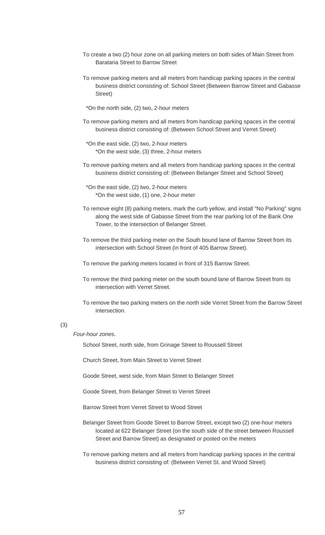- To create a two (2) hour zone on all parking meters on both sides of Main Street from Barataria Street to Barrow Street
- To remove parking meters and all meters from handicap parking spaces in the central business district consisting of: School Street (Between Barrow Street and Gabasse Street)
- \*On the north side, (2) two, 2-hour meters
- To remove parking meters and all meters from handicap parking spaces in the central business district consisting of: (Between School Street and Verret Street)
- \*On the east side, (2) two, 2-hour meters \*On the west side, (3) three, 2-hour meters
- To remove parking meters and all meters from handicap parking spaces in the central business district consisting of: (Between Belanger Street and School Street)
- \*On the east side, (2) two, 2-hour meters \*On the west side, (1) one, 2-hour meter
- To remove eight (8) parking meters, mark the curb yellow, and install "No Parking" signs along the west side of Gabasse Street from the rear parking lot of the Bank One Tower, to the intersection of Belanger Street.
- To remove the third parking meter on the South bound lane of Barrow Street from its intersection with School Street (in front of 405 Barrow Street).
- To remove the parking meters located in front of 315 Barrow Street.
- To remove the third parking meter on the south bound lane of Barrow Street from its intersection with Verret Street.
- To remove the two parking meters on the north side Verret Street from the Barrow Street intersection.

## (3)

#### *Four-hour zones.*

School Street, north side, from Grinage Street to Roussell Street

Church Street, from Main Street to Verret Street

- Goode Street, west side, from Main Street to Belanger Street
- Goode Street, from Belanger Street to Verret Street
- Barrow Street from Verret Street to Wood Street
- Belanger Street from Goode Street to Barrow Street, except two (2) one-hour meters located at 622 Belanger Street (on the south side of the street between Roussell Street and Barrow Street) as designated or posted on the meters
- To remove parking meters and all meters from handicap parking spaces in the central business district consisting of: (Between Verret St. and Wood Street)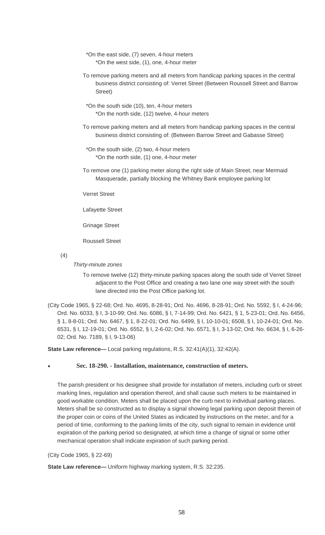- \*On the east side, (7) seven, 4-hour meters \*On the west side, (1), one, 4-hour meter
- To remove parking meters and all meters from handicap parking spaces in the central business district consisting of: Verret Street (Between Roussell Street and Barrow Street)
- \*On the south side (10), ten, 4-hour meters \*On the north side, (12) twelve, 4-hour meters
- To remove parking meters and all meters from handicap parking spaces in the central business district consisting of: (Between Barrow Street and Gabasse Street)
- \*On the south side, (2) two, 4-hour meters \*On the north side, (1) one, 4-hour meter
- To remove one (1) parking meter along the right side of Main Street, near Mermaid Masquerade, partially blocking the Whitney Bank employee parking lot

Verret Street

Lafayette Street

Grinage Street

Roussell Street

(4)

## *Thirty-minute zones*

- To remove twelve (12) thirty-minute parking spaces along the south side of Verret Street adjacent to the Post Office and creating a two lane one way street with the south lane directed into the Post Office parking lot.
- (City Code 1965, § 22-68; Ord. No. 4695, 8-28-91; Ord. No. 4696, 8-28-91; Ord. No. 5592, § I, 4-24-96; Ord. No. 6033, § I, 3-10-99; Ord. No. 6086, § I, 7-14-99; Ord. No. 6421, § 1, 5-23-01; Ord. No. 6456, § 1, 8-8-01; Ord. No. 6467, § 1, 8-22-01; Ord. No. 6499, § I, 10-10-01; 6508, § I, 10-24-01; Ord. No. 6531, § I, 12-19-01; Ord. No. 6552, § I, 2-6-02; Ord. No. 6571, § I, 3-13-02; Ord. No. 6634, § I, 6-26- 02; Ord. No. 7189, § I, 9-13-06)

**State Law reference—** Local parking regulations, R.S. 32:41(A)(1), 32:42(A).

## • **Sec. 18-290. - Installation, maintenance, construction of meters.**

The parish president or his designee shall provide for installation of meters, including curb or street marking lines, regulation and operation thereof, and shall cause such meters to be maintained in good workable condition. Meters shall be placed upon the curb next to individual parking places. Meters shall be so constructed as to display a signal showing legal parking upon deposit therein of the proper coin or coins of the United States as indicated by instructions on the meter, and for a period of time, conforming to the parking limits of the city, such signal to remain in evidence until expiration of the parking period so designated, at which time a change of signal or some other mechanical operation shall indicate expiration of such parking period.

#### (City Code 1965, § 22-69)

**State Law reference—** Uniform highway marking system, R.S. 32:235.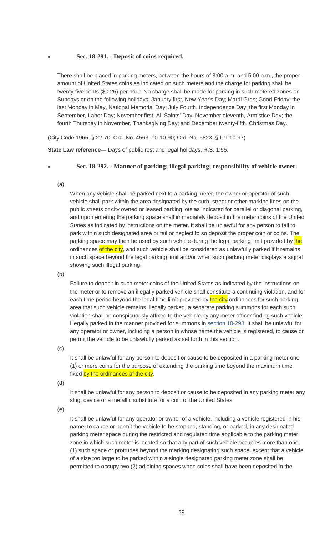## • **Sec. 18-291. - Deposit of coins required.**

There shall be placed in parking meters, between the hours of 8:00 a.m. and 5:00 p.m., the proper amount of United States coins as indicated on such meters and the charge for parking shall be twenty-five cents (\$0.25) per hour. No charge shall be made for parking in such metered zones on Sundays or on the following holidays: January first, New Year's Day; Mardi Gras; Good Friday; the last Monday in May, National Memorial Day; July Fourth, Independence Day; the first Monday in September, Labor Day; November first, All Saints' Day; November eleventh, Armistice Day; the fourth Thursday in November, Thanksgiving Day; and December twenty-fifth, Christmas Day.

(City Code 1965, § 22-70; Ord. No. 4563, 10-10-90; Ord. No. 5823, § I, 9-10-97)

**State Law reference—** Days of public rest and legal holidays, R.S. 1:55.

#### • **Sec. 18-292. - Manner of parking; illegal parking; responsibility of vehicle owner.**

(a)

When any vehicle shall be parked next to a parking meter, the owner or operator of such vehicle shall park within the area designated by the curb, street or other marking lines on the public streets or city owned or leased parking lots as indicated for parallel or diagonal parking, and upon entering the parking space shall immediately deposit in the meter coins of the United States as indicated by instructions on the meter. It shall be unlawful for any person to fail to park within such designated area or fail or neglect to so deposit the proper coin or coins. The parking space may then be used by such vehicle during the legal parking limit provided by the ordinances of the city, and such vehicle shall be considered as unlawfully parked if it remains in such space beyond the legal parking limit and/or when such parking meter displays a signal showing such illegal parking.

(b)

Failure to deposit in such meter coins of the United States as indicated by the instructions on the meter or to remove an illegally parked vehicle shall constitute a continuing violation, and for each time period beyond the legal time limit provided by **the city** ordinances for such parking area that such vehicle remains illegally parked, a separate parking summons for each such violation shall be conspicuously affixed to the vehicle by any meter officer finding such vehicle illegally parked in the manner provided for summons in [section 18-293.](https://www.municode.com/library/) It shall be unlawful for any operator or owner, including a person in whose name the vehicle is registered, to cause or permit the vehicle to be unlawfully parked as set forth in this section.

(c)

It shall be unlawful for any person to deposit or cause to be deposited in a parking meter one (1) or more coins for the purpose of extending the parking time beyond the maximum time fixed by the ordinances of the city.

(d)

It shall be unlawful for any person to deposit or cause to be deposited in any parking meter any slug, device or a metallic substitute for a coin of the United States.

(e)

It shall be unlawful for any operator or owner of a vehicle, including a vehicle registered in his name, to cause or permit the vehicle to be stopped, standing, or parked, in any designated parking meter space during the restricted and regulated time applicable to the parking meter zone in which such meter is located so that any part of such vehicle occupies more than one (1) such space or protrudes beyond the marking designating such space, except that a vehicle of a size too large to be parked within a single designated parking meter zone shall be permitted to occupy two (2) adjoining spaces when coins shall have been deposited in the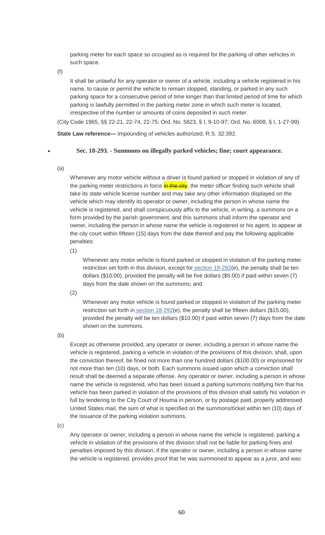parking meter for each space so occupied as is required for the parking of other vehicles in such space.

(f)

It shall be unlawful for any operator or owner of a vehicle, including a vehicle registered in his name, to cause or permit the vehicle to remain stopped, standing, or parked in any such parking space for a consecutive period of time longer than that limited period of time for which parking is lawfully permitted in the parking meter zone in which such meter is located, irrespective of the number or amounts of coins deposited in such meter.

(City Code 1965, §§ 22-21, 22-74, 22-75; Ord. No. 5823, § I, 9-10-97; Ord. No. 6008, § I, 1-27-99)

**State Law reference—** Impounding of vehicles authorized, R.S. 32:392.

## • **Sec. 18-293. - Summons on illegally parked vehicles; fine; court appearance.**

(a)

Whenever any motor vehicle without a driver is found parked or stopped in violation of any of the parking meter restrictions in force **in the city**, the meter officer finding such vehicle shall take its state vehicle license number and may take any other information displayed on the vehicle which may identify its operator or owner, including the person in whose name the vehicle is registered, and shall conspicuously affix to the vehicle, in writing, a summons on a form provided by the parish government, and this summons shall inform the operator and owner, including the person in whose name the vehicle is registered or his agent, to appear at the city court within fifteen (15) days from the date thereof and pay the following applicable penalties:

(1)

Whenever any motor vehicle is found parked or stopped in violation of the parking meter restriction set forth in this division, except for [section 18-292\(](https://www.municode.com/library/)e), the penalty shall be ten dollars (\$10.00), provided the penalty will be five dollars (\$5.00) if paid within seven (7) days from the date shown on the summons; and

(2)

Whenever any motor vehicle is found parked or stopped in violation of the parking meter restriction set forth in [section 18-292\(](https://www.municode.com/library/)e), the penalty shall be fifteen dollars (\$15.00), provided the penalty will be ten dollars (\$10.00) if paid within seven (7) days from the date shown on the summons.

(b)

Except as otherwise provided, any operator or owner, including a person in whose name the vehicle is registered, parking a vehicle in violation of the provisions of this division, shall, upon the conviction thereof, be fined not more than one hundred dollars (\$100.00) or imprisoned for not more than ten (10) days, or both. Each summons issued upon which a conviction shall result shall be deemed a separate offense. Any operator or owner, including a person in whose name the vehicle is registered, who has been issued a parking summons notifying him that his vehicle has been parked in violation of the provisions of this division shall satisfy his violation in full by tendering to the City Court of Houma in person, or by postage paid, properly addressed United States mail, the sum of what is specified on the summons/ticket within ten (10) days of the issuance of the parking violation summons.

(c)

Any operator or owner, including a person in whose name the vehicle is registered, parking a vehicle in violation of the provisions of this division shall not be liable for parking fines and penalties imposed by this division, if the operator or owner, including a person in whose name the vehicle is registered, provides proof that he was summoned to appear as a juror, and was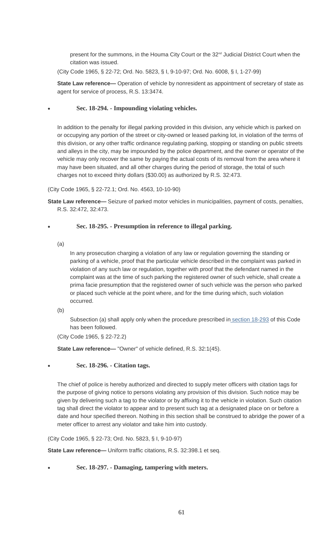present for the summons, in the Houma City Court or the 32<sup>nd</sup> Judicial District Court when the citation was issued.

(City Code 1965, § 22-72; Ord. No. 5823, § I, 9-10-97; Ord. No. 6008, § I, 1-27-99)

**State Law reference—** Operation of vehicle by nonresident as appointment of secretary of state as agent for service of process, R.S. 13:3474.

## • **Sec. 18-294. - Impounding violating vehicles.**

In addition to the penalty for illegal parking provided in this division, any vehicle which is parked on or occupying any portion of the street or city-owned or leased parking lot, in violation of the terms of this division, or any other traffic ordinance regulating parking, stopping or standing on public streets and alleys in the city, may be impounded by the police department, and the owner or operator of the vehicle may only recover the same by paying the actual costs of its removal from the area where it may have been situated, and all other charges during the period of storage, the total of such charges not to exceed thirty dollars (\$30.00) as authorized by R.S. 32:473.

(City Code 1965, § 22-72.1; Ord. No. 4563, 10-10-90)

**State Law reference—** Seizure of parked motor vehicles in municipalities, payment of costs, penalties, R.S. 32:472, 32:473.

## • **Sec. 18-295. - Presumption in reference to illegal parking.**

(a)

In any prosecution charging a violation of any law or regulation governing the standing or parking of a vehicle, proof that the particular vehicle described in the complaint was parked in violation of any such law or regulation, together with proof that the defendant named in the complaint was at the time of such parking the registered owner of such vehicle, shall create a prima facie presumption that the registered owner of such vehicle was the person who parked or placed such vehicle at the point where, and for the time during which, such violation occurred.

Subsection (a) shall apply only when the procedure prescribed in [section 18-293](https://www.municode.com/library/) of this Code has been followed.

(City Code 1965, § 22-72.2)

**State Law reference—** "Owner" of vehicle defined, R.S. 32:1(45).

• **Sec. 18-296. - Citation tags.**

The chief of police is hereby authorized and directed to supply meter officers with citation tags for the purpose of giving notice to persons violating any provision of this division. Such notice may be given by delivering such a tag to the violator or by affixing it to the vehicle in violation. Such citation tag shall direct the violator to appear and to present such tag at a designated place on or before a date and hour specified thereon. Nothing in this section shall be construed to abridge the power of a meter officer to arrest any violator and take him into custody.

(City Code 1965, § 22-73; Ord. No. 5823, § I, 9-10-97)

**State Law reference—** Uniform traffic citations, R.S. 32:398.1 et seq.

• **Sec. 18-297. - Damaging, tampering with meters.**

<sup>(</sup>b)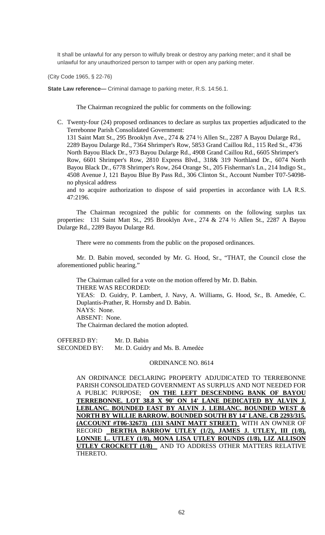It shall be unlawful for any person to wilfully break or destroy any parking meter; and it shall be unlawful for any unauthorized person to tamper with or open any parking meter.

(City Code 1965, § 22-76)

**State Law reference—** Criminal damage to parking meter, R.S. 14:56.1.

The Chairman recognized the public for comments on the following:

C. Twenty-four (24) proposed ordinances to declare as surplus tax properties adjudicated to the Terrebonne Parish Consolidated Government: 131 Saint Matt St., 295 Brooklyn Ave., 274 & 274 ½ Allen St., 2287 A Bayou Dularge Rd., 2289 Bayou Dularge Rd., 7364 Shrimper's Row, 5853 Grand Caillou Rd., 115 Red St., 4736 North Bayou Black Dr., 973 Bayou Dularge Rd., 4908 Grand Caillou Rd., 6605 Shrimper's Row, 6601 Shrimper's Row, 2810 Express Blvd., 318& 319 Northland Dr., 6074 North Bayou Black Dr., 6778 Shrimper's Row, 264 Orange St., 205 Fisherman's Ln., 214 Indigo St., 4508 Avenue J, 121 Bayou Blue By Pass Rd., 306 Clinton St., Account Number T07-54098 no physical address

and to acquire authorization to dispose of said properties in accordance with LA R.S. 47:2196.

The Chairman recognized the public for comments on the following surplus tax properties: 131 Saint Matt St., 295 Brooklyn Ave., 274 & 274 ½ Allen St., 2287 A Bayou Dularge Rd., 2289 Bayou Dularge Rd.

There were no comments from the public on the proposed ordinances.

Mr. D. Babin moved, seconded by Mr. G. Hood, Sr., "THAT, the Council close the aforementioned public hearing."

The Chairman called for a vote on the motion offered by Mr. D. Babin. THERE WAS RECORDED: YEAS: D. Guidry, P. Lambert, J. Navy, A. Williams, G. Hood, Sr., B. Amedée, C. Duplantis-Prather, R. Hornsby and D. Babin. NAYS: None. ABSENT: None. The Chairman declared the motion adopted.

OFFERED BY: Mr. D. Babin SECONDED BY: Mr. D. Guidry and Ms. B. Amedée

## ORDINANCE NO. 8614

AN ORDINANCE DECLARING PROPERTY ADJUDICATED TO TERREBONNE PARISH CONSOLIDATED GOVERNMENT AS SURPLUS AND NOT NEEDED FOR A PUBLIC PURPOSE; **ON THE LEFT DESCENDING BANK OF BAYOU TERREBONNE. LOT 38.8 X 90' ON 14' LANE DEDICATED BY ALVIN J. LEBLANC. BOUNDED EAST BY ALVIN J. LEBLANC. BOUNDED WEST & NORTH BY WILLIE BARROW. BOUNDED SOUTH BY 14' LANE. CB 2293/315. (ACCOUNT #T06-32673) (131 SAINT MATT STREET)** WITH AN OWNER OF RECORD **BERTHA BARROW UTLEY (1/2), JAMES J. UTLEY, III (1/8), LONNIE L. UTLEY (1/8), MONA LISA UTLEY ROUNDS (1/8), LIZ ALLISON UTLEY CROCKETT (1/8)** AND TO ADDRESS OTHER MATTERS RELATIVE THERETO.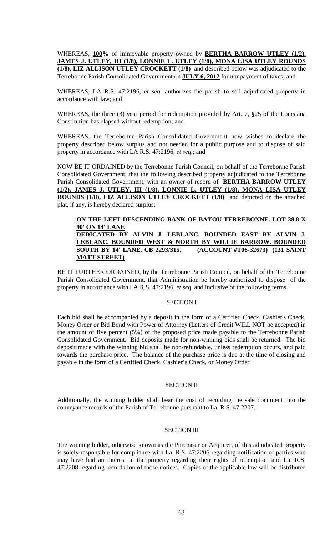WHEREAS, **100%** of immovable property owned by **BERTHA BARROW UTLEY (1/2), JAMES J. UTLEY, III (1/8), LONNIE L. UTLEY (1/8), MONA LISA UTLEY ROUNDS (1/8), LIZ ALLISON UTLEY CROCKETT (1/8)** and described below was adjudicated to the Terrebonne Parish Consolidated Government on **JULY 6, 2012** for nonpayment of taxes; and

WHEREAS, LA R.S. 47:2196, *et seq.* authorizes the parish to sell adjudicated property in accordance with law; and

WHEREAS, the three (3) year period for redemption provided by Art. 7, §25 of the Louisiana Constitution has elapsed without redemption; and

WHEREAS, the Terrebonne Parish Consolidated Government now wishes to declare the property described below surplus and not needed for a public purpose and to dispose of said property in accordance with LA R.S. 47:2196, *et seq*.; and

NOW BE IT ORDAINED by the Terrebonne Parish Council, on behalf of the Terrebonne Parish Consolidated Government, that the following described property adjudicated to the Terrebonne Parish Consolidated Government, with an owner of record of **BERTHA BARROW UTLEY (1/2), JAMES J. UTLEY, III (1/8), LONNIE L. UTLEY (1/8), MONA LISA UTLEY ROUNDS (1/8), LIZ ALLISON UTLEY CROCKETT (1/8)** and depicted on the attached plat, if any, is hereby declared surplus:

# **ON THE LEFT DESCENDING BANK OF BAYOU TERREBONNE. LOT 38.8 X 90' ON 14' LANE DEDICATED BY ALVIN J. LEBLANC. BOUNDED EAST BY ALVIN J. LEBLANC. BOUNDED WEST & NORTH BY WILLIE BARROW. BOUNDED SOUTH BY 14' LANE. CB 2293/315. (ACCOUNT #T06-32673) (131 SAINT MATT STREET)**

BE IT FURTHER ORDAINED, by the Terrebonne Parish Council, on behalf of the Terrebonne Parish Consolidated Government, that Administration be hereby authorized to dispose of the property in accordance with LA R.S. 47:2196, *et seq*. and inclusive of the following terms.

# SECTION I

Each bid shall be accompanied by a deposit in the form of a Certified Check, Cashier's Check, Money Order or Bid Bond with Power of Attorney (Letters of Credit WILL NOT be accepted) in the amount of five percent (5%) of the proposed price made payable to the Terrebonne Parish Consolidated Government. Bid deposits made for non-winning bids shall be returned. The bid deposit made with the winning bid shall be non-refundable, unless redemption occurs, and paid towards the purchase price. The balance of the purchase price is due at the time of closing and payable in the form of a Certified Check, Cashier's Check, or Money Order.

#### SECTION II

Additionally, the winning bidder shall bear the cost of recording the sale document into the conveyance records of the Parish of Terrebonne pursuant to La. R.S. 47:2207.

## SECTION III

The winning bidder, otherwise known as the Purchaser or Acquirer, of this adjudicated property is solely responsible for compliance with La. R.S. 47:2206 regarding notification of parties who may have had an interest in the property regarding their rights of redemption and La. R.S. 47:2208 regarding recordation of those notices. Copies of the applicable law will be distributed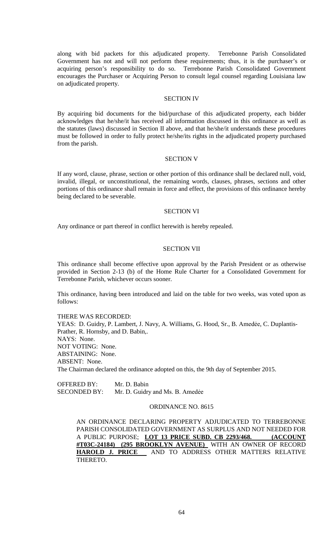along with bid packets for this adjudicated property. Terrebonne Parish Consolidated Government has not and will not perform these requirements; thus, it is the purchaser's or acquiring person's responsibility to do so. Terrebonne Parish Consolidated Government encourages the Purchaser or Acquiring Person to consult legal counsel regarding Louisiana law on adjudicated property.

## SECTION IV

By acquiring bid documents for the bid/purchase of this adjudicated property, each bidder acknowledges that he/she/it has received all information discussed in this ordinance as well as the statutes (laws) discussed in Section II above, and that he/she/it understands these procedures must be followed in order to fully protect he/she/its rights in the adjudicated property purchased from the parish.

#### SECTION V

If any word, clause, phrase, section or other portion of this ordinance shall be declared null, void, invalid, illegal, or unconstitutional, the remaining words, clauses, phrases, sections and other portions of this ordinance shall remain in force and effect, the provisions of this ordinance hereby being declared to be severable.

#### SECTION VI

Any ordinance or part thereof in conflict herewith is hereby repealed.

#### SECTION VII

This ordinance shall become effective upon approval by the Parish President or as otherwise provided in Section 2-13 (b) of the Home Rule Charter for a Consolidated Government for Terrebonne Parish, whichever occurs sooner.

This ordinance, having been introduced and laid on the table for two weeks, was voted upon as follows:

THERE WAS RECORDED:

YEAS: D. Guidry, P. Lambert, J. Navy, A. Williams, G. Hood, Sr., B. Amedée, C. Duplantis-Prather, R. Hornsby, and D. Babin,. NAYS: None. NOT VOTING: None. ABSTAINING: None. ABSENT: None. The Chairman declared the ordinance adopted on this, the 9th day of September 2015.

OFFERED BY: Mr. D. Babin SECONDED BY: Mr. D. Guidry and Ms. B. Amedée

## ORDINANCE NO. 8615

AN ORDINANCE DECLARING PROPERTY ADJUDICATED TO TERREBONNE PARISH CONSOLIDATED GOVERNMENT AS SURPLUS AND NOT NEEDED FOR A PUBLIC PURPOSE; **LOT 13 PRICE SUBD. CB 2293/468. (ACCOUNT #T03C-24184) (295 BROOKLYN AVENUE)** WITH AN OWNER OF RECORD **HAROLD J. PRICE** AND TO ADDRESS OTHER MATTERS RELATIVE THERETO.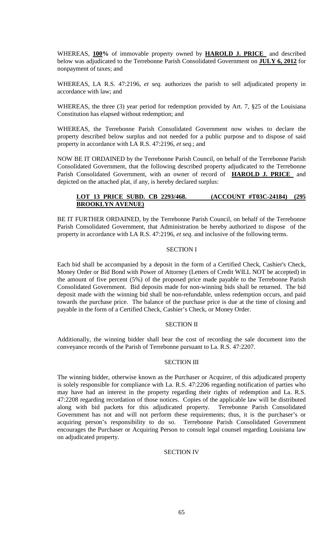WHEREAS, **100%** of immovable property owned by **HAROLD J. PRICE** and described below was adjudicated to the Terrebonne Parish Consolidated Government on **JULY 6, 2012** for nonpayment of taxes; and

WHEREAS, LA R.S. 47:2196, *et seq.* authorizes the parish to sell adjudicated property in accordance with law; and

WHEREAS, the three (3) year period for redemption provided by Art. 7, §25 of the Louisiana Constitution has elapsed without redemption; and

WHEREAS, the Terrebonne Parish Consolidated Government now wishes to declare the property described below surplus and not needed for a public purpose and to dispose of said property in accordance with LA R.S. 47:2196, *et seq*.; and

NOW BE IT ORDAINED by the Terrebonne Parish Council, on behalf of the Terrebonne Parish Consolidated Government, that the following described property adjudicated to the Terrebonne Parish Consolidated Government, with an owner of record of **HAROLD J. PRICE** and depicted on the attached plat, if any, is hereby declared surplus:

# **LOT 13 PRICE SUBD. CB 2293/468. (ACCOUNT #T03C-24184) (295 BROOKLYN AVENUE)**

BE IT FURTHER ORDAINED, by the Terrebonne Parish Council, on behalf of the Terrebonne Parish Consolidated Government, that Administration be hereby authorized to dispose of the property in accordance with LA R.S. 47:2196, *et seq*. and inclusive of the following terms.

## SECTION I

Each bid shall be accompanied by a deposit in the form of a Certified Check, Cashier's Check, Money Order or Bid Bond with Power of Attorney (Letters of Credit WILL NOT be accepted) in the amount of five percent (5%) of the proposed price made payable to the Terrebonne Parish Consolidated Government. Bid deposits made for non-winning bids shall be returned. The bid deposit made with the winning bid shall be non-refundable, unless redemption occurs, and paid towards the purchase price. The balance of the purchase price is due at the time of closing and payable in the form of a Certified Check, Cashier's Check, or Money Order.

## SECTION II

Additionally, the winning bidder shall bear the cost of recording the sale document into the conveyance records of the Parish of Terrebonne pursuant to La. R.S. 47:2207.

## SECTION III

The winning bidder, otherwise known as the Purchaser or Acquirer, of this adjudicated property is solely responsible for compliance with La. R.S. 47:2206 regarding notification of parties who may have had an interest in the property regarding their rights of redemption and La. R.S. 47:2208 regarding recordation of those notices. Copies of the applicable law will be distributed along with bid packets for this adjudicated property. Terrebonne Parish Consolidated Government has not and will not perform these requirements; thus, it is the purchaser's or acquiring person's responsibility to do so. Terrebonne Parish Consolidated Government encourages the Purchaser or Acquiring Person to consult legal counsel regarding Louisiana law on adjudicated property.

# SECTION IV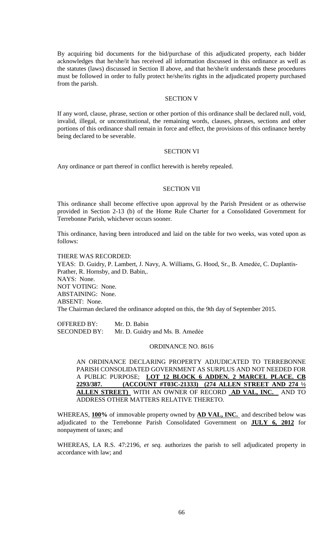By acquiring bid documents for the bid/purchase of this adjudicated property, each bidder acknowledges that he/she/it has received all information discussed in this ordinance as well as the statutes (laws) discussed in Section II above, and that he/she/it understands these procedures must be followed in order to fully protect he/she/its rights in the adjudicated property purchased from the parish.

## SECTION V

If any word, clause, phrase, section or other portion of this ordinance shall be declared null, void, invalid, illegal, or unconstitutional, the remaining words, clauses, phrases, sections and other portions of this ordinance shall remain in force and effect, the provisions of this ordinance hereby being declared to be severable.

#### SECTION VI

Any ordinance or part thereof in conflict herewith is hereby repealed.

#### SECTION VII

This ordinance shall become effective upon approval by the Parish President or as otherwise provided in Section 2-13 (b) of the Home Rule Charter for a Consolidated Government for Terrebonne Parish, whichever occurs sooner.

This ordinance, having been introduced and laid on the table for two weeks, was voted upon as follows:

THERE WAS RECORDED: YEAS: D. Guidry, P. Lambert, J. Navy, A. Williams, G. Hood, Sr., B. Amedée, C. Duplantis-Prather, R. Hornsby, and D. Babin,. NAYS: None. NOT VOTING: None. ABSTAINING: None. ABSENT: None. The Chairman declared the ordinance adopted on this, the 9th day of September 2015.

OFFERED BY: Mr. D. Babin SECONDED BY: Mr. D. Guidry and Ms. B. Amedée

#### ORDINANCE NO. 8616

AN ORDINANCE DECLARING PROPERTY ADJUDICATED TO TERREBONNE PARISH CONSOLIDATED GOVERNMENT AS SURPLUS AND NOT NEEDED FOR A PUBLIC PURPOSE; **LOT 12 BLOCK 6 ADDEN. 2 MARCEL PLACE. CB 2293/387. (ACCOUNT #T03C-21333) (274 ALLEN STREET AND 274 ½ ALLEN STREET)** WITH AN OWNER OF RECORD **AD VAL, INC.** AND TO ADDRESS OTHER MATTERS RELATIVE THERETO.

WHEREAS, **100%** of immovable property owned by **AD VAL, INC.** and described below was adjudicated to the Terrebonne Parish Consolidated Government on **JULY 6, 2012** for nonpayment of taxes; and

WHEREAS, LA R.S. 47:2196, *et seq.* authorizes the parish to sell adjudicated property in accordance with law; and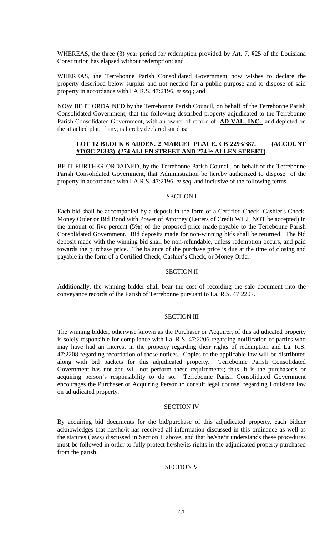WHEREAS, the three (3) year period for redemption provided by Art. 7, §25 of the Louisiana Constitution has elapsed without redemption; and

WHEREAS, the Terrebonne Parish Consolidated Government now wishes to declare the property described below surplus and not needed for a public purpose and to dispose of said property in accordance with LA R.S. 47:2196, *et seq*.; and

NOW BE IT ORDAINED by the Terrebonne Parish Council, on behalf of the Terrebonne Parish Consolidated Government, that the following described property adjudicated to the Terrebonne Parish Consolidated Government, with an owner of record of **AD VAL, INC.** and depicted on the attached plat, if any, is hereby declared surplus:

## **LOT 12 BLOCK 6 ADDEN. 2 MARCEL PLACE. CB 2293/387. (ACCOUNT #T03C-21333) (274 ALLEN STREET AND 274 ½ ALLEN STREET)**

BE IT FURTHER ORDAINED, by the Terrebonne Parish Council, on behalf of the Terrebonne Parish Consolidated Government, that Administration be hereby authorized to dispose of the property in accordance with LA R.S. 47:2196, *et seq*. and inclusive of the following terms.

## SECTION I

Each bid shall be accompanied by a deposit in the form of a Certified Check, Cashier's Check, Money Order or Bid Bond with Power of Attorney (Letters of Credit WILL NOT be accepted) in the amount of five percent (5%) of the proposed price made payable to the Terrebonne Parish Consolidated Government. Bid deposits made for non-winning bids shall be returned. The bid deposit made with the winning bid shall be non-refundable, unless redemption occurs, and paid towards the purchase price. The balance of the purchase price is due at the time of closing and payable in the form of a Certified Check, Cashier's Check, or Money Order.

## SECTION II

Additionally, the winning bidder shall bear the cost of recording the sale document into the conveyance records of the Parish of Terrebonne pursuant to La. R.S. 47:2207.

## SECTION III

The winning bidder, otherwise known as the Purchaser or Acquirer, of this adjudicated property is solely responsible for compliance with La. R.S. 47:2206 regarding notification of parties who may have had an interest in the property regarding their rights of redemption and La. R.S. 47:2208 regarding recordation of those notices. Copies of the applicable law will be distributed along with bid packets for this adjudicated property. Terrebonne Parish Consolidated Government has not and will not perform these requirements; thus, it is the purchaser's or acquiring person's responsibility to do so. Terrebonne Parish Consolidated Government encourages the Purchaser or Acquiring Person to consult legal counsel regarding Louisiana law on adjudicated property.

#### SECTION IV

By acquiring bid documents for the bid/purchase of this adjudicated property, each bidder acknowledges that he/she/it has received all information discussed in this ordinance as well as the statutes (laws) discussed in Section II above, and that he/she/it understands these procedures must be followed in order to fully protect he/she/its rights in the adjudicated property purchased from the parish.

## SECTION V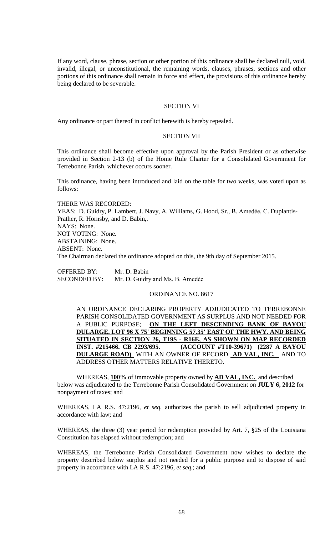If any word, clause, phrase, section or other portion of this ordinance shall be declared null, void, invalid, illegal, or unconstitutional, the remaining words, clauses, phrases, sections and other portions of this ordinance shall remain in force and effect, the provisions of this ordinance hereby being declared to be severable.

## SECTION VI

Any ordinance or part thereof in conflict herewith is hereby repealed.

#### SECTION VII

This ordinance shall become effective upon approval by the Parish President or as otherwise provided in Section 2-13 (b) of the Home Rule Charter for a Consolidated Government for Terrebonne Parish, whichever occurs sooner.

This ordinance, having been introduced and laid on the table for two weeks, was voted upon as follows:

THERE WAS RECORDED: YEAS: D. Guidry, P. Lambert, J. Navy, A. Williams, G. Hood, Sr., B. Amedée, C. Duplantis-Prather, R. Hornsby, and D. Babin,. NAYS: None. NOT VOTING: None. ABSTAINING: None. ABSENT: None. The Chairman declared the ordinance adopted on this, the 9th day of September 2015.

OFFERED BY: Mr. D. Babin SECONDED BY: Mr. D. Guidry and Ms. B. Amedée

#### ORDINANCE NO. 8617

AN ORDINANCE DECLARING PROPERTY ADJUDICATED TO TERREBONNE PARISH CONSOLIDATED GOVERNMENT AS SURPLUS AND NOT NEEDED FOR A PUBLIC PURPOSE; **ON THE LEFT DESCENDING BANK OF BAYOU DULARGE. LOT 96 X 75' BEGINNING 57.35' EAST OF THE HWY. AND BEING SITUATED IN SECTION 26, T19S - R16E, AS SHOWN ON MAP RECORDED INST. #215466. CB 2293/695. (ACCOUNT #T10-39671) (2287 A BAYOU DULARGE ROAD)** WITH AN OWNER OF RECORD **AD VAL, INC.** AND TO ADDRESS OTHER MATTERS RELATIVE THERETO.

WHEREAS, **100%** of immovable property owned by **AD VAL, INC.** and described below was adjudicated to the Terrebonne Parish Consolidated Government on **JULY 6, 2012** for nonpayment of taxes; and

WHEREAS, LA R.S. 47:2196, *et seq.* authorizes the parish to sell adjudicated property in accordance with law; and

WHEREAS, the three (3) year period for redemption provided by Art. 7, §25 of the Louisiana Constitution has elapsed without redemption; and

WHEREAS, the Terrebonne Parish Consolidated Government now wishes to declare the property described below surplus and not needed for a public purpose and to dispose of said property in accordance with LA R.S. 47:2196, *et seq*.; and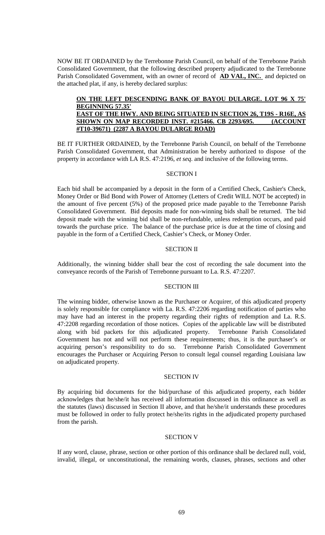NOW BE IT ORDAINED by the Terrebonne Parish Council, on behalf of the Terrebonne Parish Consolidated Government, that the following described property adjudicated to the Terrebonne Parish Consolidated Government, with an owner of record of **AD VAL, INC.** and depicted on the attached plat, if any, is hereby declared surplus:

## **ON THE LEFT DESCENDING BANK OF BAYOU DULARGE. LOT 96 X 75' BEGINNING 57.35' EAST OF THE HWY. AND BEING SITUATED IN SECTION 26, T19S - R16E, AS SHOWN ON MAP RECORDED INST. #215466. CB 2293/695. (ACCOUNT #T10-39671) (2287 A BAYOU DULARGE ROAD)**

BE IT FURTHER ORDAINED, by the Terrebonne Parish Council, on behalf of the Terrebonne Parish Consolidated Government, that Administration be hereby authorized to dispose of the property in accordance with LA R.S. 47:2196, *et seq*. and inclusive of the following terms.

## SECTION I

Each bid shall be accompanied by a deposit in the form of a Certified Check, Cashier's Check, Money Order or Bid Bond with Power of Attorney (Letters of Credit WILL NOT be accepted) in the amount of five percent (5%) of the proposed price made payable to the Terrebonne Parish Consolidated Government. Bid deposits made for non-winning bids shall be returned. The bid deposit made with the winning bid shall be non-refundable, unless redemption occurs, and paid towards the purchase price. The balance of the purchase price is due at the time of closing and payable in the form of a Certified Check, Cashier's Check, or Money Order.

#### SECTION II

Additionally, the winning bidder shall bear the cost of recording the sale document into the conveyance records of the Parish of Terrebonne pursuant to La. R.S. 47:2207.

#### SECTION III

The winning bidder, otherwise known as the Purchaser or Acquirer, of this adjudicated property is solely responsible for compliance with La. R.S. 47:2206 regarding notification of parties who may have had an interest in the property regarding their rights of redemption and La. R.S. 47:2208 regarding recordation of those notices. Copies of the applicable law will be distributed along with bid packets for this adjudicated property. Terrebonne Parish Consolidated Government has not and will not perform these requirements; thus, it is the purchaser's or acquiring person's responsibility to do so. Terrebonne Parish Consolidated Government encourages the Purchaser or Acquiring Person to consult legal counsel regarding Louisiana law on adjudicated property.

#### SECTION IV

By acquiring bid documents for the bid/purchase of this adjudicated property, each bidder acknowledges that he/she/it has received all information discussed in this ordinance as well as the statutes (laws) discussed in Section II above, and that he/she/it understands these procedures must be followed in order to fully protect he/she/its rights in the adjudicated property purchased from the parish.

#### SECTION V

If any word, clause, phrase, section or other portion of this ordinance shall be declared null, void, invalid, illegal, or unconstitutional, the remaining words, clauses, phrases, sections and other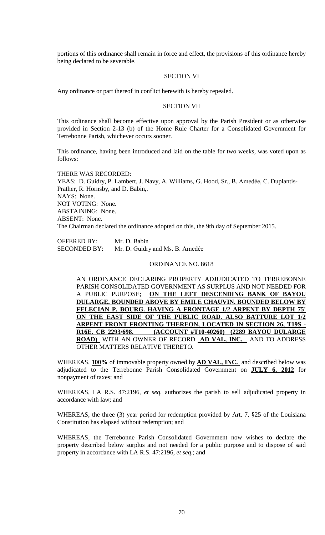portions of this ordinance shall remain in force and effect, the provisions of this ordinance hereby being declared to be severable.

## SECTION VI

Any ordinance or part thereof in conflict herewith is hereby repealed.

## SECTION VII

This ordinance shall become effective upon approval by the Parish President or as otherwise provided in Section 2-13 (b) of the Home Rule Charter for a Consolidated Government for Terrebonne Parish, whichever occurs sooner.

This ordinance, having been introduced and laid on the table for two weeks, was voted upon as follows:

THERE WAS RECORDED: YEAS: D. Guidry, P. Lambert, J. Navy, A. Williams, G. Hood, Sr., B. Amedée, C. Duplantis-Prather, R. Hornsby, and D. Babin,. NAYS: None. NOT VOTING: None. ABSTAINING: None. ABSENT: None. The Chairman declared the ordinance adopted on this, the 9th day of September 2015.

OFFERED BY: Mr. D. Babin SECONDED BY: Mr. D. Guidry and Ms. B. Amedée

#### ORDINANCE NO. 8618

AN ORDINANCE DECLARING PROPERTY ADJUDICATED TO TERREBONNE PARISH CONSOLIDATED GOVERNMENT AS SURPLUS AND NOT NEEDED FOR A PUBLIC PURPOSE; **ON THE LEFT DESCENDING BANK OF BAYOU DULARGE. BOUNDED ABOVE BY EMILE CHAUVIN. BOUNDED BELOW BY FELECIAN P. BOURG. HAVING A FRONTAGE 1/2 ARPENT BY DEPTH 75' ON THE EAST SIDE OF THE PUBLIC ROAD. ALSO BATTURE LOT 1/2 ARPENT FRONT FRONTING THEREON, LOCATED IN SECTION 26, T19S - R16E. CB 2293/698. (ACCOUNT #T10-40260) (2289 BAYOU DULARGE ROAD)** WITH AN OWNER OF RECORD **AD VAL, INC.** AND TO ADDRESS OTHER MATTERS RELATIVE THERETO.

WHEREAS, **100%** of immovable property owned by **AD VAL, INC.** and described below was adjudicated to the Terrebonne Parish Consolidated Government on **JULY 6, 2012** for nonpayment of taxes; and

WHEREAS, LA R.S. 47:2196, *et seq.* authorizes the parish to sell adjudicated property in accordance with law; and

WHEREAS, the three (3) year period for redemption provided by Art. 7, §25 of the Louisiana Constitution has elapsed without redemption; and

WHEREAS, the Terrebonne Parish Consolidated Government now wishes to declare the property described below surplus and not needed for a public purpose and to dispose of said property in accordance with LA R.S. 47:2196, *et seq*.; and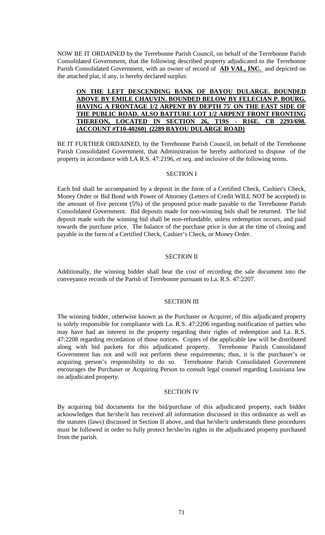NOW BE IT ORDAINED by the Terrebonne Parish Council, on behalf of the Terrebonne Parish Consolidated Government, that the following described property adjudicated to the Terrebonne Parish Consolidated Government, with an owner of record of **AD VAL, INC.** and depicted on the attached plat, if any, is hereby declared surplus:

# **ON THE LEFT DESCENDING BANK OF BAYOU DULARGE. BOUNDED ABOVE BY EMILE CHAUVIN. BOUNDED BELOW BY FELECIAN P. BOURG. HAVING A FRONTAGE 1/2 ARPENT BY DEPTH 75' ON THE EAST SIDE OF THE PUBLIC ROAD. ALSO BATTURE LOT 1/2 ARPENT FRONT FRONTING THEREON, LOCATED IN SECTION 26, T19S - R16E. CB 2293/698. (ACCOUNT #T10-40260) (2289 BAYOU DULARGE ROAD)**

BE IT FURTHER ORDAINED, by the Terrebonne Parish Council, on behalf of the Terrebonne Parish Consolidated Government, that Administration be hereby authorized to dispose of the property in accordance with LA R.S. 47:2196, *et seq*. and inclusive of the following terms.

# SECTION I

Each bid shall be accompanied by a deposit in the form of a Certified Check, Cashier's Check, Money Order or Bid Bond with Power of Attorney (Letters of Credit WILL NOT be accepted) in the amount of five percent (5%) of the proposed price made payable to the Terrebonne Parish Consolidated Government. Bid deposits made for non-winning bids shall be returned. The bid deposit made with the winning bid shall be non-refundable, unless redemption occurs, and paid towards the purchase price. The balance of the purchase price is due at the time of closing and payable in the form of a Certified Check, Cashier's Check, or Money Order.

## SECTION II

Additionally, the winning bidder shall bear the cost of recording the sale document into the conveyance records of the Parish of Terrebonne pursuant to La. R.S. 47:2207.

#### SECTION III

The winning bidder, otherwise known as the Purchaser or Acquirer, of this adjudicated property is solely responsible for compliance with La. R.S. 47:2206 regarding notification of parties who may have had an interest in the property regarding their rights of redemption and La. R.S. 47:2208 regarding recordation of those notices. Copies of the applicable law will be distributed along with bid packets for this adjudicated property. Terrebonne Parish Consolidated Government has not and will not perform these requirements; thus, it is the purchaser's or acquiring person's responsibility to do so. Terrebonne Parish Consolidated Government encourages the Purchaser or Acquiring Person to consult legal counsel regarding Louisiana law on adjudicated property.

#### SECTION IV

By acquiring bid documents for the bid/purchase of this adjudicated property, each bidder acknowledges that he/she/it has received all information discussed in this ordinance as well as the statutes (laws) discussed in Section II above, and that he/she/it understands these procedures must be followed in order to fully protect he/she/its rights in the adjudicated property purchased from the parish.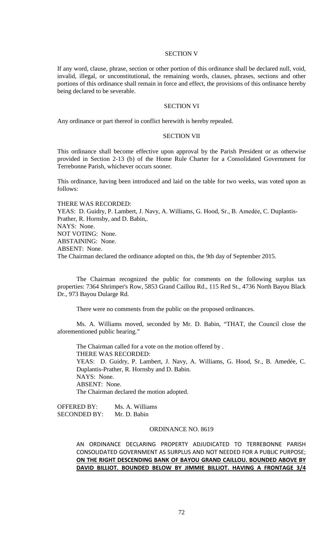#### SECTION V

If any word, clause, phrase, section or other portion of this ordinance shall be declared null, void, invalid, illegal, or unconstitutional, the remaining words, clauses, phrases, sections and other portions of this ordinance shall remain in force and effect, the provisions of this ordinance hereby being declared to be severable.

## SECTION VI

Any ordinance or part thereof in conflict herewith is hereby repealed.

## SECTION VII

This ordinance shall become effective upon approval by the Parish President or as otherwise provided in Section 2-13 (b) of the Home Rule Charter for a Consolidated Government for Terrebonne Parish, whichever occurs sooner.

This ordinance, having been introduced and laid on the table for two weeks, was voted upon as follows:

THERE WAS RECORDED: YEAS: D. Guidry, P. Lambert, J. Navy, A. Williams, G. Hood, Sr., B. Amedée, C. Duplantis-Prather, R. Hornsby, and D. Babin,. NAYS: None. NOT VOTING: None. ABSTAINING: None. ABSENT: None. The Chairman declared the ordinance adopted on this, the 9th day of September 2015.

The Chairman recognized the public for comments on the following surplus tax properties: 7364 Shrimper's Row, 5853 Grand Caillou Rd., 115 Red St., 4736 North Bayou Black Dr., 973 Bayou Dularge Rd.

There were no comments from the public on the proposed ordinances.

Ms. A. Williams moved, seconded by Mr. D. Babin, "THAT, the Council close the aforementioned public hearing."

The Chairman called for a vote on the motion offered by . THERE WAS RECORDED: YEAS: D. Guidry, P. Lambert, J. Navy, A. Williams, G. Hood, Sr., B. Amedée, C. Duplantis-Prather, R. Hornsby and D. Babin. NAYS: None. ABSENT: None. The Chairman declared the motion adopted.

OFFERED BY: Ms. A. Williams SECONDED BY: Mr. D. Babin

#### ORDINANCE NO. 8619

AN ORDINANCE DECLARING PROPERTY ADJUDICATED TO TERREBONNE PARISH CONSOLIDATED GOVERNMENT AS SURPLUS AND NOT NEEDED FOR A PUBLIC PURPOSE; **ON THE RIGHT DESCENDING BANK OF BAYOU GRAND CAILLOU. BOUNDED ABOVE BY DAVID BILLIOT. BOUNDED BELOW BY JIMMIE BILLIOT. HAVING A FRONTAGE 3/4**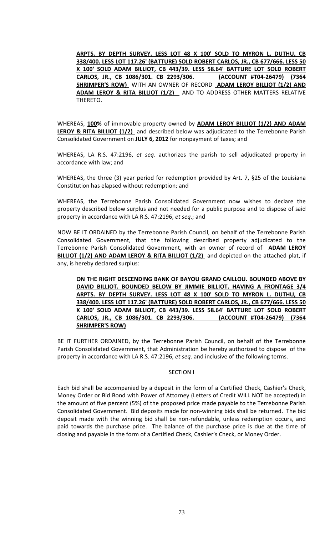**ARPTS. BY DEPTH SURVEY. LESS LOT 48 X 100' SOLD TO MYRON L. DUTHU, CB 338/400. LESS LOT 117.26' (BATTURE) SOLD ROBERT CARLOS, JR., CB 677/666. LESS 50 X 100' SOLD ADAM BILLIOT, CB 443/39. LESS 58.64' BATTURE LOT SOLD ROBERT CARLOS, JR., CB 1086/301. CB 2293/306. (ACCOUNT #T04-26479) (7364 SHRIMPER'S ROW)** WITH AN OWNER OF RECORD **ADAM LEROY BILLIOT (1/2) AND ADAM LEROY & RITA BILLIOT (1/2)** AND TO ADDRESS OTHER MATTERS RELATIVE THERETO.

WHEREAS, **100%** of immovable property owned by **ADAM LEROY BILLIOT (1/2) AND ADAM LEROY & RITA BILLIOT (1/2)** and described below was adjudicated to the Terrebonne Parish Consolidated Government on **JULY 6, 2012** for nonpayment of taxes; and

WHEREAS, LA R.S. 47:2196, *et seq.* authorizes the parish to sell adjudicated property in accordance with law; and

WHEREAS, the three (3) year period for redemption provided by Art. 7, §25 of the Louisiana Constitution has elapsed without redemption; and

WHEREAS, the Terrebonne Parish Consolidated Government now wishes to declare the property described below surplus and not needed for a public purpose and to dispose of said property in accordance with LA R.S. 47:2196, *et seq*.; and

NOW BE IT ORDAINED by the Terrebonne Parish Council, on behalf of the Terrebonne Parish Consolidated Government, that the following described property adjudicated to the Terrebonne Parish Consolidated Government, with an owner of record of **ADAM LEROY BILLIOT (1/2) AND ADAM LEROY & RITA BILLIOT (1/2)** and depicted on the attached plat, if any, is hereby declared surplus:

**ON THE RIGHT DESCENDING BANK OF BAYOU GRAND CAILLOU. BOUNDED ABOVE BY DAVID BILLIOT. BOUNDED BELOW BY JIMMIE BILLIOT. HAVING A FRONTAGE 3/4 ARPTS. BY DEPTH SURVEY. LESS LOT 48 X 100' SOLD TO MYRON L. DUTHU, CB 338/400. LESS LOT 117.26' (BATTURE) SOLD ROBERT CARLOS, JR., CB 677/666. LESS 50 X 100' SOLD ADAM BILLIOT, CB 443/39. LESS 58.64' BATTURE LOT SOLD ROBERT CARLOS, JR., CB 1086/301. CB 2293/306. (ACCOUNT #T04-26479) (7364 SHRIMPER'S ROW)** 

BE IT FURTHER ORDAINED, by the Terrebonne Parish Council, on behalf of the Terrebonne Parish Consolidated Government, that Administration be hereby authorized to dispose of the property in accordance with LA R.S. 47:2196, *et seq*. and inclusive of the following terms.

## SECTION I

Each bid shall be accompanied by a deposit in the form of a Certified Check, Cashier's Check, Money Order or Bid Bond with Power of Attorney (Letters of Credit WILL NOT be accepted) in the amount of five percent (5%) of the proposed price made payable to the Terrebonne Parish Consolidated Government. Bid deposits made for non-winning bids shall be returned. The bid deposit made with the winning bid shall be non-refundable, unless redemption occurs, and paid towards the purchase price. The balance of the purchase price is due at the time of closing and payable in the form of a Certified Check, Cashier's Check, or Money Order.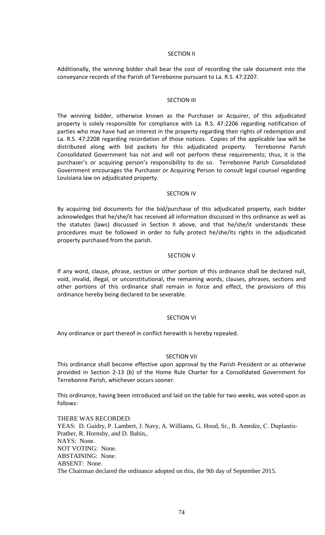### SECTION II

Additionally, the winning bidder shall bear the cost of recording the sale document into the conveyance records of the Parish of Terrebonne pursuant to La. R.S. 47:2207.

### SECTION III

The winning bidder, otherwise known as the Purchaser or Acquirer, of this adjudicated property is solely responsible for compliance with La. R.S. 47:2206 regarding notification of parties who may have had an interest in the property regarding their rights of redemption and La. R.S. 47:2208 regarding recordation of those notices. Copies of the applicable law will be distributed along with bid packets for this adjudicated property. Terrebonne Parish Consolidated Government has not and will not perform these requirements; thus, it is the purchaser's or acquiring person's responsibility to do so. Terrebonne Parish Consolidated Government encourages the Purchaser or Acquiring Person to consult legal counsel regarding Louisiana law on adjudicated property.

#### SECTION IV

By acquiring bid documents for the bid/purchase of this adjudicated property, each bidder acknowledges that he/she/it has received all information discussed in this ordinance as well as the statutes (laws) discussed in Section II above, and that he/she/it understands these procedures must be followed in order to fully protect he/she/its rights in the adjudicated property purchased from the parish.

### SECTION V

If any word, clause, phrase, section or other portion of this ordinance shall be declared null, void, invalid, illegal, or unconstitutional, the remaining words, clauses, phrases, sections and other portions of this ordinance shall remain in force and effect, the provisions of this ordinance hereby being declared to be severable.

#### SECTION VI

Any ordinance or part thereof in conflict herewith is hereby repealed.

## SECTION VII

This ordinance shall become effective upon approval by the Parish President or as otherwise provided in Section 2-13 (b) of the Home Rule Charter for a Consolidated Government for Terrebonne Parish, whichever occurs sooner.

This ordinance, having been introduced and laid on the table for two weeks, was voted upon as follows:

THERE WAS RECORDED: YEAS: D. Guidry, P. Lambert, J. Navy, A. Williams, G. Hood, Sr., B. Amedėe, C. Duplantis-Prather, R. Hornsby, and D. Babin,. NAYS: None. NOT VOTING: None. ABSTAINING: None. ABSENT: None. The Chairman declared the ordinance adopted on this, the 9th day of September 2015.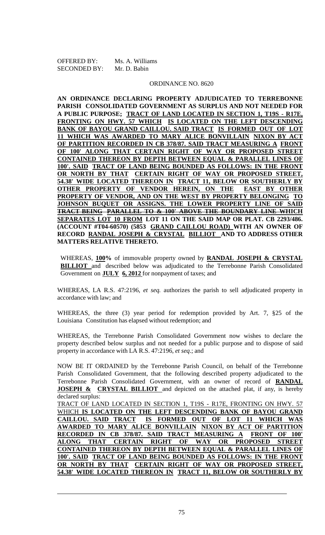| <b>OFFERED BY:</b>  | Ms. A. Williams |
|---------------------|-----------------|
| <b>SECONDED BY:</b> | Mr. D. Babin    |

#### ORDINANCE NO. 8620

**AN ORDINANCE DECLARING PROPERTY ADJUDICATED TO TERREBONNE PARISH CONSOLIDATED GOVERNMENT AS SURPLUS AND NOT NEEDED FOR A PUBLIC PURPOSE; TRACT OF LAND LOCATED IN SECTION 1, T19S - R17E, FRONTING ON HWY. 57 WHICH IS LOCATED ON THE LEFT DESCENDING BANK OF BAYOU GRAND CAILLOU. SAID TRACT IS FORMED OUT OF LOT 11 WHICH WAS AWARDED TO MARY ALICE BONVILLAIN NIXON BY ACT OF PARTITION RECORDED IN CB 378/87. SAID TRACT MEASURING A FRONT OF 100' ALONG THAT CERTAIN RIGHT OF WAY OR PROPOSED STREET CONTAINED THEREON BY DEPTH BETWEEN EQUAL & PARALLEL LINES OF 100'. SAID TRACT OF LAND BEING BOUNDED AS FOLLOWS: IN THE FRONT OR NORTH BY THAT CERTAIN RIGHT OF WAY OR PROPOSED STREET, 54.38' WIDE LOCATED THEREON IN TRACT 11, BELOW OR SOUTHERLY BY OTHER PROPERTY OF VENDOR HEREIN, ON THE EAST BY OTHER PROPERTY OF VENDOR, AND ON THE WEST BY PROPERTY BELONGING TO JOHNSON BUQUET OR ASSIGNS. THE LOWER PROPERTY LINE OF SAID TRACT BEING PARALLEL TO & 100' ABOVE THE BOUNDARY LINE WHICH SEPARATES LOT 10 FROM LOT 11 ON THE SAID MAP OR PLAT. CB 2293/486. (ACCOUNT #T04-60570) (5853 GRAND CAILLOU ROAD) WITH AN OWNER OF RECORD RANDAL JOSEPH & CRYSTAL BILLIOT AND TO ADDRESS OTHER MATTERS RELATIVE THERETO.**

WHEREAS, **100%** of immovable property owned by **RANDAL JOSEPH & CRYSTAL BILLIOT** and described below was adjudicated to the Terrebonne Parish Consolidated Government on **JULY 6, 2012** for nonpayment of taxes; and

WHEREAS, LA R.S. 47:2196, *et seq.* authorizes the parish to sell adjudicated property in accordance with law; and

WHEREAS, the three (3) year period for redemption provided by Art. 7, §25 of the Louisiana Constitution has elapsed without redemption; and

WHEREAS, the Terrebonne Parish Consolidated Government now wishes to declare the property described below surplus and not needed for a public purpose and to dispose of said property in accordance with LA R.S. 47:2196, *et seq*.; and

NOW BE IT ORDAINED by the Terrebonne Parish Council, on behalf of the Terrebonne Parish Consolidated Government, that the following described property adjudicated to the Terrebonne Parish Consolidated Government, with an owner of record of **RANDAL JOSEPH & CRYSTAL BILLIOT** and depicted on the attached plat, if any, is hereby declared surplus:

TRACT OF LAND LOCATED IN SECTION 1, T19S - R17E, FRONTING ON HWY. 57 WHICH **IS LOCATED ON THE LEFT DESCENDING BANK OF BAYOU GRAND CAILLOU. SAID TRACT IS FORMED OUT OF LOT 11 WHICH WAS AWARDED TO MARY ALICE BONVILLAIN NIXON BY ACT OF PARTITION RECORDED IN CB 378/87. SAID TRACT MEASURING A FRONT OF 100' ALONG THAT CERTAIN RIGHT OF WAY OR PROPOSED STREET CONTAINED THEREON BY DEPTH BETWEEN EQUAL & PARALLEL LINES OF 100'. SAID TRACT OF LAND BEING BOUNDED AS FOLLOWS: IN THE FRONT OR NORTH BY THAT CERTAIN RIGHT OF WAY OR PROPOSED STREET, 54.38' WIDE LOCATED THEREON IN TRACT 11, BELOW OR SOUTHERLY BY**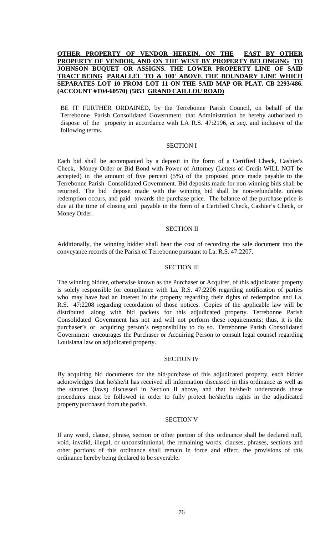# **OTHER PROPERTY OF VENDOR HEREIN, ON THE EAST BY OTHER PROPERTY OF VENDOR, AND ON THE WEST BY PROPERTY BELONGING TO JOHNSON BUQUET OR ASSIGNS. THE LOWER PROPERTY LINE OF SAID TRACT BEING PARALLEL TO & 100' ABOVE THE BOUNDARY LINE WHICH SEPARATES LOT 10 FROM LOT 11 ON THE SAID MAP OR PLAT. CB 2293/486. (ACCOUNT #T04-60570) (5853 GRAND CAILLOU ROAD)**

BE IT FURTHER ORDAINED, by the Terrebonne Parish Council, on behalf of the Terrebonne Parish Consolidated Government, that Administration be hereby authorized to dispose of the property in accordance with LA R.S. 47:2196, *et seq*. and inclusive of the following terms.

### SECTION I

Each bid shall be accompanied by a deposit in the form of a Certified Check, Cashier's Check, Money Order or Bid Bond with Power of Attorney (Letters of Credit WILL NOT be accepted) in the amount of five percent (5%) of the proposed price made payable to the Terrebonne Parish Consolidated Government. Bid deposits made for non-winning bids shall be returned. The bid deposit made with the winning bid shall be non-refundable, unless redemption occurs, and paid towards the purchase price. The balance of the purchase price is due at the time of closing and payable in the form of a Certified Check, Cashier's Check, or Money Order.

### SECTION II

Additionally, the winning bidder shall bear the cost of recording the sale document into the conveyance records of the Parish of Terrebonne pursuant to La. R.S. 47:2207.

#### SECTION III

The winning bidder, otherwise known as the Purchaser or Acquirer, of this adjudicated property is solely responsible for compliance with La. R.S. 47:2206 regarding notification of parties who may have had an interest in the property regarding their rights of redemption and La. R.S. 47:2208 regarding recordation of those notices. Copies of the applicable law will be distributed along with bid packets for this adjudicated property. Terrebonne Parish Consolidated Government has not and will not perform these requirements; thus, it is the purchaser's or acquiring person's responsibility to do so. Terrebonne Parish Consolidated Government encourages the Purchaser or Acquiring Person to consult legal counsel regarding Louisiana law on adjudicated property.

#### SECTION IV

By acquiring bid documents for the bid/purchase of this adjudicated property, each bidder acknowledges that he/she/it has received all information discussed in this ordinance as well as the statutes (laws) discussed in Section II above, and that he/she/it understands these procedures must be followed in order to fully protect he/she/its rights in the adjudicated property purchased from the parish.

#### SECTION V

If any word, clause, phrase, section or other portion of this ordinance shall be declared null, void, invalid, illegal, or unconstitutional, the remaining words, clauses, phrases, sections and other portions of this ordinance shall remain in force and effect, the provisions of this ordinance hereby being declared to be severable.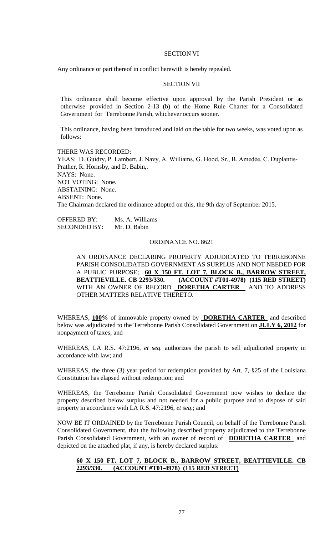#### SECTION VI

Any ordinance or part thereof in conflict herewith is hereby repealed.

## SECTION VII

This ordinance shall become effective upon approval by the Parish President or as otherwise provided in Section 2-13 (b) of the Home Rule Charter for a Consolidated Government for Terrebonne Parish, whichever occurs sooner.

This ordinance, having been introduced and laid on the table for two weeks, was voted upon as follows:

THERE WAS RECORDED: YEAS: D. Guidry, P. Lambert, J. Navy, A. Williams, G. Hood, Sr., B. Amedée, C. Duplantis-Prather, R. Hornsby, and D. Babin,. NAYS: None. NOT VOTING: None. ABSTAINING: None. ABSENT: None. The Chairman declared the ordinance adopted on this, the 9th day of September 2015.

OFFERED BY: Ms. A. Williams SECONDED BY: Mr. D. Babin

#### ORDINANCE NO. 8621

AN ORDINANCE DECLARING PROPERTY ADJUDICATED TO TERREBONNE PARISH CONSOLIDATED GOVERNMENT AS SURPLUS AND NOT NEEDED FOR A PUBLIC PURPOSE; **60 X 150 FT. LOT 7, BLOCK B., BARROW STREET, BEATTIEVILLE. CB 2293/330. (ACCOUNT #T01-4978) (115 RED STREET)**  WITH AN OWNER OF RECORD **DORETHA CARTER** AND TO ADDRESS OTHER MATTERS RELATIVE THERETO.

WHEREAS, **100%** of immovable property owned by **DORETHA CARTER** and described below was adjudicated to the Terrebonne Parish Consolidated Government on **JULY 6, 2012** for nonpayment of taxes; and

WHEREAS, LA R.S. 47:2196, *et seq.* authorizes the parish to sell adjudicated property in accordance with law; and

WHEREAS, the three (3) year period for redemption provided by Art. 7, §25 of the Louisiana Constitution has elapsed without redemption; and

WHEREAS, the Terrebonne Parish Consolidated Government now wishes to declare the property described below surplus and not needed for a public purpose and to dispose of said property in accordance with LA R.S. 47:2196, *et seq*.; and

NOW BE IT ORDAINED by the Terrebonne Parish Council, on behalf of the Terrebonne Parish Consolidated Government, that the following described property adjudicated to the Terrebonne Parish Consolidated Government, with an owner of record of **DORETHA CARTER** and depicted on the attached plat, if any, is hereby declared surplus:

## **60 X 150 FT. LOT 7, BLOCK B., BARROW STREET, BEATTIEVILLE. CB 2293/330. (ACCOUNT #T01-4978) (115 RED STREET)**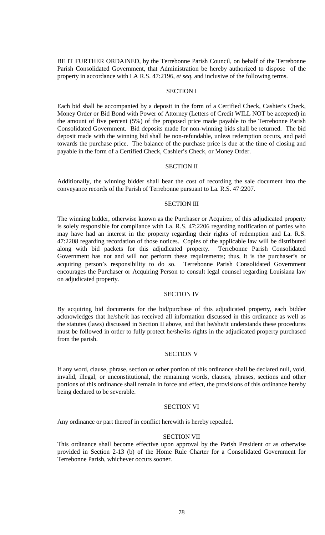BE IT FURTHER ORDAINED, by the Terrebonne Parish Council, on behalf of the Terrebonne Parish Consolidated Government, that Administration be hereby authorized to dispose of the property in accordance with LA R.S. 47:2196, *et seq*. and inclusive of the following terms.

### SECTION I

Each bid shall be accompanied by a deposit in the form of a Certified Check, Cashier's Check, Money Order or Bid Bond with Power of Attorney (Letters of Credit WILL NOT be accepted) in the amount of five percent (5%) of the proposed price made payable to the Terrebonne Parish Consolidated Government. Bid deposits made for non-winning bids shall be returned. The bid deposit made with the winning bid shall be non-refundable, unless redemption occurs, and paid towards the purchase price. The balance of the purchase price is due at the time of closing and payable in the form of a Certified Check, Cashier's Check, or Money Order.

#### SECTION II

Additionally, the winning bidder shall bear the cost of recording the sale document into the conveyance records of the Parish of Terrebonne pursuant to La. R.S. 47:2207.

#### **SECTION III**

The winning bidder, otherwise known as the Purchaser or Acquirer, of this adjudicated property is solely responsible for compliance with La. R.S. 47:2206 regarding notification of parties who may have had an interest in the property regarding their rights of redemption and La. R.S. 47:2208 regarding recordation of those notices. Copies of the applicable law will be distributed along with bid packets for this adjudicated property. Terrebonne Parish Consolidated Government has not and will not perform these requirements; thus, it is the purchaser's or acquiring person's responsibility to do so. Terrebonne Parish Consolidated Government encourages the Purchaser or Acquiring Person to consult legal counsel regarding Louisiana law on adjudicated property.

#### SECTION IV

By acquiring bid documents for the bid/purchase of this adjudicated property, each bidder acknowledges that he/she/it has received all information discussed in this ordinance as well as the statutes (laws) discussed in Section II above, and that he/she/it understands these procedures must be followed in order to fully protect he/she/its rights in the adjudicated property purchased from the parish.

#### SECTION V

If any word, clause, phrase, section or other portion of this ordinance shall be declared null, void, invalid, illegal, or unconstitutional, the remaining words, clauses, phrases, sections and other portions of this ordinance shall remain in force and effect, the provisions of this ordinance hereby being declared to be severable.

### SECTION VI

Any ordinance or part thereof in conflict herewith is hereby repealed.

### SECTION VII

This ordinance shall become effective upon approval by the Parish President or as otherwise provided in Section 2-13 (b) of the Home Rule Charter for a Consolidated Government for Terrebonne Parish, whichever occurs sooner.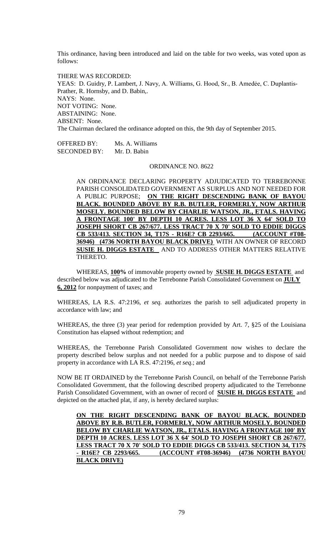This ordinance, having been introduced and laid on the table for two weeks, was voted upon as follows:

THERE WAS RECORDED: YEAS: D. Guidry, P. Lambert, J. Navy, A. Williams, G. Hood, Sr., B. Amedée, C. Duplantis-Prather, R. Hornsby, and D. Babin,. NAYS: None. NOT VOTING: None. ABSTAINING: None. ABSENT: None. The Chairman declared the ordinance adopted on this, the 9th day of September 2015.

OFFERED BY: Ms. A. Williams SECONDED BY: Mr. D. Babin

#### ORDINANCE NO. 8622

AN ORDINANCE DECLARING PROPERTY ADJUDICATED TO TERREBONNE PARISH CONSOLIDATED GOVERNMENT AS SURPLUS AND NOT NEEDED FOR A PUBLIC PURPOSE; **ON THE RIGHT DESCENDING BANK OF BAYOU BLACK. BOUNDED ABOVE BY R.B. BUTLER, FORMERLY, NOW ARTHUR MOSELY. BOUNDED BELOW BY CHARLIE WATSON, JR., ETALS. HAVING A FRONTAGE 100' BY DEPTH 10 ACRES. LESS LOT 36 X 64' SOLD TO JOSEPH SHORT CB 267/677. LESS TRACT 70 X 70' SOLD TO EDDIE DIGGS CB 533/413. SECTION 34, T17S - R16E? CB 2293/665. (ACCOUNT #T08- 36946) (4736 NORTH BAYOU BLACK DRIVE)** WITH AN OWNER OF RECORD **SUSIE H. DIGGS ESTATE** AND TO ADDRESS OTHER MATTERS RELATIVE THERETO.

WHEREAS, **100%** of immovable property owned by **SUSIE H. DIGGS ESTATE** and described below was adjudicated to the Terrebonne Parish Consolidated Government on **JULY 6, 2012** for nonpayment of taxes; and

WHEREAS, LA R.S. 47:2196, *et seq.* authorizes the parish to sell adjudicated property in accordance with law; and

WHEREAS, the three (3) year period for redemption provided by Art. 7, §25 of the Louisiana Constitution has elapsed without redemption; and

WHEREAS, the Terrebonne Parish Consolidated Government now wishes to declare the property described below surplus and not needed for a public purpose and to dispose of said property in accordance with LA R.S. 47:2196, *et seq*.; and

NOW BE IT ORDAINED by the Terrebonne Parish Council, on behalf of the Terrebonne Parish Consolidated Government, that the following described property adjudicated to the Terrebonne Parish Consolidated Government, with an owner of record of **SUSIE H. DIGGS ESTATE** and depicted on the attached plat, if any, is hereby declared surplus:

**ON THE RIGHT DESCENDING BANK OF BAYOU BLACK. BOUNDED ABOVE BY R.B. BUTLER, FORMERLY, NOW ARTHUR MOSELY. BOUNDED BELOW BY CHARLIE WATSON, JR., ETALS. HAVING A FRONTAGE 100' BY DEPTH 10 ACRES. LESS LOT 36 X 64' SOLD TO JOSEPH SHORT CB 267/677. LESS TRACT 70 X 70' SOLD TO EDDIE DIGGS CB 533/413. SECTION 34, T17S - R16E? CB 2293/665. (ACCOUNT #T08-36946) (4736 NORTH BAYOU BLACK DRIVE)**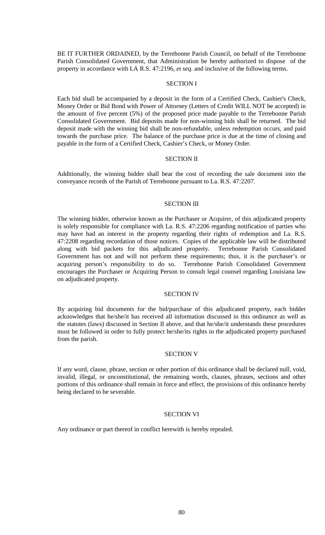BE IT FURTHER ORDAINED, by the Terrebonne Parish Council, on behalf of the Terrebonne Parish Consolidated Government, that Administration be hereby authorized to dispose of the property in accordance with LA R.S. 47:2196, *et seq*. and inclusive of the following terms.

### SECTION I

Each bid shall be accompanied by a deposit in the form of a Certified Check, Cashier's Check, Money Order or Bid Bond with Power of Attorney (Letters of Credit WILL NOT be accepted) in the amount of five percent (5%) of the proposed price made payable to the Terrebonne Parish Consolidated Government. Bid deposits made for non-winning bids shall be returned. The bid deposit made with the winning bid shall be non-refundable, unless redemption occurs, and paid towards the purchase price. The balance of the purchase price is due at the time of closing and payable in the form of a Certified Check, Cashier's Check, or Money Order.

#### SECTION II

Additionally, the winning bidder shall bear the cost of recording the sale document into the conveyance records of the Parish of Terrebonne pursuant to La. R.S. 47:2207.

#### **SECTION III**

The winning bidder, otherwise known as the Purchaser or Acquirer, of this adjudicated property is solely responsible for compliance with La. R.S. 47:2206 regarding notification of parties who may have had an interest in the property regarding their rights of redemption and La. R.S. 47:2208 regarding recordation of those notices. Copies of the applicable law will be distributed along with bid packets for this adjudicated property. Terrebonne Parish Consolidated Government has not and will not perform these requirements; thus, it is the purchaser's or acquiring person's responsibility to do so. Terrebonne Parish Consolidated Government encourages the Purchaser or Acquiring Person to consult legal counsel regarding Louisiana law on adjudicated property.

#### SECTION IV

By acquiring bid documents for the bid/purchase of this adjudicated property, each bidder acknowledges that he/she/it has received all information discussed in this ordinance as well as the statutes (laws) discussed in Section II above, and that he/she/it understands these procedures must be followed in order to fully protect he/she/its rights in the adjudicated property purchased from the parish.

### SECTION V

If any word, clause, phrase, section or other portion of this ordinance shall be declared null, void, invalid, illegal, or unconstitutional, the remaining words, clauses, phrases, sections and other portions of this ordinance shall remain in force and effect, the provisions of this ordinance hereby being declared to be severable.

## SECTION VI

Any ordinance or part thereof in conflict herewith is hereby repealed.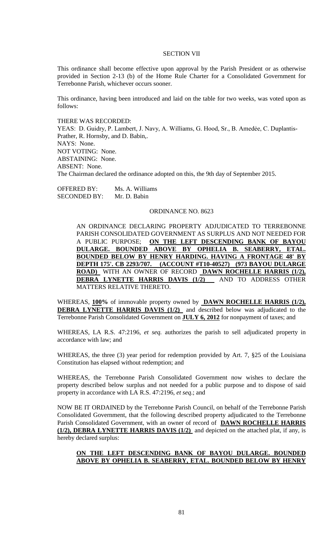#### SECTION VII

This ordinance shall become effective upon approval by the Parish President or as otherwise provided in Section 2-13 (b) of the Home Rule Charter for a Consolidated Government for Terrebonne Parish, whichever occurs sooner.

This ordinance, having been introduced and laid on the table for two weeks, was voted upon as follows:

#### THERE WAS RECORDED:

YEAS: D. Guidry, P. Lambert, J. Navy, A. Williams, G. Hood, Sr., B. Amedée, C. Duplantis-Prather, R. Hornsby, and D. Babin,. NAYS: None. NOT VOTING: None. ABSTAINING: None. ABSENT: None. The Chairman declared the ordinance adopted on this, the 9th day of September 2015.

OFFERED BY: Ms. A. Williams SECONDED BY: Mr. D. Babin

### ORDINANCE NO. 8623

AN ORDINANCE DECLARING PROPERTY ADJUDICATED TO TERREBONNE PARISH CONSOLIDATED GOVERNMENT AS SURPLUS AND NOT NEEDED FOR A PUBLIC PURPOSE; **ON THE LEFT DESCENDING BANK OF BAYOU DULARGE. BOUNDED ABOVE BY OPHELIA B. SEABERRY, ETAL. BOUNDED BELOW BY HENRY HARDING. HAVING A FRONTAGE 48' BY DEPTH 175'. CB 2293/707. (ACCOUNT #T10-40527) (973 BAYOU DULARGE ROAD)** WITH AN OWNER OF RECORD **DAWN ROCHELLE HARRIS (1/2), DEBRA LYNETTE HARRIS DAVIS (1/2)** AND TO ADDRESS OTHER MATTERS RELATIVE THERETO.

WHEREAS, **100%** of immovable property owned by **DAWN ROCHELLE HARRIS (1/2), DEBRA LYNETTE HARRIS DAVIS (1/2)** and described below was adjudicated to the Terrebonne Parish Consolidated Government on **JULY 6, 2012** for nonpayment of taxes; and

WHEREAS, LA R.S. 47:2196, *et seq.* authorizes the parish to sell adjudicated property in accordance with law; and

WHEREAS, the three (3) year period for redemption provided by Art. 7, §25 of the Louisiana Constitution has elapsed without redemption; and

WHEREAS, the Terrebonne Parish Consolidated Government now wishes to declare the property described below surplus and not needed for a public purpose and to dispose of said property in accordance with LA R.S. 47:2196, *et seq*.; and

NOW BE IT ORDAINED by the Terrebonne Parish Council, on behalf of the Terrebonne Parish Consolidated Government, that the following described property adjudicated to the Terrebonne Parish Consolidated Government, with an owner of record of **DAWN ROCHELLE HARRIS (1/2), DEBRA LYNETTE HARRIS DAVIS (1/2)** and depicted on the attached plat, if any, is hereby declared surplus:

## **ON THE LEFT DESCENDING BANK OF BAYOU DULARGE. BOUNDED ABOVE BY OPHELIA B. SEABERRY, ETAL. BOUNDED BELOW BY HENRY**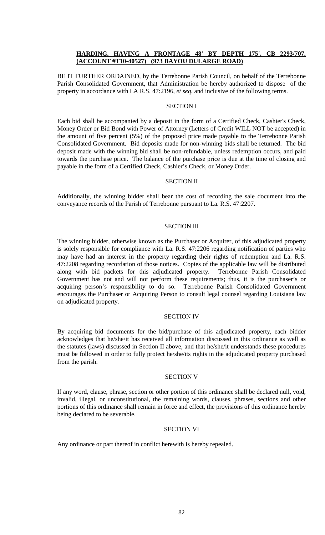## **HARDING. HAVING A FRONTAGE 48' BY DEPTH 175'. CB 2293/707. (ACCOUNT #T10-40527) (973 BAYOU DULARGE ROAD)**

BE IT FURTHER ORDAINED, by the Terrebonne Parish Council, on behalf of the Terrebonne Parish Consolidated Government, that Administration be hereby authorized to dispose of the property in accordance with LA R.S. 47:2196, *et seq*. and inclusive of the following terms.

### SECTION I

Each bid shall be accompanied by a deposit in the form of a Certified Check, Cashier's Check, Money Order or Bid Bond with Power of Attorney (Letters of Credit WILL NOT be accepted) in the amount of five percent (5%) of the proposed price made payable to the Terrebonne Parish Consolidated Government. Bid deposits made for non-winning bids shall be returned. The bid deposit made with the winning bid shall be non-refundable, unless redemption occurs, and paid towards the purchase price. The balance of the purchase price is due at the time of closing and payable in the form of a Certified Check, Cashier's Check, or Money Order.

### SECTION II

Additionally, the winning bidder shall bear the cost of recording the sale document into the conveyance records of the Parish of Terrebonne pursuant to La. R.S. 47:2207.

### SECTION III

The winning bidder, otherwise known as the Purchaser or Acquirer, of this adjudicated property is solely responsible for compliance with La. R.S. 47:2206 regarding notification of parties who may have had an interest in the property regarding their rights of redemption and La. R.S. 47:2208 regarding recordation of those notices. Copies of the applicable law will be distributed along with bid packets for this adjudicated property. Terrebonne Parish Consolidated Government has not and will not perform these requirements; thus, it is the purchaser's or acquiring person's responsibility to do so. Terrebonne Parish Consolidated Government encourages the Purchaser or Acquiring Person to consult legal counsel regarding Louisiana law on adjudicated property.

## SECTION IV

By acquiring bid documents for the bid/purchase of this adjudicated property, each bidder acknowledges that he/she/it has received all information discussed in this ordinance as well as the statutes (laws) discussed in Section II above, and that he/she/it understands these procedures must be followed in order to fully protect he/she/its rights in the adjudicated property purchased from the parish.

#### SECTION V

If any word, clause, phrase, section or other portion of this ordinance shall be declared null, void, invalid, illegal, or unconstitutional, the remaining words, clauses, phrases, sections and other portions of this ordinance shall remain in force and effect, the provisions of this ordinance hereby being declared to be severable.

### SECTION VI

Any ordinance or part thereof in conflict herewith is hereby repealed.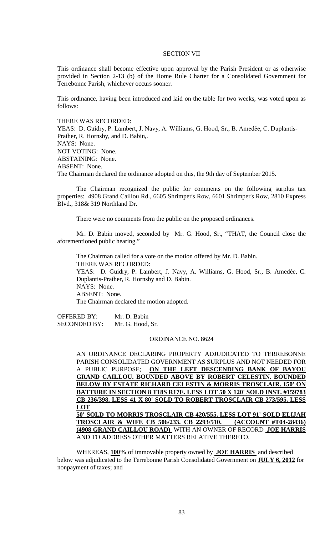#### SECTION VII

This ordinance shall become effective upon approval by the Parish President or as otherwise provided in Section 2-13 (b) of the Home Rule Charter for a Consolidated Government for Terrebonne Parish, whichever occurs sooner.

This ordinance, having been introduced and laid on the table for two weeks, was voted upon as follows:

#### THERE WAS RECORDED:

YEAS: D. Guidry, P. Lambert, J. Navy, A. Williams, G. Hood, Sr., B. Amedée, C. Duplantis-Prather, R. Hornsby, and D. Babin,. NAYS: None. NOT VOTING: None. ABSTAINING: None. ABSENT: None. The Chairman declared the ordinance adopted on this, the 9th day of September 2015.

The Chairman recognized the public for comments on the following surplus tax properties: 4908 Grand Caillou Rd., 6605 Shrimper's Row, 6601 Shrimper's Row, 2810 Express Blvd., 318& 319 Northland Dr.

There were no comments from the public on the proposed ordinances.

Mr. D. Babin moved, seconded by Mr. G. Hood, Sr., "THAT, the Council close the aforementioned public hearing."

The Chairman called for a vote on the motion offered by Mr. D. Babin. THERE WAS RECORDED: YEAS: D. Guidry, P. Lambert, J. Navy, A. Williams, G. Hood, Sr., B. Amedée, C. Duplantis-Prather, R. Hornsby and D. Babin. NAYS: None. ABSENT: None. The Chairman declared the motion adopted.

OFFERED BY: Mr. D. Babin SECONDED BY: Mr. G. Hood, Sr.

### ORDINANCE NO. 8624

AN ORDINANCE DECLARING PROPERTY ADJUDICATED TO TERREBONNE PARISH CONSOLIDATED GOVERNMENT AS SURPLUS AND NOT NEEDED FOR A PUBLIC PURPOSE; **ON THE LEFT DESCENDING BANK OF BAYOU GRAND CAILLOU. BOUNDED ABOVE BY ROBERT CELESTIN. BOUNDED BELOW BY ESTATE RICHARD CELESTIN & MORRIS TROSCLAIR. 150' ON BATTURE IN SECTION 8 T18S R17E. LESS LOT 50 X 120' SOLD INST. #159783 CB 236/398. LESS 41 X 80' SOLD TO ROBERT TROSCLAIR CB 273/595. LESS LOT 50' SOLD TO MORRIS TROSCLAIR CB 420/555. LESS LOT 91' SOLD ELIJAH TROSCLAIR & WIFE CB 506/233. CB 2293/510. (ACCOUNT #T04-28436) (4908 GRAND CAILLOU ROAD)** WITH AN OWNER OF RECORD **JOE HARRIS**  AND TO ADDRESS OTHER MATTERS RELATIVE THERETO.

WHEREAS, **100%** of immovable property owned by **JOE HARRIS** and described below was adjudicated to the Terrebonne Parish Consolidated Government on **JULY 6, 2012** for nonpayment of taxes; and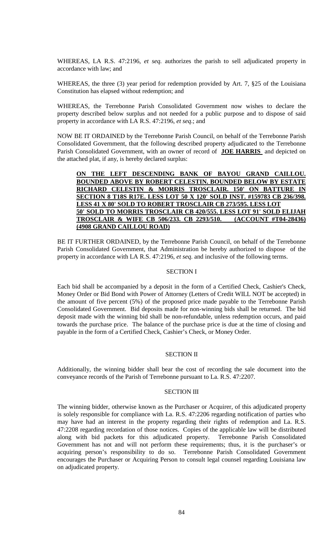WHEREAS, LA R.S. 47:2196, *et seq.* authorizes the parish to sell adjudicated property in accordance with law; and

WHEREAS, the three (3) year period for redemption provided by Art. 7, §25 of the Louisiana Constitution has elapsed without redemption; and

WHEREAS, the Terrebonne Parish Consolidated Government now wishes to declare the property described below surplus and not needed for a public purpose and to dispose of said property in accordance with LA R.S. 47:2196, *et seq*.; and

NOW BE IT ORDAINED by the Terrebonne Parish Council, on behalf of the Terrebonne Parish Consolidated Government, that the following described property adjudicated to the Terrebonne Parish Consolidated Government, with an owner of record of **JOE HARRIS** and depicted on the attached plat, if any, is hereby declared surplus:

**ON THE LEFT DESCENDING BANK OF BAYOU GRAND CAILLOU. BOUNDED ABOVE BY ROBERT CELESTIN. BOUNDED BELOW BY ESTATE RICHARD CELESTIN & MORRIS TROSCLAIR. 150' ON BATTURE IN SECTION 8 T18S R17E. LESS LOT 50 X 120' SOLD INST. #159783 CB 236/398. LESS 41 X 80' SOLD TO ROBERT TROSCLAIR CB 273/595. LESS LOT 50' SOLD TO MORRIS TROSCLAIR CB 420/555. LESS LOT 91' SOLD ELIJAH TROSCLAIR & WIFE CB 506/233. CB 2293/510. (ACCOUNT #T04-28436) (4908 GRAND CAILLOU ROAD)** 

BE IT FURTHER ORDAINED, by the Terrebonne Parish Council, on behalf of the Terrebonne Parish Consolidated Government, that Administration be hereby authorized to dispose of the property in accordance with LA R.S. 47:2196, *et seq*. and inclusive of the following terms.

#### SECTION I

Each bid shall be accompanied by a deposit in the form of a Certified Check, Cashier's Check, Money Order or Bid Bond with Power of Attorney (Letters of Credit WILL NOT be accepted) in the amount of five percent (5%) of the proposed price made payable to the Terrebonne Parish Consolidated Government. Bid deposits made for non-winning bids shall be returned. The bid deposit made with the winning bid shall be non-refundable, unless redemption occurs, and paid towards the purchase price. The balance of the purchase price is due at the time of closing and payable in the form of a Certified Check, Cashier's Check, or Money Order.

# SECTION II

Additionally, the winning bidder shall bear the cost of recording the sale document into the conveyance records of the Parish of Terrebonne pursuant to La. R.S. 47:2207.

### SECTION III

The winning bidder, otherwise known as the Purchaser or Acquirer, of this adjudicated property is solely responsible for compliance with La. R.S. 47:2206 regarding notification of parties who may have had an interest in the property regarding their rights of redemption and La. R.S. 47:2208 regarding recordation of those notices. Copies of the applicable law will be distributed along with bid packets for this adjudicated property. Terrebonne Parish Consolidated Government has not and will not perform these requirements; thus, it is the purchaser's or acquiring person's responsibility to do so. Terrebonne Parish Consolidated Government encourages the Purchaser or Acquiring Person to consult legal counsel regarding Louisiana law on adjudicated property.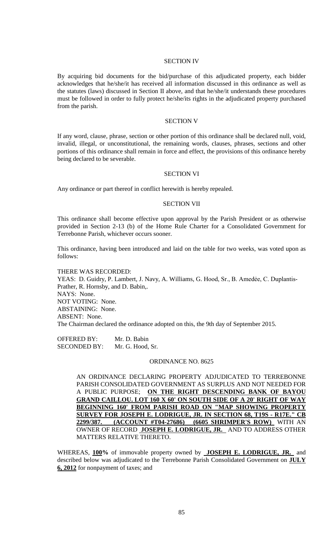### SECTION IV

By acquiring bid documents for the bid/purchase of this adjudicated property, each bidder acknowledges that he/she/it has received all information discussed in this ordinance as well as the statutes (laws) discussed in Section II above, and that he/she/it understands these procedures must be followed in order to fully protect he/she/its rights in the adjudicated property purchased from the parish.

#### SECTION V

If any word, clause, phrase, section or other portion of this ordinance shall be declared null, void, invalid, illegal, or unconstitutional, the remaining words, clauses, phrases, sections and other portions of this ordinance shall remain in force and effect, the provisions of this ordinance hereby being declared to be severable.

## SECTION VI

Any ordinance or part thereof in conflict herewith is hereby repealed.

#### SECTION VII

This ordinance shall become effective upon approval by the Parish President or as otherwise provided in Section 2-13 (b) of the Home Rule Charter for a Consolidated Government for Terrebonne Parish, whichever occurs sooner.

This ordinance, having been introduced and laid on the table for two weeks, was voted upon as follows:

THERE WAS RECORDED:

YEAS: D. Guidry, P. Lambert, J. Navy, A. Williams, G. Hood, Sr., B. Amedée, C. Duplantis-Prather, R. Hornsby, and D. Babin,. NAYS: None. NOT VOTING: None. ABSTAINING: None. ABSENT: None. The Chairman declared the ordinance adopted on this, the 9th day of September 2015.

OFFERED BY: Mr. D. Babin SECONDED BY: Mr. G. Hood, Sr.

#### ORDINANCE NO. 8625

AN ORDINANCE DECLARING PROPERTY ADJUDICATED TO TERREBONNE PARISH CONSOLIDATED GOVERNMENT AS SURPLUS AND NOT NEEDED FOR A PUBLIC PURPOSE; **ON THE RIGHT DESCENDING BANK OF BAYOU GRAND CAILLOU. LOT 160 X 60' ON SOUTH SIDE OF A 20' RIGHT OF WAY BEGINNING 160' FROM PARISH ROAD ON "MAP SHOWING PROPERTY SURVEY FOR JOSEPH E. LODRIGUE, JR. IN SECTION 68, T19S - R17E." CB 2299/387. (ACCOUNT #T04-27686) (6605 SHRIMPER'S ROW)** WITH AN OWNER OF RECORD **JOSEPH E. LODRIGUE, JR.** AND TO ADDRESS OTHER MATTERS RELATIVE THERETO.

WHEREAS, **100%** of immovable property owned by **JOSEPH E. LODRIGUE, JR.** and described below was adjudicated to the Terrebonne Parish Consolidated Government on **JULY 6, 2012** for nonpayment of taxes; and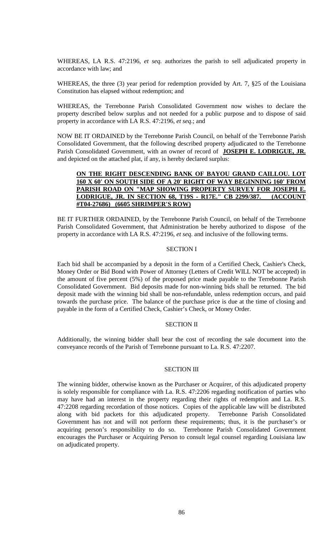WHEREAS, LA R.S. 47:2196, *et seq.* authorizes the parish to sell adjudicated property in accordance with law; and

WHEREAS, the three (3) year period for redemption provided by Art. 7, §25 of the Louisiana Constitution has elapsed without redemption; and

WHEREAS, the Terrebonne Parish Consolidated Government now wishes to declare the property described below surplus and not needed for a public purpose and to dispose of said property in accordance with LA R.S. 47:2196, *et seq*.; and

NOW BE IT ORDAINED by the Terrebonne Parish Council, on behalf of the Terrebonne Parish Consolidated Government, that the following described property adjudicated to the Terrebonne Parish Consolidated Government, with an owner of record of **JOSEPH E. LODRIGUE, JR.**  and depicted on the attached plat, if any, is hereby declared surplus:

## **ON THE RIGHT DESCENDING BANK OF BAYOU GRAND CAILLOU. LOT 160 X 60' ON SOUTH SIDE OF A 20' RIGHT OF WAY BEGINNING 160' FROM PARISH ROAD ON "MAP SHOWING PROPERTY SURVEY FOR JOSEPH E. LODRIGUE, JR. IN SECTION 68, T19S - R17E." CB 2299/387. (ACCOUNT #T04-27686) (6605 SHRIMPER'S ROW)**

BE IT FURTHER ORDAINED, by the Terrebonne Parish Council, on behalf of the Terrebonne Parish Consolidated Government, that Administration be hereby authorized to dispose of the property in accordance with LA R.S. 47:2196, *et seq*. and inclusive of the following terms.

## SECTION I

Each bid shall be accompanied by a deposit in the form of a Certified Check, Cashier's Check, Money Order or Bid Bond with Power of Attorney (Letters of Credit WILL NOT be accepted) in the amount of five percent (5%) of the proposed price made payable to the Terrebonne Parish Consolidated Government. Bid deposits made for non-winning bids shall be returned. The bid deposit made with the winning bid shall be non-refundable, unless redemption occurs, and paid towards the purchase price. The balance of the purchase price is due at the time of closing and payable in the form of a Certified Check, Cashier's Check, or Money Order.

## SECTION II

Additionally, the winning bidder shall bear the cost of recording the sale document into the conveyance records of the Parish of Terrebonne pursuant to La. R.S. 47:2207.

#### SECTION III

The winning bidder, otherwise known as the Purchaser or Acquirer, of this adjudicated property is solely responsible for compliance with La. R.S. 47:2206 regarding notification of parties who may have had an interest in the property regarding their rights of redemption and La. R.S. 47:2208 regarding recordation of those notices. Copies of the applicable law will be distributed along with bid packets for this adjudicated property. Terrebonne Parish Consolidated Government has not and will not perform these requirements; thus, it is the purchaser's or acquiring person's responsibility to do so. Terrebonne Parish Consolidated Government encourages the Purchaser or Acquiring Person to consult legal counsel regarding Louisiana law on adjudicated property.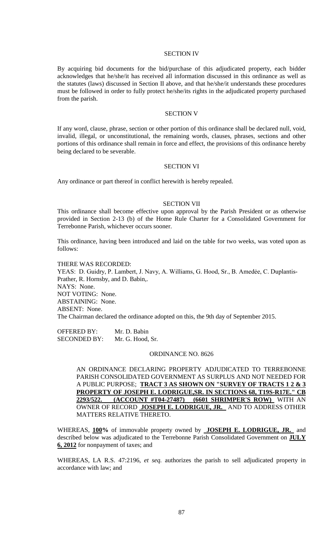#### SECTION IV

By acquiring bid documents for the bid/purchase of this adjudicated property, each bidder acknowledges that he/she/it has received all information discussed in this ordinance as well as the statutes (laws) discussed in Section II above, and that he/she/it understands these procedures must be followed in order to fully protect he/she/its rights in the adjudicated property purchased from the parish.

#### SECTION V

If any word, clause, phrase, section or other portion of this ordinance shall be declared null, void, invalid, illegal, or unconstitutional, the remaining words, clauses, phrases, sections and other portions of this ordinance shall remain in force and effect, the provisions of this ordinance hereby being declared to be severable.

#### SECTION VI

Any ordinance or part thereof in conflict herewith is hereby repealed.

#### SECTION VII

This ordinance shall become effective upon approval by the Parish President or as otherwise provided in Section 2-13 (b) of the Home Rule Charter for a Consolidated Government for Terrebonne Parish, whichever occurs sooner.

This ordinance, having been introduced and laid on the table for two weeks, was voted upon as follows:

### THERE WAS RECORDED:

YEAS: D. Guidry, P. Lambert, J. Navy, A. Williams, G. Hood, Sr., B. Amedée, C. Duplantis-Prather, R. Hornsby, and D. Babin,. NAYS: None. NOT VOTING: None. ABSTAINING: None. ABSENT: None. The Chairman declared the ordinance adopted on this, the 9th day of September 2015.

OFFERED BY: Mr. D. Babin SECONDED BY: Mr. G. Hood, Sr.

#### ORDINANCE NO. 8626

AN ORDINANCE DECLARING PROPERTY ADJUDICATED TO TERREBONNE PARISH CONSOLIDATED GOVERNMENT AS SURPLUS AND NOT NEEDED FOR A PUBLIC PURPOSE; **TRACT 3 AS SHOWN ON "SURVEY OF TRACTS 1 2 & 3 PROPERTY OF JOSEPH E. LODRIGUE,SR. IN SECTIONS 68, T19S-R17E." CB 2293/522. (ACCOUNT #T04-27487) (6601 SHRIMPER'S ROW)** WITH AN OWNER OF RECORD **JOSEPH E. LODRIGUE, JR.** AND TO ADDRESS OTHER MATTERS RELATIVE THERETO.

WHEREAS, **100%** of immovable property owned by **JOSEPH E. LODRIGUE, JR.** and described below was adjudicated to the Terrebonne Parish Consolidated Government on **JULY 6, 2012** for nonpayment of taxes; and

WHEREAS, LA R.S. 47:2196, *et seq.* authorizes the parish to sell adjudicated property in accordance with law; and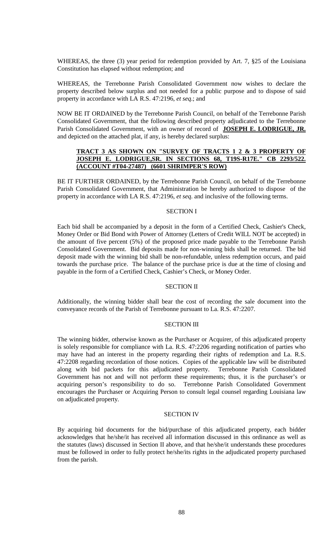WHEREAS, the three (3) year period for redemption provided by Art. 7, §25 of the Louisiana Constitution has elapsed without redemption; and

WHEREAS, the Terrebonne Parish Consolidated Government now wishes to declare the property described below surplus and not needed for a public purpose and to dispose of said property in accordance with LA R.S. 47:2196, *et seq*.; and

NOW BE IT ORDAINED by the Terrebonne Parish Council, on behalf of the Terrebonne Parish Consolidated Government, that the following described property adjudicated to the Terrebonne Parish Consolidated Government, with an owner of record of **JOSEPH E. LODRIGUE, JR.**  and depicted on the attached plat, if any, is hereby declared surplus:

# **TRACT 3 AS SHOWN ON "SURVEY OF TRACTS 1 2 & 3 PROPERTY OF JOSEPH E. LODRIGUE,SR. IN SECTIONS 68, T19S-R17E." CB 2293/522. (ACCOUNT #T04-27487) (6601 SHRIMPER'S ROW)**

BE IT FURTHER ORDAINED, by the Terrebonne Parish Council, on behalf of the Terrebonne Parish Consolidated Government, that Administration be hereby authorized to dispose of the property in accordance with LA R.S. 47:2196, *et seq*. and inclusive of the following terms.

## SECTION I

Each bid shall be accompanied by a deposit in the form of a Certified Check, Cashier's Check, Money Order or Bid Bond with Power of Attorney (Letters of Credit WILL NOT be accepted) in the amount of five percent (5%) of the proposed price made payable to the Terrebonne Parish Consolidated Government. Bid deposits made for non-winning bids shall be returned. The bid deposit made with the winning bid shall be non-refundable, unless redemption occurs, and paid towards the purchase price. The balance of the purchase price is due at the time of closing and payable in the form of a Certified Check, Cashier's Check, or Money Order.

## SECTION II

Additionally, the winning bidder shall bear the cost of recording the sale document into the conveyance records of the Parish of Terrebonne pursuant to La. R.S. 47:2207.

## SECTION III

The winning bidder, otherwise known as the Purchaser or Acquirer, of this adjudicated property is solely responsible for compliance with La. R.S. 47:2206 regarding notification of parties who may have had an interest in the property regarding their rights of redemption and La. R.S. 47:2208 regarding recordation of those notices. Copies of the applicable law will be distributed along with bid packets for this adjudicated property. Terrebonne Parish Consolidated Government has not and will not perform these requirements; thus, it is the purchaser's or acquiring person's responsibility to do so. Terrebonne Parish Consolidated Government encourages the Purchaser or Acquiring Person to consult legal counsel regarding Louisiana law on adjudicated property.

## SECTION IV

By acquiring bid documents for the bid/purchase of this adjudicated property, each bidder acknowledges that he/she/it has received all information discussed in this ordinance as well as the statutes (laws) discussed in Section II above, and that he/she/it understands these procedures must be followed in order to fully protect he/she/its rights in the adjudicated property purchased from the parish.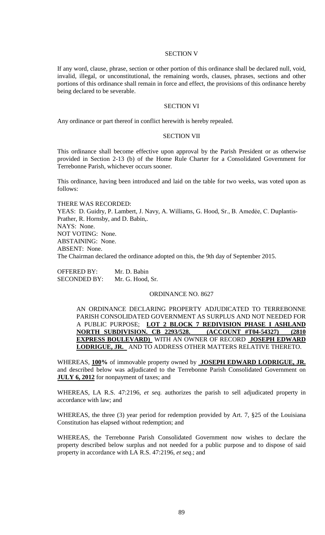#### SECTION V

If any word, clause, phrase, section or other portion of this ordinance shall be declared null, void, invalid, illegal, or unconstitutional, the remaining words, clauses, phrases, sections and other portions of this ordinance shall remain in force and effect, the provisions of this ordinance hereby being declared to be severable.

### SECTION VI

Any ordinance or part thereof in conflict herewith is hereby repealed.

#### SECTION VII

This ordinance shall become effective upon approval by the Parish President or as otherwise provided in Section 2-13 (b) of the Home Rule Charter for a Consolidated Government for Terrebonne Parish, whichever occurs sooner.

This ordinance, having been introduced and laid on the table for two weeks, was voted upon as follows:

THERE WAS RECORDED: YEAS: D. Guidry, P. Lambert, J. Navy, A. Williams, G. Hood, Sr., B. Amedée, C. Duplantis-Prather, R. Hornsby, and D. Babin,. NAYS: None. NOT VOTING: None. ABSTAINING: None. ABSENT: None. The Chairman declared the ordinance adopted on this, the 9th day of September 2015.

OFFERED BY: Mr. D. Babin SECONDED BY: Mr. G. Hood, Sr.

#### ORDINANCE NO. 8627

AN ORDINANCE DECLARING PROPERTY ADJUDICATED TO TERREBONNE PARISH CONSOLIDATED GOVERNMENT AS SURPLUS AND NOT NEEDED FOR A PUBLIC PURPOSE; **LOT 2 BLOCK 7 REDIVISION PHASE I ASHLAND NORTH SUBDIVISION. CB 2293/528. (ACCOUNT #T04-54327) (2810 EXPRESS BOULEVARD)** WITH AN OWNER OF RECORD **JOSEPH EDWARD LODRIGUE, JR.** AND TO ADDRESS OTHER MATTERS RELATIVE THERETO.

WHEREAS, **100%** of immovable property owned by **JOSEPH EDWARD LODRIGUE, JR.**  and described below was adjudicated to the Terrebonne Parish Consolidated Government on **JULY 6, 2012** for nonpayment of taxes; and

WHEREAS, LA R.S. 47:2196, *et seq.* authorizes the parish to sell adjudicated property in accordance with law; and

WHEREAS, the three (3) year period for redemption provided by Art. 7, §25 of the Louisiana Constitution has elapsed without redemption; and

WHEREAS, the Terrebonne Parish Consolidated Government now wishes to declare the property described below surplus and not needed for a public purpose and to dispose of said property in accordance with LA R.S. 47:2196, *et seq*.; and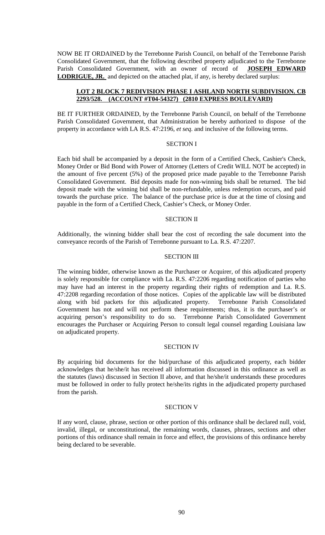NOW BE IT ORDAINED by the Terrebonne Parish Council, on behalf of the Terrebonne Parish Consolidated Government, that the following described property adjudicated to the Terrebonne Parish Consolidated Government, with an owner of record of **JOSEPH EDWARD LODRIGUE, JR.** and depicted on the attached plat, if any, is hereby declared surplus:

### **LOT 2 BLOCK 7 REDIVISION PHASE I ASHLAND NORTH SUBDIVISION. CB 2293/528. (ACCOUNT #T04-54327) (2810 EXPRESS BOULEVARD)**

BE IT FURTHER ORDAINED, by the Terrebonne Parish Council, on behalf of the Terrebonne Parish Consolidated Government, that Administration be hereby authorized to dispose of the property in accordance with LA R.S. 47:2196, *et seq*. and inclusive of the following terms.

#### SECTION I

Each bid shall be accompanied by a deposit in the form of a Certified Check, Cashier's Check, Money Order or Bid Bond with Power of Attorney (Letters of Credit WILL NOT be accepted) in the amount of five percent (5%) of the proposed price made payable to the Terrebonne Parish Consolidated Government. Bid deposits made for non-winning bids shall be returned. The bid deposit made with the winning bid shall be non-refundable, unless redemption occurs, and paid towards the purchase price. The balance of the purchase price is due at the time of closing and payable in the form of a Certified Check, Cashier's Check, or Money Order.

### SECTION II

Additionally, the winning bidder shall bear the cost of recording the sale document into the conveyance records of the Parish of Terrebonne pursuant to La. R.S. 47:2207.

### SECTION III

The winning bidder, otherwise known as the Purchaser or Acquirer, of this adjudicated property is solely responsible for compliance with La. R.S. 47:2206 regarding notification of parties who may have had an interest in the property regarding their rights of redemption and La. R.S. 47:2208 regarding recordation of those notices. Copies of the applicable law will be distributed along with bid packets for this adjudicated property. Terrebonne Parish Consolidated Government has not and will not perform these requirements; thus, it is the purchaser's or acquiring person's responsibility to do so. Terrebonne Parish Consolidated Government encourages the Purchaser or Acquiring Person to consult legal counsel regarding Louisiana law on adjudicated property.

#### SECTION IV

By acquiring bid documents for the bid/purchase of this adjudicated property, each bidder acknowledges that he/she/it has received all information discussed in this ordinance as well as the statutes (laws) discussed in Section II above, and that he/she/it understands these procedures must be followed in order to fully protect he/she/its rights in the adjudicated property purchased from the parish.

### SECTION V

If any word, clause, phrase, section or other portion of this ordinance shall be declared null, void, invalid, illegal, or unconstitutional, the remaining words, clauses, phrases, sections and other portions of this ordinance shall remain in force and effect, the provisions of this ordinance hereby being declared to be severable.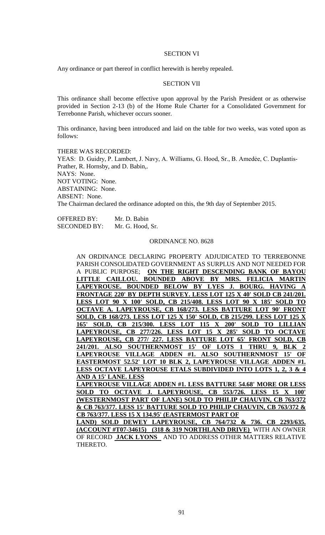#### SECTION VI

Any ordinance or part thereof in conflict herewith is hereby repealed.

### SECTION VII

This ordinance shall become effective upon approval by the Parish President or as otherwise provided in Section 2-13 (b) of the Home Rule Charter for a Consolidated Government for Terrebonne Parish, whichever occurs sooner.

This ordinance, having been introduced and laid on the table for two weeks, was voted upon as follows:

THERE WAS RECORDED: YEAS: D. Guidry, P. Lambert, J. Navy, A. Williams, G. Hood, Sr., B. Amedée, C. Duplantis-Prather, R. Hornsby, and D. Babin,. NAYS: None. NOT VOTING: None. ABSTAINING: None. ABSENT: None. The Chairman declared the ordinance adopted on this, the 9th day of September 2015.

OFFERED BY: Mr. D. Babin SECONDED BY: Mr. G. Hood, Sr.

#### ORDINANCE NO. 8628

AN ORDINANCE DECLARING PROPERTY ADJUDICATED TO TERREBONNE PARISH CONSOLIDATED GOVERNMENT AS SURPLUS AND NOT NEEDED FOR A PUBLIC PURPOSE; **ON THE RIGHT DESCENDING BANK OF BAYOU LITTLE CAILLOU. BOUNDED ABOVE BY MRS. FELICIA MARTIN**  LAPEYROUSE. BOUNDED BELOW BY LYES J. BOURG. HAVING **FRONTAGE 220' BY DEPTH SURVEY. LESS LOT 125 X 40' SOLD CB 241/201. LESS LOT 90 X 100' SOLD, CB 215/408. LESS LOT 90 X 185' SOLD TO OCTAVE A. LAPEYROUSE, CB 168/273. LESS BATTURE LOT 90' FRONT SOLD, CB 168/273. LESS LOT 125 X 150' SOLD, CB 215/299. LESS LOT 125 X 165' SOLD, CB 215/300. LESS LOT 115 X 200' SOLD TO LILLIAN LAPEYROUSE, CB 277/226. LESS LOT 15 X 285' SOLD TO OCTAVE LAPEYROUSE, CB 277/ 227. LESS BATTURE LOT 65' FRONT SOLD, CB**  241/201. ALSO SOUTHERNMOST 15' OF LOTS 1 THRU 9, BLK **LAPEYROUSE VILLAGE ADDEN #1. ALSO SOUTHERNMOST 15' OF EASTERMOST 52.52' LOT 10 BLK 2, LAPEYROUSE VILLAGE ADDEN #1. LESS OCTAVE LAPEYROUSE ETALS SUBDIVIDED INTO LOTS 1, 2, 3 & 4 AND A 15' LANE. LESS** 

**LAPEYROUSE VILLAGE ADDEN #1. LESS BATTURE 54.68' MORE OR LESS**  SOLD TO OCTAVE J. LAPEYROUSE, CB 553/726. LESS 15 X 100' **(WESTERNMOST PART OF LANE) SOLD TO PHILIP CHAUVIN, CB 763/372 & CB 763/377. LESS 15' BATTURE SOLD TO PHILIP CHAUVIN, CB 763/372 & CB 763/377. LESS 15 X 134.95' (EASTERMOST PART OF** 

**LAND) SOLD DEWEY LAPEYROUSE, CB 764/732 & 736. CB 2293/635. (ACCOUNT #T07-34615) (318 & 319 NORTHLAND DRIVE)** WITH AN OWNER OF RECORD **JACK LYONS** AND TO ADDRESS OTHER MATTERS RELATIVE THERETO.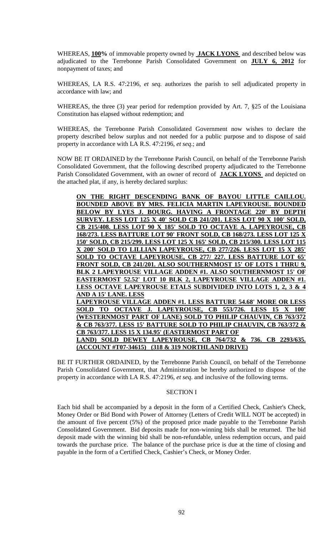WHEREAS, **100%** of immovable property owned by **JACK LYONS** and described below was adjudicated to the Terrebonne Parish Consolidated Government on **JULY 6, 2012** for nonpayment of taxes; and

WHEREAS, LA R.S. 47:2196, *et seq.* authorizes the parish to sell adjudicated property in accordance with law; and

WHEREAS, the three (3) year period for redemption provided by Art. 7, §25 of the Louisiana Constitution has elapsed without redemption; and

WHEREAS, the Terrebonne Parish Consolidated Government now wishes to declare the property described below surplus and not needed for a public purpose and to dispose of said property in accordance with LA R.S. 47:2196, *et seq*.; and

NOW BE IT ORDAINED by the Terrebonne Parish Council, on behalf of the Terrebonne Parish Consolidated Government, that the following described property adjudicated to the Terrebonne Parish Consolidated Government, with an owner of record of **JACK LYONS** and depicted on the attached plat, if any, is hereby declared surplus:

**ON THE RIGHT DESCENDING BANK OF BAYOU LITTLE CAILLOU. BOUNDED ABOVE BY MRS. FELICIA MARTIN LAPEYROUSE. BOUNDED BELOW BY LYES J. BOURG. HAVING A FRONTAGE 220' BY DEPTH SURVEY. LESS LOT 125 X 40' SOLD CB 241/201. LESS LOT 90 X 100' SOLD, CB 215/408. LESS LOT 90 X 185' SOLD TO OCTAVE A. LAPEYROUSE, CB 168/273. LESS BATTURE LOT 90' FRONT SOLD, CB 168/273. LESS LOT 125 X 150' SOLD, CB 215/299. LESS LOT 125 X 165' SOLD, CB 215/300. LESS LOT 115**  X 200' SOLD TO LILLIAN LAPEYROUSE, CB 277/226. LESS LOT 15 X **SOLD TO OCTAVE LAPEYROUSE, CB 277/ 227. LESS BATTURE LOT 65' FRONT SOLD, CB 241/201. ALSO SOUTHERNMOST 15' OF LOTS 1 THRU 9, BLK 2 LAPEYROUSE VILLAGE ADDEN #1. ALSO SOUTHERNMOST 15' OF EASTERMOST 52.52' LOT 10 BLK 2, LAPEYROUSE VILLAGE ADDEN #1. LESS OCTAVE LAPEYROUSE ETALS SUBDIVIDED INTO LOTS 1, 2, 3 & 4 AND A 15' LANE. LESS LAPEYROUSE VILLAGE ADDEN #1. LESS BATTURE 54.68' MORE OR LESS**  SOLD TO OCTAVE J. LAPEYROUSE, CB 553/726. LESS 15 X 100' **(WESTERNMOST PART OF LANE) SOLD TO PHILIP CHAUVIN, CB 763/372 & CB 763/377. LESS 15' BATTURE SOLD TO PHILIP CHAUVIN, CB 763/372 & CB 763/377. LESS 15 X 134.95' (EASTERMOST PART OF LAND) SOLD DEWEY LAPEYROUSE, CB 764/732 & 736. CB 2293/635. (ACCOUNT #T07-34615) (318 & 319 NORTHLAND DRIVE)** 

BE IT FURTHER ORDAINED, by the Terrebonne Parish Council, on behalf of the Terrebonne Parish Consolidated Government, that Administration be hereby authorized to dispose of the property in accordance with LA R.S. 47:2196, *et seq*. and inclusive of the following terms.

## SECTION I

Each bid shall be accompanied by a deposit in the form of a Certified Check, Cashier's Check, Money Order or Bid Bond with Power of Attorney (Letters of Credit WILL NOT be accepted) in the amount of five percent (5%) of the proposed price made payable to the Terrebonne Parish Consolidated Government. Bid deposits made for non-winning bids shall be returned. The bid deposit made with the winning bid shall be non-refundable, unless redemption occurs, and paid towards the purchase price. The balance of the purchase price is due at the time of closing and payable in the form of a Certified Check, Cashier's Check, or Money Order.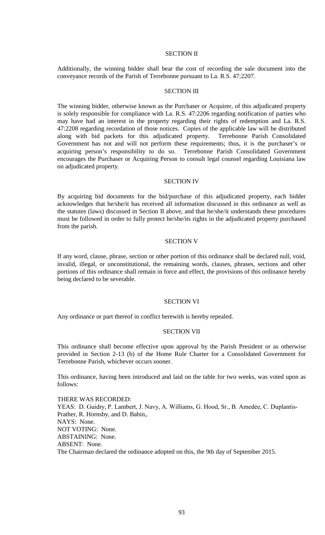### SECTION II

Additionally, the winning bidder shall bear the cost of recording the sale document into the conveyance records of the Parish of Terrebonne pursuant to La. R.S. 47:2207.

#### SECTION III

The winning bidder, otherwise known as the Purchaser or Acquirer, of this adjudicated property is solely responsible for compliance with La. R.S. 47:2206 regarding notification of parties who may have had an interest in the property regarding their rights of redemption and La. R.S. 47:2208 regarding recordation of those notices. Copies of the applicable law will be distributed along with bid packets for this adjudicated property. Terrebonne Parish Consolidated Government has not and will not perform these requirements; thus, it is the purchaser's or acquiring person's responsibility to do so. Terrebonne Parish Consolidated Government encourages the Purchaser or Acquiring Person to consult legal counsel regarding Louisiana law on adjudicated property.

#### SECTION IV

By acquiring bid documents for the bid/purchase of this adjudicated property, each bidder acknowledges that he/she/it has received all information discussed in this ordinance as well as the statutes (laws) discussed in Section II above, and that he/she/it understands these procedures must be followed in order to fully protect he/she/its rights in the adjudicated property purchased from the parish.

#### SECTION V

If any word, clause, phrase, section or other portion of this ordinance shall be declared null, void, invalid, illegal, or unconstitutional, the remaining words, clauses, phrases, sections and other portions of this ordinance shall remain in force and effect, the provisions of this ordinance hereby being declared to be severable.

### SECTION VI

Any ordinance or part thereof in conflict herewith is hereby repealed.

### SECTION VII

This ordinance shall become effective upon approval by the Parish President or as otherwise provided in Section 2-13 (b) of the Home Rule Charter for a Consolidated Government for Terrebonne Parish, whichever occurs sooner.

This ordinance, having been introduced and laid on the table for two weeks, was voted upon as follows:

THERE WAS RECORDED: YEAS: D. Guidry, P. Lambert, J. Navy, A. Williams, G. Hood, Sr., B. Amedée, C. Duplantis-Prather, R. Hornsby, and D. Babin,. NAYS: None. NOT VOTING: None. ABSTAINING: None. ABSENT: None. The Chairman declared the ordinance adopted on this, the 9th day of September 2015.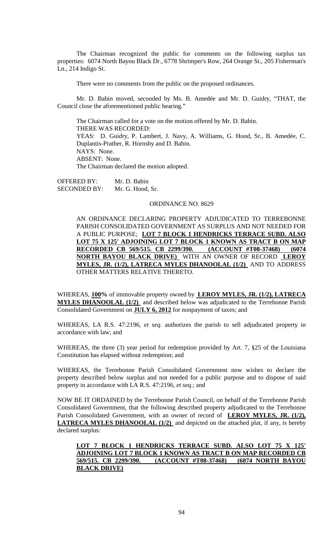The Chairman recognized the public for comments on the following surplus tax properties: 6074 North Bayou Black Dr., 6778 Shrimper's Row, 264 Orange St., 205 Fisherman's Ln., 214 Indigo St.

There were no comments from the public on the proposed ordinances.

Mr. D. Babin moved, seconded by Ms. B. Amedée and Mr. D. Guidry, "THAT, the Council close the aforementioned public hearing."

The Chairman called for a vote on the motion offered by Mr. D. Babin. THERE WAS RECORDED: YEAS: D. Guidry, P. Lambert, J. Navy, A. Williams, G. Hood, Sr., B. Amedée, C. Duplantis-Prather, R. Hornsby and D. Babin. NAYS: None. ABSENT: None. The Chairman declared the motion adopted.

OFFERED BY: Mr. D. Babin SECONDED BY: Mr. G. Hood, Sr.

#### ORDINANCE NO. 8629

AN ORDINANCE DECLARING PROPERTY ADJUDICATED TO TERREBONNE PARISH CONSOLIDATED GOVERNMENT AS SURPLUS AND NOT NEEDED FOR A PUBLIC PURPOSE; **LOT 7 BLOCK 1 HENDRICKS TERRACE SUBD. ALSO LOT 75 X 125' ADJOINING LOT 7 BLOCK 1 KNOWN AS TRACT B ON MAP RECORDED CB 569/515. CB 2299/390.** (ACCOUNT #T08-37468) (6074 **RECORDED CB 569/515. CB 2299/390. (ACCOUNT #T08-37468) (6074 NORTH BAYOU BLACK DRIVE)** WITH AN OWNER OF RECORD **LEROY MYLES, JR. (1/2), LATRECA MYLES DHANOOLAL (1/2)** AND TO ADDRESS OTHER MATTERS RELATIVE THERETO.

WHEREAS, **100%** of immovable property owned by **LEROY MYLES, JR. (1/2), LATRECA MYLES DHANOOLAL (1/2)** and described below was adjudicated to the Terrebonne Parish Consolidated Government on **JULY 6, 2012** for nonpayment of taxes; and

WHEREAS, LA R.S. 47:2196, *et seq.* authorizes the parish to sell adjudicated property in accordance with law; and

WHEREAS, the three (3) year period for redemption provided by Art. 7, §25 of the Louisiana Constitution has elapsed without redemption; and

WHEREAS, the Terrebonne Parish Consolidated Government now wishes to declare the property described below surplus and not needed for a public purpose and to dispose of said property in accordance with LA R.S. 47:2196, *et seq*.; and

NOW BE IT ORDAINED by the Terrebonne Parish Council, on behalf of the Terrebonne Parish Consolidated Government, that the following described property adjudicated to the Terrebonne Parish Consolidated Government, with an owner of record of **LEROY MYLES, JR. (1/2), LATRECA MYLES DHANOOLAL (1/2)** and depicted on the attached plat, if any, is hereby declared surplus:

# **LOT 7 BLOCK 1 HENDRICKS TERRACE SUBD. ALSO LOT 75 X 125' ADJOINING LOT 7 BLOCK 1 KNOWN AS TRACT B ON MAP RECORDED CB 569/515. CB 2299/390. (ACCOUNT #T08-37468) (6074 NORTH BAYOU BLACK DRIVE)**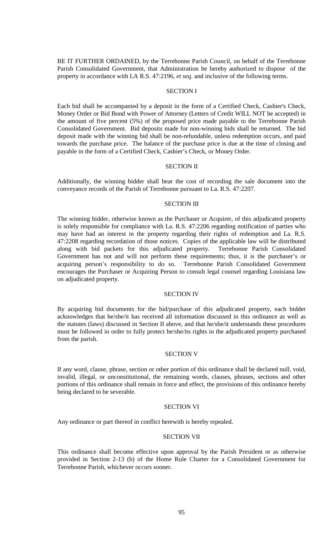BE IT FURTHER ORDAINED, by the Terrebonne Parish Council, on behalf of the Terrebonne Parish Consolidated Government, that Administration be hereby authorized to dispose of the property in accordance with LA R.S. 47:2196, *et seq*. and inclusive of the following terms.

### SECTION I

Each bid shall be accompanied by a deposit in the form of a Certified Check, Cashier's Check, Money Order or Bid Bond with Power of Attorney (Letters of Credit WILL NOT be accepted) in the amount of five percent (5%) of the proposed price made payable to the Terrebonne Parish Consolidated Government. Bid deposits made for non-winning bids shall be returned. The bid deposit made with the winning bid shall be non-refundable, unless redemption occurs, and paid towards the purchase price. The balance of the purchase price is due at the time of closing and payable in the form of a Certified Check, Cashier's Check, or Money Order.

#### SECTION II

Additionally, the winning bidder shall bear the cost of recording the sale document into the conveyance records of the Parish of Terrebonne pursuant to La. R.S. 47:2207.

#### SECTION III

The winning bidder, otherwise known as the Purchaser or Acquirer, of this adjudicated property is solely responsible for compliance with La. R.S. 47:2206 regarding notification of parties who may have had an interest in the property regarding their rights of redemption and La. R.S. 47:2208 regarding recordation of those notices. Copies of the applicable law will be distributed along with bid packets for this adjudicated property. Terrebonne Parish Consolidated Government has not and will not perform these requirements; thus, it is the purchaser's or acquiring person's responsibility to do so. Terrebonne Parish Consolidated Government encourages the Purchaser or Acquiring Person to consult legal counsel regarding Louisiana law on adjudicated property.

#### SECTION IV

By acquiring bid documents for the bid/purchase of this adjudicated property, each bidder acknowledges that he/she/it has received all information discussed in this ordinance as well as the statutes (laws) discussed in Section II above, and that he/she/it understands these procedures must be followed in order to fully protect he/she/its rights in the adjudicated property purchased from the parish.

### SECTION V

If any word, clause, phrase, section or other portion of this ordinance shall be declared null, void, invalid, illegal, or unconstitutional, the remaining words, clauses, phrases, sections and other portions of this ordinance shall remain in force and effect, the provisions of this ordinance hereby being declared to be severable.

### SECTION VI

Any ordinance or part thereof in conflict herewith is hereby repealed.

### SECTION VII

This ordinance shall become effective upon approval by the Parish President or as otherwise provided in Section 2-13 (b) of the Home Rule Charter for a Consolidated Government for Terrebonne Parish, whichever occurs sooner.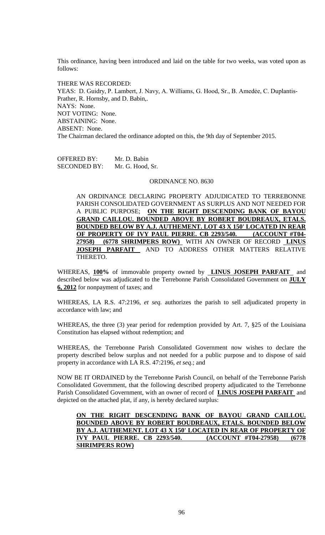This ordinance, having been introduced and laid on the table for two weeks, was voted upon as follows:

THERE WAS RECORDED: YEAS: D. Guidry, P. Lambert, J. Navy, A. Williams, G. Hood, Sr., B. Amedée, C. Duplantis-Prather, R. Hornsby, and D. Babin,. NAYS: None. NOT VOTING: None. ABSTAINING: None. ABSENT: None. The Chairman declared the ordinance adopted on this, the 9th day of September 2015.

OFFERED BY: Mr. D. Babin SECONDED BY: Mr. G. Hood, Sr.

### ORDINANCE NO. 8630

AN ORDINANCE DECLARING PROPERTY ADJUDICATED TO TERREBONNE PARISH CONSOLIDATED GOVERNMENT AS SURPLUS AND NOT NEEDED FOR A PUBLIC PURPOSE; **ON THE RIGHT DESCENDING BANK OF BAYOU GRAND CAILLOU. BOUNDED ABOVE BY ROBERT BOUDREAUX, ETALS. BOUNDED BELOW BY A.J. AUTHEMENT. LOT 43 X 150' LOCATED IN REAR OF PROPERTY OF IVY PAUL PIERRE. CB 2293/540. (ACCOUNT #T04- 27958) (6778 SHRIMPERS ROW)** WITH AN OWNER OF RECORD **LINUS JOSEPH PARFAIT** AND TO ADDRESS OTHER MATTERS RELATIVE THERETO.

WHEREAS, **100%** of immovable property owned by **LINUS JOSEPH PARFAIT** and described below was adjudicated to the Terrebonne Parish Consolidated Government on **JULY 6, 2012** for nonpayment of taxes; and

WHEREAS, LA R.S. 47:2196, *et seq.* authorizes the parish to sell adjudicated property in accordance with law; and

WHEREAS, the three (3) year period for redemption provided by Art. 7, §25 of the Louisiana Constitution has elapsed without redemption; and

WHEREAS, the Terrebonne Parish Consolidated Government now wishes to declare the property described below surplus and not needed for a public purpose and to dispose of said property in accordance with LA R.S. 47:2196, *et seq*.; and

NOW BE IT ORDAINED by the Terrebonne Parish Council, on behalf of the Terrebonne Parish Consolidated Government, that the following described property adjudicated to the Terrebonne Parish Consolidated Government, with an owner of record of **LINUS JOSEPH PARFAIT** and depicted on the attached plat, if any, is hereby declared surplus:

# **ON THE RIGHT DESCENDING BANK OF BAYOU GRAND CAILLOU. BOUNDED ABOVE BY ROBERT BOUDREAUX, ETALS. BOUNDED BELOW BY A.J. AUTHEMENT. LOT 43 X 150' LOCATED IN REAR OF PROPERTY OF IVY PAUL PIERRE. CB 2293/540. (ACCOUNT #T04-27958) (6778 SHRIMPERS ROW)**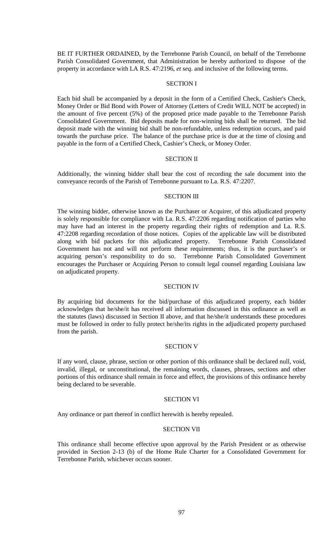BE IT FURTHER ORDAINED, by the Terrebonne Parish Council, on behalf of the Terrebonne Parish Consolidated Government, that Administration be hereby authorized to dispose of the property in accordance with LA R.S. 47:2196, *et seq*. and inclusive of the following terms.

### SECTION I

Each bid shall be accompanied by a deposit in the form of a Certified Check, Cashier's Check, Money Order or Bid Bond with Power of Attorney (Letters of Credit WILL NOT be accepted) in the amount of five percent (5%) of the proposed price made payable to the Terrebonne Parish Consolidated Government. Bid deposits made for non-winning bids shall be returned. The bid deposit made with the winning bid shall be non-refundable, unless redemption occurs, and paid towards the purchase price. The balance of the purchase price is due at the time of closing and payable in the form of a Certified Check, Cashier's Check, or Money Order.

#### SECTION II

Additionally, the winning bidder shall bear the cost of recording the sale document into the conveyance records of the Parish of Terrebonne pursuant to La. R.S. 47:2207.

#### SECTION III

The winning bidder, otherwise known as the Purchaser or Acquirer, of this adjudicated property is solely responsible for compliance with La. R.S. 47:2206 regarding notification of parties who may have had an interest in the property regarding their rights of redemption and La. R.S. 47:2208 regarding recordation of those notices. Copies of the applicable law will be distributed along with bid packets for this adjudicated property. Terrebonne Parish Consolidated Government has not and will not perform these requirements; thus, it is the purchaser's or acquiring person's responsibility to do so. Terrebonne Parish Consolidated Government encourages the Purchaser or Acquiring Person to consult legal counsel regarding Louisiana law on adjudicated property.

#### SECTION IV

By acquiring bid documents for the bid/purchase of this adjudicated property, each bidder acknowledges that he/she/it has received all information discussed in this ordinance as well as the statutes (laws) discussed in Section II above, and that he/she/it understands these procedures must be followed in order to fully protect he/she/its rights in the adjudicated property purchased from the parish.

### SECTION V

If any word, clause, phrase, section or other portion of this ordinance shall be declared null, void, invalid, illegal, or unconstitutional, the remaining words, clauses, phrases, sections and other portions of this ordinance shall remain in force and effect, the provisions of this ordinance hereby being declared to be severable.

### SECTION VI

Any ordinance or part thereof in conflict herewith is hereby repealed.

### SECTION VII

This ordinance shall become effective upon approval by the Parish President or as otherwise provided in Section 2-13 (b) of the Home Rule Charter for a Consolidated Government for Terrebonne Parish, whichever occurs sooner.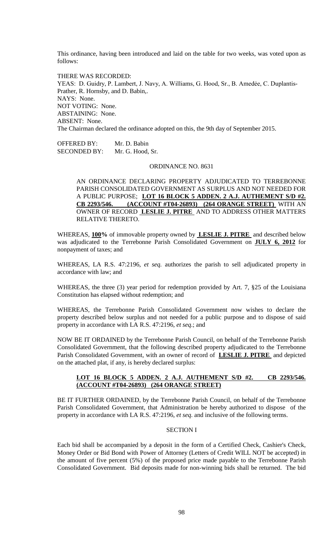This ordinance, having been introduced and laid on the table for two weeks, was voted upon as follows:

THERE WAS RECORDED: YEAS: D. Guidry, P. Lambert, J. Navy, A. Williams, G. Hood, Sr., B. Amedée, C. Duplantis-Prather, R. Hornsby, and D. Babin,. NAYS: None. NOT VOTING: None. ABSTAINING: None. ABSENT: None. The Chairman declared the ordinance adopted on this, the 9th day of September 2015.

OFFERED BY: Mr. D. Babin SECONDED BY: Mr. G. Hood, Sr.

#### ORDINANCE NO. 8631

AN ORDINANCE DECLARING PROPERTY ADJUDICATED TO TERREBONNE PARISH CONSOLIDATED GOVERNMENT AS SURPLUS AND NOT NEEDED FOR A PUBLIC PURPOSE; **LOT 16 BLOCK 5 ADDEN. 2 A.J. AUTHEMENT S/D #2. CB 2293/546. (ACCOUNT #T04-26893) (264 ORANGE STREET)** WITH AN OWNER OF RECORD **LESLIE J. PITRE** AND TO ADDRESS OTHER MATTERS RELATIVE THERETO.

WHEREAS, **100%** of immovable property owned by **LESLIE J. PITRE** and described below was adjudicated to the Terrebonne Parish Consolidated Government on **JULY 6, 2012** for nonpayment of taxes; and

WHEREAS, LA R.S. 47:2196, *et seq.* authorizes the parish to sell adjudicated property in accordance with law; and

WHEREAS, the three (3) year period for redemption provided by Art. 7, §25 of the Louisiana Constitution has elapsed without redemption; and

WHEREAS, the Terrebonne Parish Consolidated Government now wishes to declare the property described below surplus and not needed for a public purpose and to dispose of said property in accordance with LA R.S. 47:2196, *et seq*.; and

NOW BE IT ORDAINED by the Terrebonne Parish Council, on behalf of the Terrebonne Parish Consolidated Government, that the following described property adjudicated to the Terrebonne Parish Consolidated Government, with an owner of record of **LESLIE J. PITRE** and depicted on the attached plat, if any, is hereby declared surplus:

## **LOT 16 BLOCK 5 ADDEN. 2 A.J. AUTHEMENT S/D #2. CB 2293/546. (ACCOUNT #T04-26893) (264 ORANGE STREET)**

BE IT FURTHER ORDAINED, by the Terrebonne Parish Council, on behalf of the Terrebonne Parish Consolidated Government, that Administration be hereby authorized to dispose of the property in accordance with LA R.S. 47:2196, *et seq*. and inclusive of the following terms.

#### SECTION I

Each bid shall be accompanied by a deposit in the form of a Certified Check, Cashier's Check, Money Order or Bid Bond with Power of Attorney (Letters of Credit WILL NOT be accepted) in the amount of five percent (5%) of the proposed price made payable to the Terrebonne Parish Consolidated Government. Bid deposits made for non-winning bids shall be returned. The bid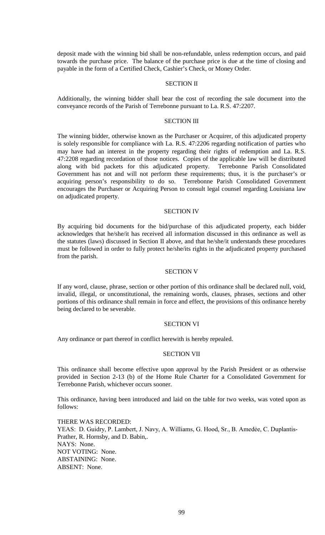deposit made with the winning bid shall be non-refundable, unless redemption occurs, and paid towards the purchase price. The balance of the purchase price is due at the time of closing and payable in the form of a Certified Check, Cashier's Check, or Money Order.

## SECTION II

Additionally, the winning bidder shall bear the cost of recording the sale document into the conveyance records of the Parish of Terrebonne pursuant to La. R.S. 47:2207.

#### SECTION III

The winning bidder, otherwise known as the Purchaser or Acquirer, of this adjudicated property is solely responsible for compliance with La. R.S. 47:2206 regarding notification of parties who may have had an interest in the property regarding their rights of redemption and La. R.S. 47:2208 regarding recordation of those notices. Copies of the applicable law will be distributed along with bid packets for this adjudicated property. Terrebonne Parish Consolidated Government has not and will not perform these requirements; thus, it is the purchaser's or acquiring person's responsibility to do so. Terrebonne Parish Consolidated Government encourages the Purchaser or Acquiring Person to consult legal counsel regarding Louisiana law on adjudicated property.

#### SECTION IV

By acquiring bid documents for the bid/purchase of this adjudicated property, each bidder acknowledges that he/she/it has received all information discussed in this ordinance as well as the statutes (laws) discussed in Section II above, and that he/she/it understands these procedures must be followed in order to fully protect he/she/its rights in the adjudicated property purchased from the parish.

### SECTION V

If any word, clause, phrase, section or other portion of this ordinance shall be declared null, void, invalid, illegal, or unconstitutional, the remaining words, clauses, phrases, sections and other portions of this ordinance shall remain in force and effect, the provisions of this ordinance hereby being declared to be severable.

#### SECTION VI

Any ordinance or part thereof in conflict herewith is hereby repealed.

#### SECTION VII

This ordinance shall become effective upon approval by the Parish President or as otherwise provided in Section 2-13 (b) of the Home Rule Charter for a Consolidated Government for Terrebonne Parish, whichever occurs sooner.

This ordinance, having been introduced and laid on the table for two weeks, was voted upon as follows:

THERE WAS RECORDED: YEAS: D. Guidry, P. Lambert, J. Navy, A. Williams, G. Hood, Sr., B. Amedée, C. Duplantis-Prather, R. Hornsby, and D. Babin,. NAYS: None. NOT VOTING: None. ABSTAINING: None. ABSENT: None.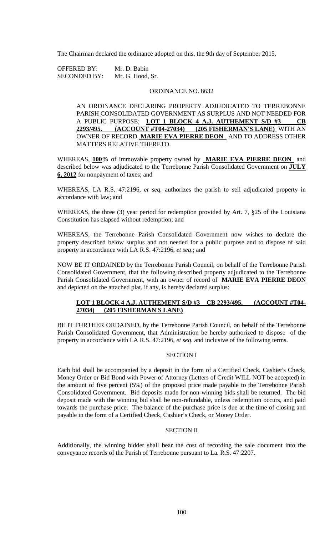The Chairman declared the ordinance adopted on this, the 9th day of September 2015.

OFFERED BY: Mr. D. Babin SECONDED BY: Mr. G. Hood, Sr.

### ORDINANCE NO. 8632

AN ORDINANCE DECLARING PROPERTY ADJUDICATED TO TERREBONNE PARISH CONSOLIDATED GOVERNMENT AS SURPLUS AND NOT NEEDED FOR A PUBLIC PURPOSE; **LOT 1 BLOCK 4 A.J. AUTHEMENT S/D #3 CB 2293/495. (ACCOUNT #T04-27034) (205 FISHERMAN'S LANE)** WITH AN OWNER OF RECORD **MARIE EVA PIERRE DEON** AND TO ADDRESS OTHER MATTERS RELATIVE THERETO.

WHEREAS, **100%** of immovable property owned by **MARIE EVA PIERRE DEON** and described below was adjudicated to the Terrebonne Parish Consolidated Government on **JULY 6, 2012** for nonpayment of taxes; and

WHEREAS, LA R.S. 47:2196, *et seq.* authorizes the parish to sell adjudicated property in accordance with law; and

WHEREAS, the three (3) year period for redemption provided by Art. 7, §25 of the Louisiana Constitution has elapsed without redemption; and

WHEREAS, the Terrebonne Parish Consolidated Government now wishes to declare the property described below surplus and not needed for a public purpose and to dispose of said property in accordance with LA R.S. 47:2196, *et seq*.; and

NOW BE IT ORDAINED by the Terrebonne Parish Council, on behalf of the Terrebonne Parish Consolidated Government, that the following described property adjudicated to the Terrebonne Parish Consolidated Government, with an owner of record of **MARIE EVA PIERRE DEON**  and depicted on the attached plat, if any, is hereby declared surplus:

# **LOT 1 BLOCK 4 A.J. AUTHEMENT S/D #3 CB 2293/495. (ACCOUNT #T04- 27034) (205 FISHERMAN'S LANE)**

BE IT FURTHER ORDAINED, by the Terrebonne Parish Council, on behalf of the Terrebonne Parish Consolidated Government, that Administration be hereby authorized to dispose of the property in accordance with LA R.S. 47:2196, *et seq*. and inclusive of the following terms.

## SECTION I

Each bid shall be accompanied by a deposit in the form of a Certified Check, Cashier's Check, Money Order or Bid Bond with Power of Attorney (Letters of Credit WILL NOT be accepted) in the amount of five percent (5%) of the proposed price made payable to the Terrebonne Parish Consolidated Government. Bid deposits made for non-winning bids shall be returned. The bid deposit made with the winning bid shall be non-refundable, unless redemption occurs, and paid towards the purchase price. The balance of the purchase price is due at the time of closing and payable in the form of a Certified Check, Cashier's Check, or Money Order.

#### SECTION II

Additionally, the winning bidder shall bear the cost of recording the sale document into the conveyance records of the Parish of Terrebonne pursuant to La. R.S. 47:2207.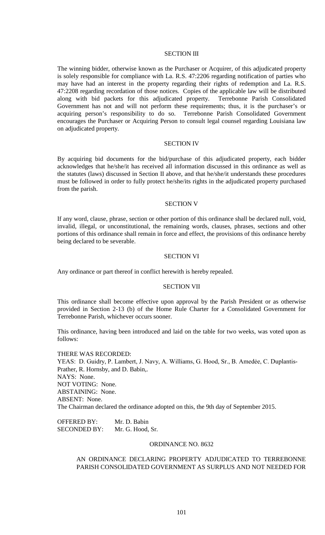#### SECTION III

The winning bidder, otherwise known as the Purchaser or Acquirer, of this adjudicated property is solely responsible for compliance with La. R.S. 47:2206 regarding notification of parties who may have had an interest in the property regarding their rights of redemption and La. R.S. 47:2208 regarding recordation of those notices. Copies of the applicable law will be distributed along with bid packets for this adjudicated property. Terrebonne Parish Consolidated Government has not and will not perform these requirements; thus, it is the purchaser's or acquiring person's responsibility to do so. Terrebonne Parish Consolidated Government encourages the Purchaser or Acquiring Person to consult legal counsel regarding Louisiana law on adjudicated property.

### SECTION IV

By acquiring bid documents for the bid/purchase of this adjudicated property, each bidder acknowledges that he/she/it has received all information discussed in this ordinance as well as the statutes (laws) discussed in Section II above, and that he/she/it understands these procedures must be followed in order to fully protect he/she/its rights in the adjudicated property purchased from the parish.

#### SECTION V

If any word, clause, phrase, section or other portion of this ordinance shall be declared null, void, invalid, illegal, or unconstitutional, the remaining words, clauses, phrases, sections and other portions of this ordinance shall remain in force and effect, the provisions of this ordinance hereby being declared to be severable.

### SECTION VI

Any ordinance or part thereof in conflict herewith is hereby repealed.

### SECTION VII

This ordinance shall become effective upon approval by the Parish President or as otherwise provided in Section 2-13 (b) of the Home Rule Charter for a Consolidated Government for Terrebonne Parish, whichever occurs sooner.

This ordinance, having been introduced and laid on the table for two weeks, was voted upon as follows:

THERE WAS RECORDED: YEAS: D. Guidry, P. Lambert, J. Navy, A. Williams, G. Hood, Sr., B. Amedée, C. Duplantis-Prather, R. Hornsby, and D. Babin,. NAYS: None. NOT VOTING: None. ABSTAINING: None. ABSENT: None. The Chairman declared the ordinance adopted on this, the 9th day of September 2015.

OFFERED BY: Mr. D. Babin SECONDED BY: Mr. G. Hood, Sr.

### ORDINANCE NO. 8632

AN ORDINANCE DECLARING PROPERTY ADJUDICATED TO TERREBONNE PARISH CONSOLIDATED GOVERNMENT AS SURPLUS AND NOT NEEDED FOR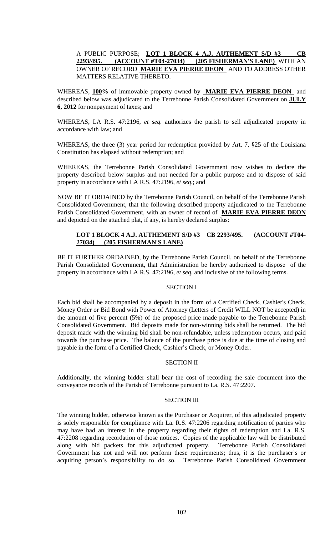# A PUBLIC PURPOSE; **LOT 1 BLOCK 4 A.J. AUTHEMENT S/D #3 CB 2293/495. (ACCOUNT #T04-27034) (205 FISHERMAN'S LANE)** WITH AN OWNER OF RECORD **MARIE EVA PIERRE DEON** AND TO ADDRESS OTHER MATTERS RELATIVE THERETO.

WHEREAS, **100%** of immovable property owned by **MARIE EVA PIERRE DEON** and described below was adjudicated to the Terrebonne Parish Consolidated Government on **JULY 6, 2012** for nonpayment of taxes; and

WHEREAS, LA R.S. 47:2196, *et seq.* authorizes the parish to sell adjudicated property in accordance with law; and

WHEREAS, the three (3) year period for redemption provided by Art. 7, §25 of the Louisiana Constitution has elapsed without redemption; and

WHEREAS, the Terrebonne Parish Consolidated Government now wishes to declare the property described below surplus and not needed for a public purpose and to dispose of said property in accordance with LA R.S. 47:2196, *et seq*.; and

NOW BE IT ORDAINED by the Terrebonne Parish Council, on behalf of the Terrebonne Parish Consolidated Government, that the following described property adjudicated to the Terrebonne Parish Consolidated Government, with an owner of record of **MARIE EVA PIERRE DEON**  and depicted on the attached plat, if any, is hereby declared surplus:

# **LOT 1 BLOCK 4 A.J. AUTHEMENT S/D #3 CB 2293/495. (ACCOUNT #T04- 27034) (205 FISHERMAN'S LANE)**

BE IT FURTHER ORDAINED, by the Terrebonne Parish Council, on behalf of the Terrebonne Parish Consolidated Government, that Administration be hereby authorized to dispose of the property in accordance with LA R.S. 47:2196, *et seq*. and inclusive of the following terms.

## SECTION I

Each bid shall be accompanied by a deposit in the form of a Certified Check, Cashier's Check, Money Order or Bid Bond with Power of Attorney (Letters of Credit WILL NOT be accepted) in the amount of five percent (5%) of the proposed price made payable to the Terrebonne Parish Consolidated Government. Bid deposits made for non-winning bids shall be returned. The bid deposit made with the winning bid shall be non-refundable, unless redemption occurs, and paid towards the purchase price. The balance of the purchase price is due at the time of closing and payable in the form of a Certified Check, Cashier's Check, or Money Order.

## SECTION II

Additionally, the winning bidder shall bear the cost of recording the sale document into the conveyance records of the Parish of Terrebonne pursuant to La. R.S. 47:2207.

# SECTION III

The winning bidder, otherwise known as the Purchaser or Acquirer, of this adjudicated property is solely responsible for compliance with La. R.S. 47:2206 regarding notification of parties who may have had an interest in the property regarding their rights of redemption and La. R.S. 47:2208 regarding recordation of those notices. Copies of the applicable law will be distributed along with bid packets for this adjudicated property. Terrebonne Parish Consolidated Government has not and will not perform these requirements; thus, it is the purchaser's or acquiring person's responsibility to do so. Terrebonne Parish Consolidated Government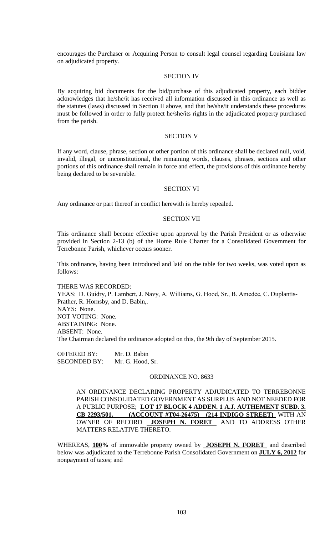encourages the Purchaser or Acquiring Person to consult legal counsel regarding Louisiana law on adjudicated property.

## SECTION IV

By acquiring bid documents for the bid/purchase of this adjudicated property, each bidder acknowledges that he/she/it has received all information discussed in this ordinance as well as the statutes (laws) discussed in Section II above, and that he/she/it understands these procedures must be followed in order to fully protect he/she/its rights in the adjudicated property purchased from the parish.

### SECTION V

If any word, clause, phrase, section or other portion of this ordinance shall be declared null, void, invalid, illegal, or unconstitutional, the remaining words, clauses, phrases, sections and other portions of this ordinance shall remain in force and effect, the provisions of this ordinance hereby being declared to be severable.

#### SECTION VI

Any ordinance or part thereof in conflict herewith is hereby repealed.

#### SECTION VII

This ordinance shall become effective upon approval by the Parish President or as otherwise provided in Section 2-13 (b) of the Home Rule Charter for a Consolidated Government for Terrebonne Parish, whichever occurs sooner.

This ordinance, having been introduced and laid on the table for two weeks, was voted upon as follows:

#### THERE WAS RECORDED:

YEAS: D. Guidry, P. Lambert, J. Navy, A. Williams, G. Hood, Sr., B. Amedėe, C. Duplantis-Prather, R. Hornsby, and D. Babin,. NAYS: None. NOT VOTING: None. ABSTAINING: None. ABSENT: None. The Chairman declared the ordinance adopted on this, the 9th day of September 2015.

OFFERED BY: Mr. D. Babin SECONDED BY: Mr. G. Hood, Sr.

### ORDINANCE NO. 8633

AN ORDINANCE DECLARING PROPERTY ADJUDICATED TO TERREBONNE PARISH CONSOLIDATED GOVERNMENT AS SURPLUS AND NOT NEEDED FOR A PUBLIC PURPOSE; **LOT 17 BLOCK 4 ADDEN. 1 A.J. AUTHEMENT SUBD. 3. CB 2293/501. (ACCOUNT #T04-26475) (214 INDIGO STREET)** WITH AN OWNER OF RECORD **JOSEPH N. FORET** AND TO ADDRESS OTHER MATTERS RELATIVE THERETO.

WHEREAS, **100%** of immovable property owned by **JOSEPH N. FORET** and described below was adjudicated to the Terrebonne Parish Consolidated Government on **JULY 6, 2012** for nonpayment of taxes; and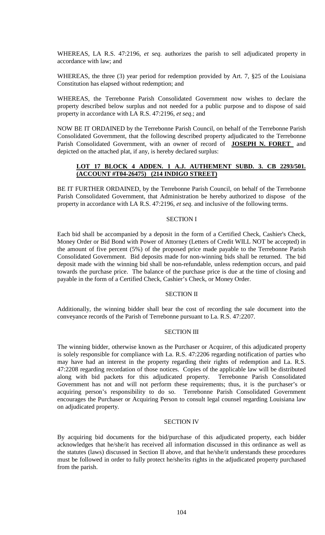WHEREAS, LA R.S. 47:2196, *et seq.* authorizes the parish to sell adjudicated property in accordance with law; and

WHEREAS, the three (3) year period for redemption provided by Art. 7, §25 of the Louisiana Constitution has elapsed without redemption; and

WHEREAS, the Terrebonne Parish Consolidated Government now wishes to declare the property described below surplus and not needed for a public purpose and to dispose of said property in accordance with LA R.S. 47:2196, *et seq*.; and

NOW BE IT ORDAINED by the Terrebonne Parish Council, on behalf of the Terrebonne Parish Consolidated Government, that the following described property adjudicated to the Terrebonne Parish Consolidated Government, with an owner of record of **JOSEPH N. FORET** and depicted on the attached plat, if any, is hereby declared surplus:

# **LOT 17 BLOCK 4 ADDEN. 1 A.J. AUTHEMENT SUBD. 3. CB 2293/501. (ACCOUNT #T04-26475) (214 INDIGO STREET)**

BE IT FURTHER ORDAINED, by the Terrebonne Parish Council, on behalf of the Terrebonne Parish Consolidated Government, that Administration be hereby authorized to dispose of the property in accordance with LA R.S. 47:2196, *et seq*. and inclusive of the following terms.

## SECTION I

Each bid shall be accompanied by a deposit in the form of a Certified Check, Cashier's Check, Money Order or Bid Bond with Power of Attorney (Letters of Credit WILL NOT be accepted) in the amount of five percent (5%) of the proposed price made payable to the Terrebonne Parish Consolidated Government. Bid deposits made for non-winning bids shall be returned. The bid deposit made with the winning bid shall be non-refundable, unless redemption occurs, and paid towards the purchase price. The balance of the purchase price is due at the time of closing and payable in the form of a Certified Check, Cashier's Check, or Money Order.

#### SECTION II

Additionally, the winning bidder shall bear the cost of recording the sale document into the conveyance records of the Parish of Terrebonne pursuant to La. R.S. 47:2207.

### SECTION III

The winning bidder, otherwise known as the Purchaser or Acquirer, of this adjudicated property is solely responsible for compliance with La. R.S. 47:2206 regarding notification of parties who may have had an interest in the property regarding their rights of redemption and La. R.S. 47:2208 regarding recordation of those notices. Copies of the applicable law will be distributed along with bid packets for this adjudicated property. Terrebonne Parish Consolidated Government has not and will not perform these requirements; thus, it is the purchaser's or acquiring person's responsibility to do so. Terrebonne Parish Consolidated Government encourages the Purchaser or Acquiring Person to consult legal counsel regarding Louisiana law on adjudicated property.

### SECTION IV

By acquiring bid documents for the bid/purchase of this adjudicated property, each bidder acknowledges that he/she/it has received all information discussed in this ordinance as well as the statutes (laws) discussed in Section II above, and that he/she/it understands these procedures must be followed in order to fully protect he/she/its rights in the adjudicated property purchased from the parish.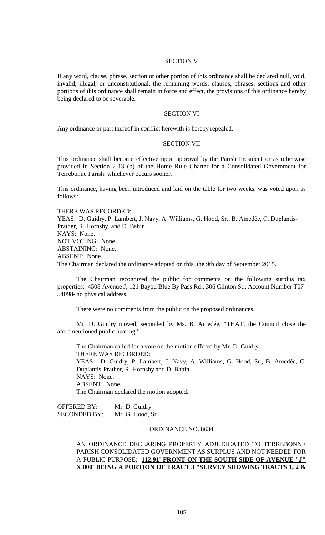### SECTION V

If any word, clause, phrase, section or other portion of this ordinance shall be declared null, void, invalid, illegal, or unconstitutional, the remaining words, clauses, phrases, sections and other portions of this ordinance shall remain in force and effect, the provisions of this ordinance hereby being declared to be severable.

#### SECTION VI

Any ordinance or part thereof in conflict herewith is hereby repealed.

### SECTION VII

This ordinance shall become effective upon approval by the Parish President or as otherwise provided in Section 2-13 (b) of the Home Rule Charter for a Consolidated Government for Terrebonne Parish, whichever occurs sooner.

This ordinance, having been introduced and laid on the table for two weeks, was voted upon as follows:

THERE WAS RECORDED:

YEAS: D. Guidry, P. Lambert, J. Navy, A. Williams, G. Hood, Sr., B. Amedée, C. Duplantis-Prather, R. Hornsby, and D. Babin,. NAYS: None. NOT VOTING: None. ABSTAINING: None. ABSENT: None. The Chairman declared the ordinance adopted on this, the 9th day of September 2015.

The Chairman recognized the public for comments on the following surplus tax properties: 4508 Avenue J, 121 Bayou Blue By Pass Rd., 306 Clinton St., Account Number T07- 54098- no physical address.

There were no comments from the public on the proposed ordinances.

Mr. D. Guidry moved, seconded by Ms. B. Amedée, "THAT, the Council close the aforementioned public hearing."

The Chairman called for a vote on the motion offered by Mr. D. Guidry. THERE WAS RECORDED: YEAS: D. Guidry, P. Lambert, J. Navy, A. Williams, G. Hood, Sr., B. Amedée, C. Duplantis-Prather, R. Hornsby and D. Babin. NAYS: None. ABSENT: None. The Chairman declared the motion adopted.

OFFERED BY: Mr. D. Guidry SECONDED BY: Mr. G. Hood, Sr.

#### ORDINANCE NO. 8634

## AN ORDINANCE DECLARING PROPERTY ADJUDICATED TO TERREBONNE PARISH CONSOLIDATED GOVERNMENT AS SURPLUS AND NOT NEEDED FOR A PUBLIC PURPOSE; **112.91' FRONT ON THE SOUTH SIDE OF AVENUE "J" X 800' BEING A PORTION OF TRACT 3 "SURVEY SHOWING TRACTS 1, 2 &**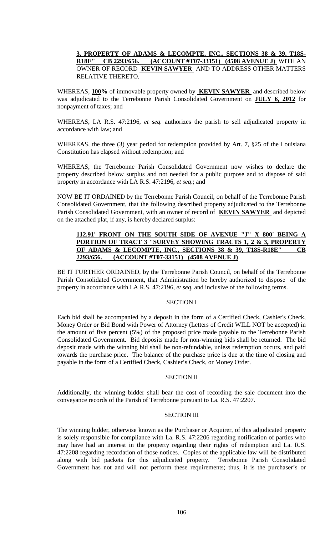# **3, PROPERTY OF ADAMS & LECOMPTE, INC., SECTIONS 38 & 39, T18S-R18E" CB 2293/656. (ACCOUNT #T07-33151) (4508 AVENUE J)** WITH AN OWNER OF RECORD **KEVIN SAWYER** AND TO ADDRESS OTHER MATTERS RELATIVE THERETO.

WHEREAS, **100%** of immovable property owned by **KEVIN SAWYER** and described below was adjudicated to the Terrebonne Parish Consolidated Government on **JULY 6, 2012** for nonpayment of taxes; and

WHEREAS, LA R.S. 47:2196, *et seq.* authorizes the parish to sell adjudicated property in accordance with law; and

WHEREAS, the three (3) year period for redemption provided by Art. 7, §25 of the Louisiana Constitution has elapsed without redemption; and

WHEREAS, the Terrebonne Parish Consolidated Government now wishes to declare the property described below surplus and not needed for a public purpose and to dispose of said property in accordance with LA R.S. 47:2196, *et seq*.; and

NOW BE IT ORDAINED by the Terrebonne Parish Council, on behalf of the Terrebonne Parish Consolidated Government, that the following described property adjudicated to the Terrebonne Parish Consolidated Government, with an owner of record of **KEVIN SAWYER** and depicted on the attached plat, if any, is hereby declared surplus:

# 112.91' FRONT ON THE SOUTH SIDE OF AVENUE "J" X 800' BEING **PORTION OF TRACT 3 "SURVEY SHOWING TRACTS 1, 2 & 3, PROPERTY OF ADAMS & LECOMPTE, INC., SECTIONS 38 & 39, T18S-R18E" CB 2293/656. (ACCOUNT #T07-33151) (4508 AVENUE J)**

BE IT FURTHER ORDAINED, by the Terrebonne Parish Council, on behalf of the Terrebonne Parish Consolidated Government, that Administration be hereby authorized to dispose of the property in accordance with LA R.S. 47:2196, *et seq*. and inclusive of the following terms.

## SECTION I

Each bid shall be accompanied by a deposit in the form of a Certified Check, Cashier's Check, Money Order or Bid Bond with Power of Attorney (Letters of Credit WILL NOT be accepted) in the amount of five percent (5%) of the proposed price made payable to the Terrebonne Parish Consolidated Government. Bid deposits made for non-winning bids shall be returned. The bid deposit made with the winning bid shall be non-refundable, unless redemption occurs, and paid towards the purchase price. The balance of the purchase price is due at the time of closing and payable in the form of a Certified Check, Cashier's Check, or Money Order.

## SECTION II

Additionally, the winning bidder shall bear the cost of recording the sale document into the conveyance records of the Parish of Terrebonne pursuant to La. R.S. 47:2207.

## SECTION III

The winning bidder, otherwise known as the Purchaser or Acquirer, of this adjudicated property is solely responsible for compliance with La. R.S. 47:2206 regarding notification of parties who may have had an interest in the property regarding their rights of redemption and La. R.S. 47:2208 regarding recordation of those notices. Copies of the applicable law will be distributed along with bid packets for this adjudicated property. Terrebonne Parish Consolidated Government has not and will not perform these requirements; thus, it is the purchaser's or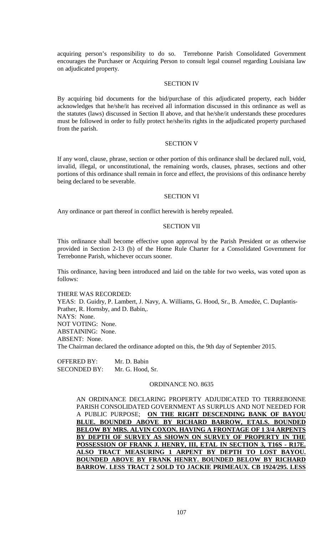acquiring person's responsibility to do so. Terrebonne Parish Consolidated Government encourages the Purchaser or Acquiring Person to consult legal counsel regarding Louisiana law on adjudicated property.

#### SECTION IV

By acquiring bid documents for the bid/purchase of this adjudicated property, each bidder acknowledges that he/she/it has received all information discussed in this ordinance as well as the statutes (laws) discussed in Section II above, and that he/she/it understands these procedures must be followed in order to fully protect he/she/its rights in the adjudicated property purchased from the parish.

### SECTION V

If any word, clause, phrase, section or other portion of this ordinance shall be declared null, void, invalid, illegal, or unconstitutional, the remaining words, clauses, phrases, sections and other portions of this ordinance shall remain in force and effect, the provisions of this ordinance hereby being declared to be severable.

#### SECTION VI

Any ordinance or part thereof in conflict herewith is hereby repealed.

#### SECTION VII

This ordinance shall become effective upon approval by the Parish President or as otherwise provided in Section 2-13 (b) of the Home Rule Charter for a Consolidated Government for Terrebonne Parish, whichever occurs sooner.

This ordinance, having been introduced and laid on the table for two weeks, was voted upon as follows:

THERE WAS RECORDED: YEAS: D. Guidry, P. Lambert, J. Navy, A. Williams, G. Hood, Sr., B. Amedée, C. Duplantis-Prather, R. Hornsby, and D. Babin,. NAYS: None. NOT VOTING: None. ABSTAINING: None. ABSENT: None. The Chairman declared the ordinance adopted on this, the 9th day of September 2015.

OFFERED BY: Mr. D. Babin SECONDED BY: Mr. G. Hood, Sr.

### ORDINANCE NO. 8635

AN ORDINANCE DECLARING PROPERTY ADJUDICATED TO TERREBONNE PARISH CONSOLIDATED GOVERNMENT AS SURPLUS AND NOT NEEDED FOR A PUBLIC PURPOSE; **ON THE RIGHT DESCENDING BANK OF BAYOU BLUE. BOUNDED ABOVE BY RICHARD BARROW, ETALS. BOUNDED BELOW BY MRS. ALVIN COXON. HAVING A FRONTAGE OF 1 3/4 ARPENTS BY DEPTH OF SURVEY AS SHOWN ON SURVEY OF PROPERTY IN THE POSSESSION OF FRANK J. HENRY, III, ETAL IN SECTION 3, T16S - R17E. ALSO TRACT MEASURING 1 ARPENT BY DEPTH TO LOST BAYOU. BOUNDED ABOVE BY FRANK HENRY. BOUNDED BELOW BY RICHARD BARROW. LESS TRACT 2 SOLD TO JACKIE PRIMEAUX. CB 1924/295. LESS**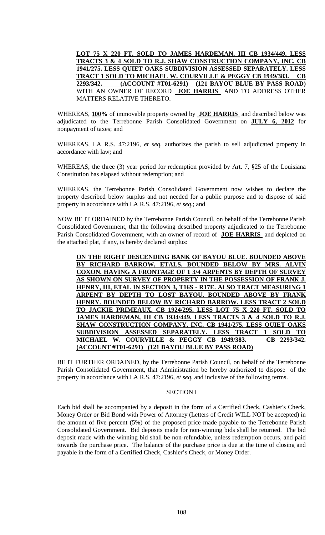**LOT 75 X 220 FT. SOLD TO JAMES HARDEMAN, III CB 1934/449. LESS TRACTS 3 & 4 SOLD TO R.J. SHAW CONSTRUCTION COMPANY, INC. CB 1941/275. LESS QUIET OAKS SUBDIVISION ASSESSED SEPARATELY. LESS TRACT 1 SOLD TO MICHAEL W. COURVILLE & PEGGY CB 1949/383. CB 2293/342. (ACCOUNT #T01-6291) (121 BAYOU BLUE BY PASS ROAD)**  WITH AN OWNER OF RECORD **JOE HARRIS** AND TO ADDRESS OTHER MATTERS RELATIVE THERETO.

WHEREAS, **100%** of immovable property owned by **JOE HARRIS** and described below was adjudicated to the Terrebonne Parish Consolidated Government on **JULY 6, 2012** for nonpayment of taxes; and

WHEREAS, LA R.S. 47:2196, *et seq.* authorizes the parish to sell adjudicated property in accordance with law; and

WHEREAS, the three (3) year period for redemption provided by Art. 7, §25 of the Louisiana Constitution has elapsed without redemption; and

WHEREAS, the Terrebonne Parish Consolidated Government now wishes to declare the property described below surplus and not needed for a public purpose and to dispose of said property in accordance with LA R.S. 47:2196, *et seq*.; and

NOW BE IT ORDAINED by the Terrebonne Parish Council, on behalf of the Terrebonne Parish Consolidated Government, that the following described property adjudicated to the Terrebonne Parish Consolidated Government, with an owner of record of **JOE HARRIS** and depicted on the attached plat, if any, is hereby declared surplus:

**ON THE RIGHT DESCENDING BANK OF BAYOU BLUE. BOUNDED ABOVE BY RICHARD BARROW, ETALS. BOUNDED BELOW BY MRS. ALVIN COXON. HAVING A FRONTAGE OF 1 3/4 ARPENTS BY DEPTH OF SURVEY AS SHOWN ON SURVEY OF PROPERTY IN THE POSSESSION OF FRANK J. HENRY, III, ETAL IN SECTION 3, T16S - R17E. ALSO TRACT MEASURING 1 ARPENT BY DEPTH TO LOST BAYOU. BOUNDED ABOVE BY FRANK HENRY. BOUNDED BELOW BY RICHARD BARROW. LESS TRACT 2 SOLD TO JACKIE PRIMEAUX. CB 1924/295. LESS LOT 75 X 220 FT. SOLD TO JAMES HARDEMAN, III CB 1934/449. LESS TRACTS 3 & 4 SOLD TO R.J. SHAW CONSTRUCTION COMPANY, INC. CB 1941/275. LESS QUIET OAKS SUBDIVISION ASSESSED SEPARATELY. LESS TRACT 1 SOLD TO MICHAEL W. COURVILLE & PEGGY CB 1949/383. CB 2293/342. (ACCOUNT #T01-6291) (121 BAYOU BLUE BY PASS ROAD)** 

BE IT FURTHER ORDAINED, by the Terrebonne Parish Council, on behalf of the Terrebonne Parish Consolidated Government, that Administration be hereby authorized to dispose of the property in accordance with LA R.S. 47:2196, *et seq*. and inclusive of the following terms.

## SECTION I

Each bid shall be accompanied by a deposit in the form of a Certified Check, Cashier's Check, Money Order or Bid Bond with Power of Attorney (Letters of Credit WILL NOT be accepted) in the amount of five percent (5%) of the proposed price made payable to the Terrebonne Parish Consolidated Government. Bid deposits made for non-winning bids shall be returned. The bid deposit made with the winning bid shall be non-refundable, unless redemption occurs, and paid towards the purchase price. The balance of the purchase price is due at the time of closing and payable in the form of a Certified Check, Cashier's Check, or Money Order.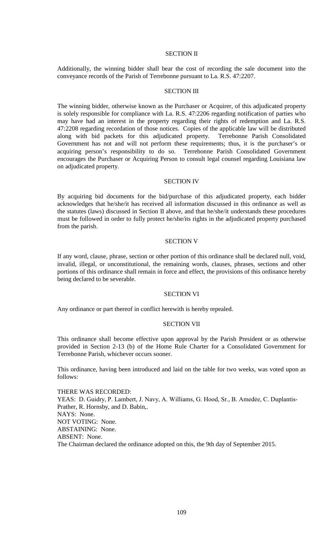## SECTION II

Additionally, the winning bidder shall bear the cost of recording the sale document into the conveyance records of the Parish of Terrebonne pursuant to La. R.S. 47:2207.

## SECTION III

The winning bidder, otherwise known as the Purchaser or Acquirer, of this adjudicated property is solely responsible for compliance with La. R.S. 47:2206 regarding notification of parties who may have had an interest in the property regarding their rights of redemption and La. R.S. 47:2208 regarding recordation of those notices. Copies of the applicable law will be distributed along with bid packets for this adjudicated property. Terrebonne Parish Consolidated Government has not and will not perform these requirements; thus, it is the purchaser's or acquiring person's responsibility to do so. Terrebonne Parish Consolidated Government encourages the Purchaser or Acquiring Person to consult legal counsel regarding Louisiana law on adjudicated property.

#### SECTION IV

By acquiring bid documents for the bid/purchase of this adjudicated property, each bidder acknowledges that he/she/it has received all information discussed in this ordinance as well as the statutes (laws) discussed in Section II above, and that he/she/it understands these procedures must be followed in order to fully protect he/she/its rights in the adjudicated property purchased from the parish.

## SECTION V

If any word, clause, phrase, section or other portion of this ordinance shall be declared null, void, invalid, illegal, or unconstitutional, the remaining words, clauses, phrases, sections and other portions of this ordinance shall remain in force and effect, the provisions of this ordinance hereby being declared to be severable.

#### SECTION VI

Any ordinance or part thereof in conflict herewith is hereby repealed.

## SECTION VII

This ordinance shall become effective upon approval by the Parish President or as otherwise provided in Section 2-13 (b) of the Home Rule Charter for a Consolidated Government for Terrebonne Parish, whichever occurs sooner.

This ordinance, having been introduced and laid on the table for two weeks, was voted upon as follows:

THERE WAS RECORDED: YEAS: D. Guidry, P. Lambert, J. Navy, A. Williams, G. Hood, Sr., B. Amedée, C. Duplantis-Prather, R. Hornsby, and D. Babin,. NAYS: None. NOT VOTING: None. ABSTAINING: None. ABSENT: None. The Chairman declared the ordinance adopted on this, the 9th day of September 2015.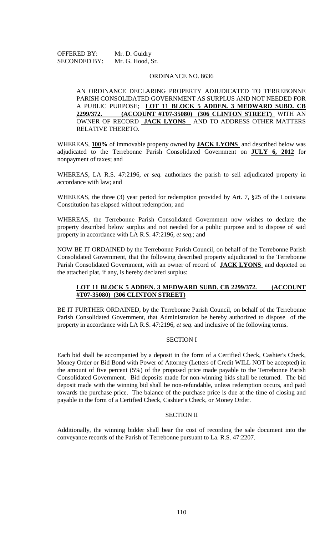OFFERED BY: Mr. D. Guidry SECONDED BY: Mr. G. Hood, Sr.

### ORDINANCE NO. 8636

AN ORDINANCE DECLARING PROPERTY ADJUDICATED TO TERREBONNE PARISH CONSOLIDATED GOVERNMENT AS SURPLUS AND NOT NEEDED FOR A PUBLIC PURPOSE; **LOT 11 BLOCK 5 ADDEN. 3 MEDWARD SUBD. CB 2299/372. (ACCOUNT #T07-35080) (306 CLINTON STREET)** WITH AN OWNER OF RECORD **JACK LYONS** AND TO ADDRESS OTHER MATTERS RELATIVE THERETO.

WHEREAS, **100%** of immovable property owned by **JACK LYONS** and described below was adjudicated to the Terrebonne Parish Consolidated Government on **JULY 6, 2012** for nonpayment of taxes; and

WHEREAS, LA R.S. 47:2196, *et seq.* authorizes the parish to sell adjudicated property in accordance with law; and

WHEREAS, the three (3) year period for redemption provided by Art. 7, §25 of the Louisiana Constitution has elapsed without redemption; and

WHEREAS, the Terrebonne Parish Consolidated Government now wishes to declare the property described below surplus and not needed for a public purpose and to dispose of said property in accordance with LA R.S. 47:2196, *et seq*.; and

NOW BE IT ORDAINED by the Terrebonne Parish Council, on behalf of the Terrebonne Parish Consolidated Government, that the following described property adjudicated to the Terrebonne Parish Consolidated Government, with an owner of record of **JACK LYONS** and depicted on the attached plat, if any, is hereby declared surplus:

## LOT 11 BLOCK 5 ADDEN. 3 MEDWARD SUBD. CB 2299/372. **(ACCOUNT #T07-35080) (306 CLINTON STREET)**

BE IT FURTHER ORDAINED, by the Terrebonne Parish Council, on behalf of the Terrebonne Parish Consolidated Government, that Administration be hereby authorized to dispose of the property in accordance with LA R.S. 47:2196, *et seq*. and inclusive of the following terms.

## SECTION I

Each bid shall be accompanied by a deposit in the form of a Certified Check, Cashier's Check, Money Order or Bid Bond with Power of Attorney (Letters of Credit WILL NOT be accepted) in the amount of five percent (5%) of the proposed price made payable to the Terrebonne Parish Consolidated Government. Bid deposits made for non-winning bids shall be returned. The bid deposit made with the winning bid shall be non-refundable, unless redemption occurs, and paid towards the purchase price. The balance of the purchase price is due at the time of closing and payable in the form of a Certified Check, Cashier's Check, or Money Order.

## SECTION II

Additionally, the winning bidder shall bear the cost of recording the sale document into the conveyance records of the Parish of Terrebonne pursuant to La. R.S. 47:2207.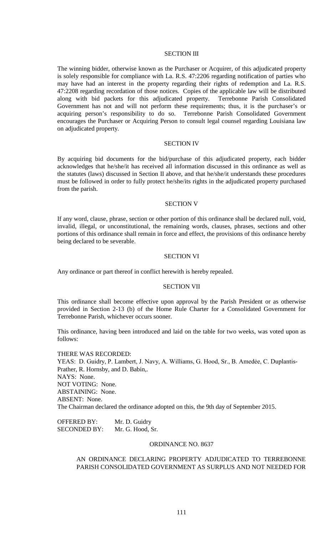### SECTION III

The winning bidder, otherwise known as the Purchaser or Acquirer, of this adjudicated property is solely responsible for compliance with La. R.S. 47:2206 regarding notification of parties who may have had an interest in the property regarding their rights of redemption and La. R.S. 47:2208 regarding recordation of those notices. Copies of the applicable law will be distributed along with bid packets for this adjudicated property. Terrebonne Parish Consolidated Government has not and will not perform these requirements; thus, it is the purchaser's or acquiring person's responsibility to do so. Terrebonne Parish Consolidated Government encourages the Purchaser or Acquiring Person to consult legal counsel regarding Louisiana law on adjudicated property.

## SECTION IV

By acquiring bid documents for the bid/purchase of this adjudicated property, each bidder acknowledges that he/she/it has received all information discussed in this ordinance as well as the statutes (laws) discussed in Section II above, and that he/she/it understands these procedures must be followed in order to fully protect he/she/its rights in the adjudicated property purchased from the parish.

### SECTION V

If any word, clause, phrase, section or other portion of this ordinance shall be declared null, void, invalid, illegal, or unconstitutional, the remaining words, clauses, phrases, sections and other portions of this ordinance shall remain in force and effect, the provisions of this ordinance hereby being declared to be severable.

## SECTION VI

Any ordinance or part thereof in conflict herewith is hereby repealed.

## SECTION VII

This ordinance shall become effective upon approval by the Parish President or as otherwise provided in Section 2-13 (b) of the Home Rule Charter for a Consolidated Government for Terrebonne Parish, whichever occurs sooner.

This ordinance, having been introduced and laid on the table for two weeks, was voted upon as follows:

THERE WAS RECORDED: YEAS: D. Guidry, P. Lambert, J. Navy, A. Williams, G. Hood, Sr., B. Amedée, C. Duplantis-Prather, R. Hornsby, and D. Babin,. NAYS: None. NOT VOTING: None. ABSTAINING: None. ABSENT: None. The Chairman declared the ordinance adopted on this, the 9th day of September 2015.

OFFERED BY: Mr. D. Guidry SECONDED BY: Mr. G. Hood, Sr.

## ORDINANCE NO. 8637

AN ORDINANCE DECLARING PROPERTY ADJUDICATED TO TERREBONNE PARISH CONSOLIDATED GOVERNMENT AS SURPLUS AND NOT NEEDED FOR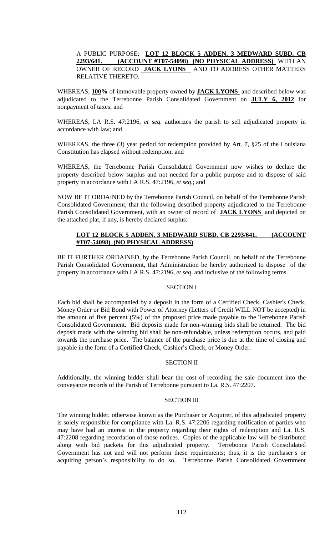# A PUBLIC PURPOSE; **LOT 12 BLOCK 5 ADDEN. 3 MEDWARD SUBD. CB 2293/641. (ACCOUNT #T07-54098) (NO PHYSICAL ADDRESS)** WITH AN OWNER OF RECORD **JACK LYONS** AND TO ADDRESS OTHER MATTERS RELATIVE THERETO.

WHEREAS, **100%** of immovable property owned by **JACK LYONS** and described below was adjudicated to the Terrebonne Parish Consolidated Government on **JULY 6, 2012** for nonpayment of taxes; and

WHEREAS, LA R.S. 47:2196, *et seq.* authorizes the parish to sell adjudicated property in accordance with law; and

WHEREAS, the three (3) year period for redemption provided by Art. 7, §25 of the Louisiana Constitution has elapsed without redemption; and

WHEREAS, the Terrebonne Parish Consolidated Government now wishes to declare the property described below surplus and not needed for a public purpose and to dispose of said property in accordance with LA R.S. 47:2196, *et seq*.; and

NOW BE IT ORDAINED by the Terrebonne Parish Council, on behalf of the Terrebonne Parish Consolidated Government, that the following described property adjudicated to the Terrebonne Parish Consolidated Government, with an owner of record of **JACK LYONS** and depicted on the attached plat, if any, is hereby declared surplus:

# **LOT 12 BLOCK 5 ADDEN. 3 MEDWARD SUBD. CB 2293/641. (ACCOUNT #T07-54098) (NO PHYSICAL ADDRESS)**

BE IT FURTHER ORDAINED, by the Terrebonne Parish Council, on behalf of the Terrebonne Parish Consolidated Government, that Administration be hereby authorized to dispose of the property in accordance with LA R.S. 47:2196, *et seq*. and inclusive of the following terms.

## SECTION I

Each bid shall be accompanied by a deposit in the form of a Certified Check, Cashier's Check, Money Order or Bid Bond with Power of Attorney (Letters of Credit WILL NOT be accepted) in the amount of five percent (5%) of the proposed price made payable to the Terrebonne Parish Consolidated Government. Bid deposits made for non-winning bids shall be returned. The bid deposit made with the winning bid shall be non-refundable, unless redemption occurs, and paid towards the purchase price. The balance of the purchase price is due at the time of closing and payable in the form of a Certified Check, Cashier's Check, or Money Order.

## SECTION II

Additionally, the winning bidder shall bear the cost of recording the sale document into the conveyance records of the Parish of Terrebonne pursuant to La. R.S. 47:2207.

## SECTION III

The winning bidder, otherwise known as the Purchaser or Acquirer, of this adjudicated property is solely responsible for compliance with La. R.S. 47:2206 regarding notification of parties who may have had an interest in the property regarding their rights of redemption and La. R.S. 47:2208 regarding recordation of those notices. Copies of the applicable law will be distributed along with bid packets for this adjudicated property. Terrebonne Parish Consolidated Government has not and will not perform these requirements; thus, it is the purchaser's or acquiring person's responsibility to do so. Terrebonne Parish Consolidated Government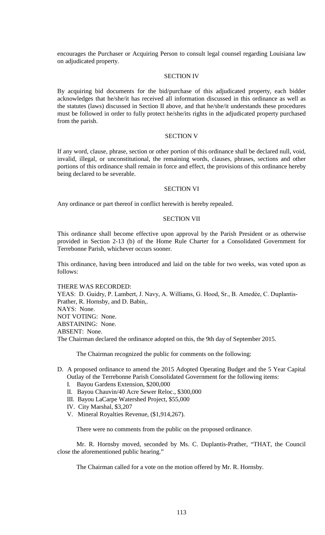encourages the Purchaser or Acquiring Person to consult legal counsel regarding Louisiana law on adjudicated property.

## SECTION IV

By acquiring bid documents for the bid/purchase of this adjudicated property, each bidder acknowledges that he/she/it has received all information discussed in this ordinance as well as the statutes (laws) discussed in Section II above, and that he/she/it understands these procedures must be followed in order to fully protect he/she/its rights in the adjudicated property purchased from the parish.

## SECTION V

If any word, clause, phrase, section or other portion of this ordinance shall be declared null, void, invalid, illegal, or unconstitutional, the remaining words, clauses, phrases, sections and other portions of this ordinance shall remain in force and effect, the provisions of this ordinance hereby being declared to be severable.

## SECTION VI

Any ordinance or part thereof in conflict herewith is hereby repealed.

#### SECTION VII

This ordinance shall become effective upon approval by the Parish President or as otherwise provided in Section 2-13 (b) of the Home Rule Charter for a Consolidated Government for Terrebonne Parish, whichever occurs sooner.

This ordinance, having been introduced and laid on the table for two weeks, was voted upon as follows:

### THERE WAS RECORDED:

YEAS: D. Guidry, P. Lambert, J. Navy, A. Williams, G. Hood, Sr., B. Amedėe, C. Duplantis-Prather, R. Hornsby, and D. Babin,. NAYS: None. NOT VOTING: None. ABSTAINING: None. ABSENT: None. The Chairman declared the ordinance adopted on this, the 9th day of September 2015.

The Chairman recognized the public for comments on the following:

- D. A proposed ordinance to amend the 2015 Adopted Operating Budget and the 5 Year Capital Outlay of the Terrebonne Parish Consolidated Government for the following items:
	- I. Bayou Gardens Extension, \$200,000
	- II. Bayou Chauvin/40 Acre Sewer Reloc., \$300,000
	- III. Bayou LaCarpe Watershed Project, \$55,000
	- IV. City Marshal, \$3,207
	- V. Mineral Royalties Revenue, (\$1,914,267).

There were no comments from the public on the proposed ordinance.

Mr. R. Hornsby moved, seconded by Ms. C. Duplantis-Prather, "THAT, the Council close the aforementioned public hearing."

The Chairman called for a vote on the motion offered by Mr. R. Hornsby.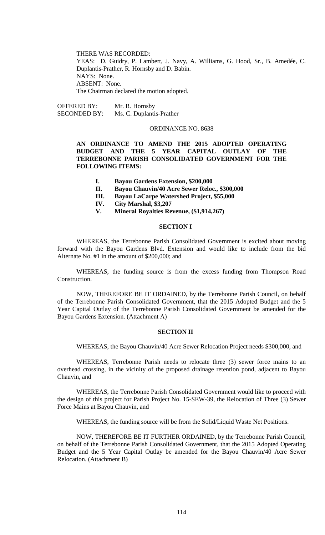THERE WAS RECORDED: YEAS: D. Guidry, P. Lambert, J. Navy, A. Williams, G. Hood, Sr., B. Amedée, C. Duplantis-Prather, R. Hornsby and D. Babin. NAYS: None. ABSENT: None. The Chairman declared the motion adopted.

OFFERED BY: Mr. R. Hornsby SECONDED BY: Ms. C. Duplantis-Prather

## ORDINANCE NO. 8638

**AN ORDINANCE TO AMEND THE 2015 ADOPTED OPERATING BUDGET AND THE 5 YEAR CAPITAL OUTLAY OF THE TERREBONNE PARISH CONSOLIDATED GOVERNMENT FOR THE FOLLOWING ITEMS:**

- **I. Bayou Gardens Extension, \$200,000**
- **II. Bayou Chauvin/40 Acre Sewer Reloc., \$300,000**
- **III. Bayou LaCarpe Watershed Project, \$55,000**
- **IV. City Marshal, \$3,207**
- **V. Mineral Royalties Revenue, (\$1,914,267)**

### **SECTION I**

WHEREAS, the Terrebonne Parish Consolidated Government is excited about moving forward with the Bayou Gardens Blvd. Extension and would like to include from the bid Alternate No. #1 in the amount of \$200,000; and

WHEREAS, the funding source is from the excess funding from Thompson Road Construction.

NOW, THEREFORE BE IT ORDAINED, by the Terrebonne Parish Council, on behalf of the Terrebonne Parish Consolidated Government, that the 2015 Adopted Budget and the 5 Year Capital Outlay of the Terrebonne Parish Consolidated Government be amended for the Bayou Gardens Extension. (Attachment A)

## **SECTION II**

WHEREAS, the Bayou Chauvin/40 Acre Sewer Relocation Project needs \$300,000, and

WHEREAS, Terrebonne Parish needs to relocate three (3) sewer force mains to an overhead crossing, in the vicinity of the proposed drainage retention pond, adjacent to Bayou Chauvin, and

WHEREAS, the Terrebonne Parish Consolidated Government would like to proceed with the design of this project for Parish Project No. 15-SEW-39, the Relocation of Three (3) Sewer Force Mains at Bayou Chauvin, and

WHEREAS, the funding source will be from the Solid/Liquid Waste Net Positions.

NOW, THEREFORE BE IT FURTHER ORDAINED, by the Terrebonne Parish Council, on behalf of the Terrebonne Parish Consolidated Government, that the 2015 Adopted Operating Budget and the 5 Year Capital Outlay be amended for the Bayou Chauvin/40 Acre Sewer Relocation. (Attachment B)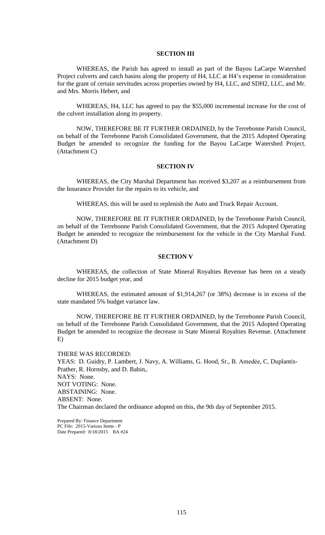### **SECTION III**

WHEREAS, the Parish has agreed to install as part of the Bayou LaCarpe Watershed Project culverts and catch basins along the property of H4, LLC at H4's expense in consideration for the grant of certain servitudes across properties owned by H4, LLC, and SDH2, LLC, and Mr. and Mrs. Morris Hebert, and

WHEREAS, H4, LLC has agreed to pay the \$55,000 incremental increase for the cost of the culvert installation along its property.

NOW, THEREFORE BE IT FURTHER ORDAINED, by the Terrebonne Parish Council, on behalf of the Terrebonne Parish Consolidated Government, that the 2015 Adopted Operating Budget be amended to recognize the funding for the Bayou LaCarpe Watershed Project. (Attachment C)

#### **SECTION IV**

WHEREAS, the City Marshal Department has received \$3,207 as a reimbursement from the Insurance Provider for the repairs to its vehicle, and

WHEREAS, this will be used to replenish the Auto and Truck Repair Account.

NOW, THEREFORE BE IT FURTHER ORDAINED, by the Terrebonne Parish Council, on behalf of the Terrebonne Parish Consolidated Government, that the 2015 Adopted Operating Budget be amended to recognize the reimbursement for the vehicle in the City Marshal Fund. (Attachment D)

## **SECTION V**

WHEREAS, the collection of State Mineral Royalties Revenue has been on a steady decline for 2015 budget year, and

WHEREAS, the estimated amount of \$1,914,267 (or 38%) decrease is in excess of the state mandated 5% budget variance law.

NOW, THEREFORE BE IT FURTHER ORDAINED, by the Terrebonne Parish Council, on behalf of the Terrebonne Parish Consolidated Government, that the 2015 Adopted Operating Budget be amended to recognize the decrease in State Mineral Royalties Revenue. (Attachment E)

THERE WAS RECORDED: YEAS: D. Guidry, P. Lambert, J. Navy, A. Williams, G. Hood, Sr., B. Amedée, C. Duplantis-Prather, R. Hornsby, and D. Babin,. NAYS: None. NOT VOTING: None. ABSTAINING: None. ABSENT: None. The Chairman declared the ordinance adopted on this, the 9th day of September 2015.

Prepared By: Finance Department PC File: 2015-Various Items - P Date Prepared: 8/18/2015 BA #24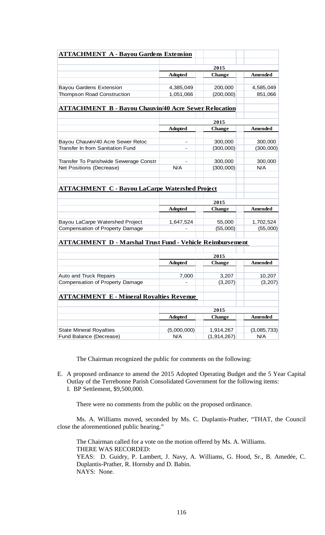| <b>ATTACHMENT A - Bayou Gardens Extension</b>                    |                |                       |                |
|------------------------------------------------------------------|----------------|-----------------------|----------------|
|                                                                  |                |                       |                |
|                                                                  | 2015           |                       |                |
|                                                                  | <b>Adopted</b> | <b>Change</b>         | <b>Amended</b> |
| <b>Bayou Gardens Extension</b>                                   | 4,385,049      | 200,000               | 4,585,049      |
| <b>Thompson Road Construction</b>                                | 1,051,066      | (200,000)             | 851,066        |
|                                                                  |                |                       |                |
| <b>ATTACHMENT B - Bayou Chauvin/40 Acre Sewer Relocation</b>     |                |                       |                |
|                                                                  |                |                       |                |
|                                                                  | 2015           |                       |                |
|                                                                  | <b>Adopted</b> | <b>Change</b>         | <b>Amended</b> |
| Bayou Chauvin/40 Acre Sewer Reloc                                | -              | 300,000               | 300,000        |
| Transfer In from Sanitation Fund                                 |                | (300,000)             | (300,000)      |
|                                                                  |                |                       |                |
| Transfer To Parishwide Sewerage Constr                           |                | 300,000               | 300,000        |
| Net Positions (Decrease)                                         | N/A            | (300,000)             | N/A            |
|                                                                  |                |                       |                |
| <b>ATTACHMENT C - Bayou LaCarpe Watershed Project</b>            |                |                       |                |
|                                                                  |                |                       |                |
|                                                                  |                |                       |                |
|                                                                  | <b>Adopted</b> | <b>Change</b>         | <b>Amended</b> |
| Bayou LaCarpe Watershed Project                                  | 1,647,524      | 55,000                | 1,702,524      |
| Compensation of Property Damage                                  |                | (55,000)              | (55,000)       |
|                                                                  |                |                       |                |
| <b>ATTACHMENT D - Marshal Trust Fund - Vehicle Reimbursement</b> |                |                       |                |
|                                                                  |                |                       |                |
|                                                                  | 2015           |                       |                |
|                                                                  | <b>Adopted</b> | <b>Change</b>         | <b>Amended</b> |
| Auto and Truck Repairs                                           | 7,000          | 3,207                 | 10,207         |
| Compensation of Property Damage                                  |                | (3, 207)              | (3, 207)       |
|                                                                  |                |                       |                |
| <b>ATTACHMENT E - Mineral Royalties Revenue</b>                  |                |                       |                |
|                                                                  |                |                       |                |
|                                                                  | <b>Adopted</b> | 2015<br><b>Change</b> | <b>Amended</b> |
|                                                                  |                |                       |                |
| <b>State Mineral Royalties</b>                                   | (5,000,000)    | 1,914,267             | (3,085,733)    |
| Fund Balance (Decrease)                                          | N/A            | (1, 914, 267)         | N/A            |

The Chairman recognized the public for comments on the following:

E. A proposed ordinance to amend the 2015 Adopted Operating Budget and the 5 Year Capital Outlay of the Terrebonne Parish Consolidated Government for the following items: I. BP Settlement, \$9,500,000.

There were no comments from the public on the proposed ordinance.

Ms. A. Williams moved, seconded by Ms. C. Duplantis-Prather, "THAT, the Council close the aforementioned public hearing."

The Chairman called for a vote on the motion offered by Ms. A. Williams. THERE WAS RECORDED: YEAS: D. Guidry, P. Lambert, J. Navy, A. Williams, G. Hood, Sr., B. Amedée, C. Duplantis-Prather, R. Hornsby and D. Babin. NAYS: None.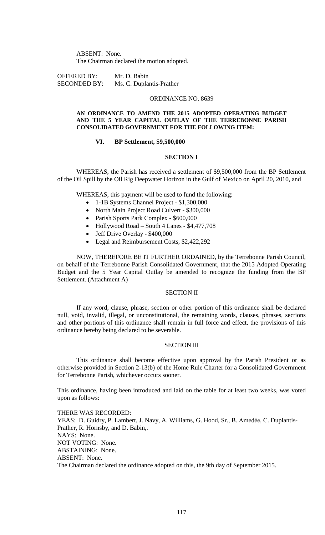ABSENT: None. The Chairman declared the motion adopted.

OFFERED BY: Mr. D. Babin SECONDED BY: Ms. C. Duplantis-Prather

## ORDINANCE NO. 8639

### **AN ORDINANCE TO AMEND THE 2015 ADOPTED OPERATING BUDGET AND THE 5 YEAR CAPITAL OUTLAY OF THE TERREBONNE PARISH CONSOLIDATED GOVERNMENT FOR THE FOLLOWING ITEM:**

### **VI. BP Settlement, \$9,500,000**

## **SECTION I**

WHEREAS, the Parish has received a settlement of \$9,500,000 from the BP Settlement of the Oil Spill by the Oil Rig Deepwater Horizon in the Gulf of Mexico on April 20, 2010, and

WHEREAS, this payment will be used to fund the following:

- 1-1B Systems Channel Project \$1,300,000
- North Main Project Road Culvert \$300,000
- Parish Sports Park Complex \$600,000
- Hollywood Road South 4 Lanes \$4,477,708
- Jeff Drive Overlay \$400,000
- Legal and Reimbursement Costs, \$2,422,292

NOW, THEREFORE BE IT FURTHER ORDAINED, by the Terrebonne Parish Council, on behalf of the Terrebonne Parish Consolidated Government, that the 2015 Adopted Operating Budget and the 5 Year Capital Outlay be amended to recognize the funding from the BP Settlement. (Attachment A)

#### SECTION II

If any word, clause, phrase, section or other portion of this ordinance shall be declared null, void, invalid, illegal, or unconstitutional, the remaining words, clauses, phrases, sections and other portions of this ordinance shall remain in full force and effect, the provisions of this ordinance hereby being declared to be severable.

## SECTION III

This ordinance shall become effective upon approval by the Parish President or as otherwise provided in Section 2-13(b) of the Home Rule Charter for a Consolidated Government for Terrebonne Parish, whichever occurs sooner.

This ordinance, having been introduced and laid on the table for at least two weeks, was voted upon as follows:

THERE WAS RECORDED: YEAS: D. Guidry, P. Lambert, J. Navy, A. Williams, G. Hood, Sr., B. Amedée, C. Duplantis-Prather, R. Hornsby, and D. Babin,. NAYS: None. NOT VOTING: None. ABSTAINING: None. ABSENT: None. The Chairman declared the ordinance adopted on this, the 9th day of September 2015.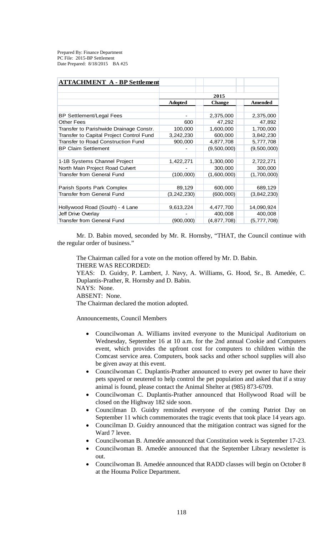Prepared By: Finance Department PC File: 2015-BP Settlement Date Prepared: 8/18/2015 BA #25

| <b>ATTACHMENT A - BP Settlement</b>       |                |               |                |
|-------------------------------------------|----------------|---------------|----------------|
|                                           |                |               |                |
|                                           | 2015           |               |                |
|                                           | <b>Adopted</b> | <b>Change</b> | <b>Amended</b> |
|                                           |                |               |                |
| <b>BP Settlement/Legal Fees</b>           |                | 2,375,000     | 2,375,000      |
| <b>Other Fees</b>                         | 600            | 47,292        | 47,892         |
| Transfer to Parishwide Drainage Constr.   | 100,000        | 1,600,000     | 1,700,000      |
| Transfer to Capital Project Control Fund  | 3,242,230      | 600,000       | 3,842,230      |
| <b>Transfer to Road Construction Fund</b> | 900,000        | 4,877,708     | 5,777,708      |
| <b>BP Claim Settlement</b>                |                | (9,500,000)   | (9,500,000)    |
|                                           |                |               |                |
| 1-1B Systems Channel Project              | 1,422,271      | 1,300,000     | 2,722,271      |
| North Main Project Road Culvert           |                | 300,000       | 300,000        |
| Transfer from General Fund                | (100,000)      | (1,600,000)   | (1,700,000)    |
|                                           |                |               |                |
| Parish Sports Park Complex                | 89,129         | 600,000       | 689,129        |
| Transfer from General Fund                | (3, 242, 230)  | (600,000)     | (3,842,230)    |
|                                           |                |               |                |
| Hollywood Road (South) - 4 Lane           | 9,613,224      | 4,477,700     | 14,090,924     |
| Jeff Drive Overlay                        |                | 400,008       | 400,008        |
| <b>Transfer from General Fund</b>         | (900,000)      | (4,877,708)   | (5,777,708)    |

Mr. D. Babin moved, seconded by Mr. R. Hornsby, "THAT, the Council continue with the regular order of business."

The Chairman called for a vote on the motion offered by Mr. D. Babin. THERE WAS RECORDED: YEAS: D. Guidry, P. Lambert, J. Navy, A. Williams, G. Hood, Sr., B. Amedée, C. Duplantis-Prather, R. Hornsby and D. Babin. NAYS: None. ABSENT: None.

The Chairman declared the motion adopted.

Announcements, Council Members

- Councilwoman A. Williams invited everyone to the Municipal Auditorium on Wednesday, September 16 at 10 a.m. for the 2nd annual Cookie and Computers event, which provides the upfront cost for computers to children within the Comcast service area. Computers, book sacks and other school supplies will also be given away at this event.
- Councilwoman C. Duplantis-Prather announced to every pet owner to have their pets spayed or neutered to help control the pet population and asked that if a stray animal is found, please contact the Animal Shelter at (985) 873-6709.
- Councilwoman C. Duplantis-Prather announced that Hollywood Road will be closed on the Highway 182 side soon.
- Councilman D. Guidry reminded everyone of the coming Patriot Day on September 11 which commemorates the tragic events that took place 14 years ago.
- Councilman D. Guidry announced that the mitigation contract was signed for the Ward 7 levee.
- Councilwoman B. Amedée announced that Constitution week is September 17-23.
- Councilwoman B. Amedée announced that the September Library newsletter is out.
- Councilwoman B. Amedée announced that RADD classes will begin on October 8 at the Houma Police Department.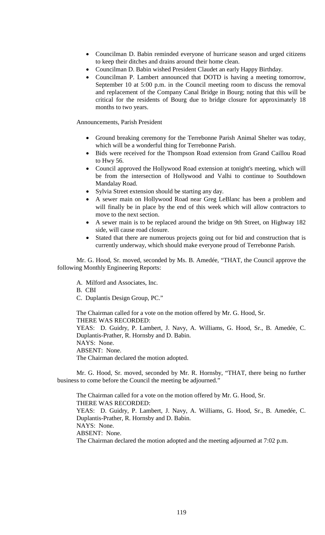- Councilman D. Babin reminded everyone of hurricane season and urged citizens to keep their ditches and drains around their home clean.
- Councilman D. Babin wished President Claudet an early Happy Birthday.
- Councilman P. Lambert announced that DOTD is having a meeting tomorrow, September 10 at 5:00 p.m. in the Council meeting room to discuss the removal and replacement of the Company Canal Bridge in Bourg; noting that this will be critical for the residents of Bourg due to bridge closure for approximately 18 months to two years.

Announcements, Parish President

- Ground breaking ceremony for the Terrebonne Parish Animal Shelter was today, which will be a wonderful thing for Terrebonne Parish.
- Bids were received for the Thompson Road extension from Grand Caillou Road to Hwy 56.
- Council approved the Hollywood Road extension at tonight's meeting, which will be from the intersection of Hollywood and Valhi to continue to Southdown Mandalay Road.
- Sylvia Street extension should be starting any day.
- A sewer main on Hollywood Road near Greg LeBlanc has been a problem and will finally be in place by the end of this week which will allow contractors to move to the next section.
- A sewer main is to be replaced around the bridge on 9th Street, on Highway 182 side, will cause road closure.
- Stated that there are numerous projects going out for bid and construction that is currently underway, which should make everyone proud of Terrebonne Parish.

Mr. G. Hood, Sr. moved, seconded by Ms. B. Amedée, "THAT, the Council approve the following Monthly Engineering Reports:

A. Milford and Associates, Inc.

B. CBI

C. Duplantis Design Group, PC."

The Chairman called for a vote on the motion offered by Mr. G. Hood, Sr. THERE WAS RECORDED: YEAS: D. Guidry, P. Lambert, J. Navy, A. Williams, G. Hood, Sr., B. Amedée, C. Duplantis-Prather, R. Hornsby and D. Babin.

NAYS: None. ABSENT: None.

The Chairman declared the motion adopted.

Mr. G. Hood, Sr. moved, seconded by Mr. R. Hornsby, "THAT, there being no further business to come before the Council the meeting be adjourned."

The Chairman called for a vote on the motion offered by Mr. G. Hood, Sr. THERE WAS RECORDED: YEAS: D. Guidry, P. Lambert, J. Navy, A. Williams, G. Hood, Sr., B. Amedée, C. Duplantis-Prather, R. Hornsby and D. Babin. NAYS: None. ABSENT: None. The Chairman declared the motion adopted and the meeting adjourned at 7:02 p.m.